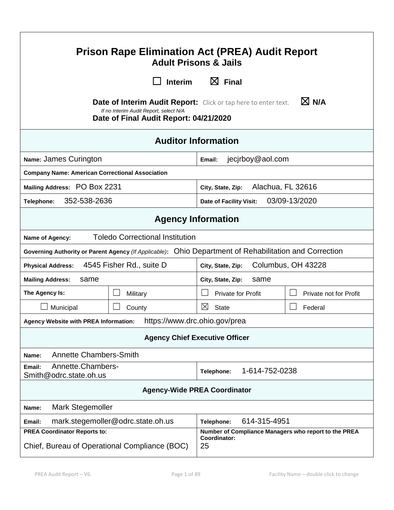| <b>Prison Rape Elimination Act (PREA) Audit Report</b><br><b>Adult Prisons &amp; Jails</b>                                                                                   |                                   |                                          |                        |  |
|------------------------------------------------------------------------------------------------------------------------------------------------------------------------------|-----------------------------------|------------------------------------------|------------------------|--|
|                                                                                                                                                                              | <b>Interim</b>                    | $\boxtimes$ Final                        |                        |  |
| $\boxtimes$ N/A<br><b>Date of Interim Audit Report:</b> Click or tap here to enter text.<br>If no Interim Audit Report, select N/A<br>Date of Final Audit Report: 04/21/2020 |                                   |                                          |                        |  |
| <b>Auditor Information</b>                                                                                                                                                   |                                   |                                          |                        |  |
| Name: James Curington                                                                                                                                                        |                                   | jecjrboy@aol.com<br>Email:               |                        |  |
| <b>Company Name: American Correctional Association</b>                                                                                                                       |                                   |                                          |                        |  |
| Mailing Address: PO Box 2231                                                                                                                                                 |                                   | Alachua, FL 32616<br>City, State, Zip:   |                        |  |
| 352-538-2636<br>Telephone:                                                                                                                                                   |                                   | 03/09-13/2020<br>Date of Facility Visit: |                        |  |
| <b>Agency Information</b>                                                                                                                                                    |                                   |                                          |                        |  |
| <b>Toledo Correctional Institution</b><br>Name of Agency:                                                                                                                    |                                   |                                          |                        |  |
| Governing Authority or Parent Agency (If Applicable): Ohio Department of Rehabilitation and Correction                                                                       |                                   |                                          |                        |  |
| 4545 Fisher Rd., suite D<br>Columbus, OH 43228<br><b>Physical Address:</b><br>City, State, Zip:                                                                              |                                   |                                          |                        |  |
| <b>Mailing Address:</b><br>same                                                                                                                                              |                                   | same<br>City, State, Zip:                |                        |  |
| The Agency Is:                                                                                                                                                               | Military                          | <b>Private for Profit</b>                | Private not for Profit |  |
| Municipal                                                                                                                                                                    | County                            | $\boxtimes$<br><b>State</b>              | Federal                |  |
| https://www.drc.ohio.gov/prea<br>Agency Website with PREA Information:                                                                                                       |                                   |                                          |                        |  |
| <b>Agency Chief Executive Officer</b>                                                                                                                                        |                                   |                                          |                        |  |
| <b>Annette Chambers-Smith</b><br>Name:                                                                                                                                       |                                   |                                          |                        |  |
| Annette.Chambers-<br>Email:<br>Smith@odrc.state.oh.us                                                                                                                        |                                   | 1-614-752-0238<br>Telephone:             |                        |  |
| <b>Agency-Wide PREA Coordinator</b>                                                                                                                                          |                                   |                                          |                        |  |
| <b>Mark Stegemoller</b><br>Name:                                                                                                                                             |                                   |                                          |                        |  |
| Email:                                                                                                                                                                       | mark.stegemoller@odrc.state.oh.us | 614-315-4951<br>Telephone:               |                        |  |
| <b>PREA Coordinator Reports to:</b><br>Number of Compliance Managers who report to the PREA<br>Coordinator:<br>Chief, Bureau of Operational Compliance (BOC)<br>25           |                                   |                                          |                        |  |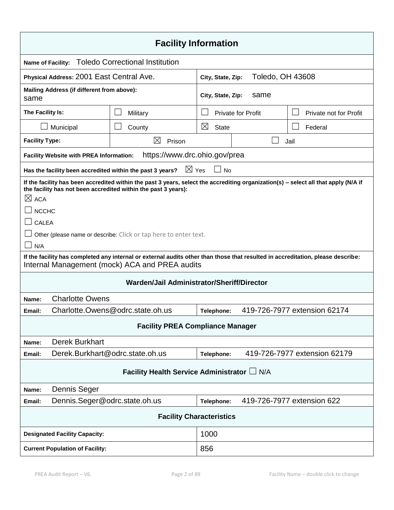| <b>Facility Information</b>                                                                                                                                                                                                                                                                                           |                                                                                |                                                                              |                             |                           |                              |
|-----------------------------------------------------------------------------------------------------------------------------------------------------------------------------------------------------------------------------------------------------------------------------------------------------------------------|--------------------------------------------------------------------------------|------------------------------------------------------------------------------|-----------------------------|---------------------------|------------------------------|
| <b>Name of Facility:</b>                                                                                                                                                                                                                                                                                              |                                                                                | <b>Toledo Correctional Institution</b>                                       |                             |                           |                              |
| Physical Address: 2001 East Central Ave.                                                                                                                                                                                                                                                                              |                                                                                | City, State, Zip:                                                            | Toledo, OH 43608            |                           |                              |
| Mailing Address (if different from above):<br>same                                                                                                                                                                                                                                                                    |                                                                                | City, State, Zip:<br>same                                                    |                             |                           |                              |
| The Facility Is:                                                                                                                                                                                                                                                                                                      |                                                                                | Military                                                                     |                             | <b>Private for Profit</b> | Private not for Profit       |
|                                                                                                                                                                                                                                                                                                                       | Municipal                                                                      | County                                                                       | $\boxtimes$<br><b>State</b> |                           | Federal                      |
| <b>Facility Type:</b>                                                                                                                                                                                                                                                                                                 |                                                                                | $\bowtie$<br>Prison                                                          | Jail                        |                           |                              |
|                                                                                                                                                                                                                                                                                                                       | <b>Facility Website with PREA Information:</b>                                 | https://www.drc.ohio.gov/prea                                                |                             |                           |                              |
|                                                                                                                                                                                                                                                                                                                       |                                                                                | $\boxtimes$ Yes<br>Has the facility been accredited within the past 3 years? | $\Box$ No                   |                           |                              |
| If the facility has been accredited within the past 3 years, select the accrediting organization(s) - select all that apply (N/A if<br>the facility has not been accredited within the past 3 years):<br>$\boxtimes$ ACA<br><b>NCCHC</b><br>CALEA<br>Other (please name or describe: Click or tap here to enter text. |                                                                                |                                                                              |                             |                           |                              |
| N/A<br>If the facility has completed any internal or external audits other than those that resulted in accreditation, please describe:                                                                                                                                                                                |                                                                                |                                                                              |                             |                           |                              |
| Internal Management (mock) ACA and PREA audits                                                                                                                                                                                                                                                                        |                                                                                |                                                                              |                             |                           |                              |
| Warden/Jail Administrator/Sheriff/Director                                                                                                                                                                                                                                                                            |                                                                                |                                                                              |                             |                           |                              |
| <b>Charlotte Owens</b><br>Name:                                                                                                                                                                                                                                                                                       |                                                                                |                                                                              |                             |                           |                              |
| Email:                                                                                                                                                                                                                                                                                                                | 419-726-7977 extension 62174<br>Charlotte.Owens@odrc.state.oh.us<br>Telephone: |                                                                              |                             |                           |                              |
| <b>Facility PREA Compliance Manager</b>                                                                                                                                                                                                                                                                               |                                                                                |                                                                              |                             |                           |                              |
| Name:                                                                                                                                                                                                                                                                                                                 | <b>Derek Burkhart</b>                                                          |                                                                              |                             |                           |                              |
| Email:                                                                                                                                                                                                                                                                                                                | Derek.Burkhart@odrc.state.oh.us                                                |                                                                              | Telephone:                  |                           | 419-726-7977 extension 62179 |
| Facility Health Service Administrator L N/A                                                                                                                                                                                                                                                                           |                                                                                |                                                                              |                             |                           |                              |
| Name:                                                                                                                                                                                                                                                                                                                 | Dennis Seger                                                                   |                                                                              |                             |                           |                              |
| Email:                                                                                                                                                                                                                                                                                                                | Dennis.Seger@odrc.state.oh.us                                                  |                                                                              | Telephone:                  |                           | 419-726-7977 extension 622   |
| <b>Facility Characteristics</b>                                                                                                                                                                                                                                                                                       |                                                                                |                                                                              |                             |                           |                              |
| <b>Designated Facility Capacity:</b>                                                                                                                                                                                                                                                                                  |                                                                                | 1000                                                                         |                             |                           |                              |
| <b>Current Population of Facility:</b>                                                                                                                                                                                                                                                                                |                                                                                | 856                                                                          |                             |                           |                              |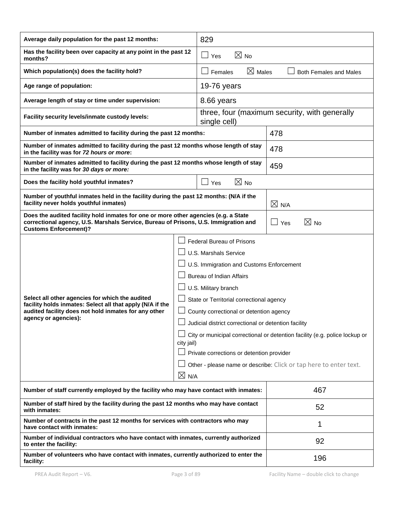| Average daily population for the past 12 months:                                                                                                                                                                                 |  | 829                                                                                                                                                                                                                                                                                                                                                                                                                                                                                                                     |                       |  |
|----------------------------------------------------------------------------------------------------------------------------------------------------------------------------------------------------------------------------------|--|-------------------------------------------------------------------------------------------------------------------------------------------------------------------------------------------------------------------------------------------------------------------------------------------------------------------------------------------------------------------------------------------------------------------------------------------------------------------------------------------------------------------------|-----------------------|--|
| Has the facility been over capacity at any point in the past 12<br>months?                                                                                                                                                       |  | $\boxtimes$ No<br>$\Box$ Yes                                                                                                                                                                                                                                                                                                                                                                                                                                                                                            |                       |  |
| Which population(s) does the facility hold?                                                                                                                                                                                      |  | $\boxtimes$ Males<br>Females<br><b>Both Females and Males</b>                                                                                                                                                                                                                                                                                                                                                                                                                                                           |                       |  |
| Age range of population:                                                                                                                                                                                                         |  | 19-76 years                                                                                                                                                                                                                                                                                                                                                                                                                                                                                                             |                       |  |
| Average length of stay or time under supervision:                                                                                                                                                                                |  | 8.66 years                                                                                                                                                                                                                                                                                                                                                                                                                                                                                                              |                       |  |
| Facility security levels/inmate custody levels:                                                                                                                                                                                  |  | three, four (maximum security, with generally<br>single cell)                                                                                                                                                                                                                                                                                                                                                                                                                                                           |                       |  |
| Number of inmates admitted to facility during the past 12 months:                                                                                                                                                                |  | 478                                                                                                                                                                                                                                                                                                                                                                                                                                                                                                                     |                       |  |
| Number of inmates admitted to facility during the past 12 months whose length of stay<br>in the facility was for 72 hours or more:                                                                                               |  |                                                                                                                                                                                                                                                                                                                                                                                                                                                                                                                         | 478                   |  |
| Number of inmates admitted to facility during the past 12 months whose length of stay<br>in the facility was for 30 days or more:                                                                                                |  |                                                                                                                                                                                                                                                                                                                                                                                                                                                                                                                         | 459                   |  |
| $\boxtimes$ No<br>Does the facility hold youthful inmates?<br>Yes                                                                                                                                                                |  |                                                                                                                                                                                                                                                                                                                                                                                                                                                                                                                         |                       |  |
| Number of youthful inmates held in the facility during the past 12 months: (N/A if the<br>facility never holds youthful inmates)                                                                                                 |  |                                                                                                                                                                                                                                                                                                                                                                                                                                                                                                                         | $\times$ N/A          |  |
| Does the audited facility hold inmates for one or more other agencies (e.g. a State<br>correctional agency, U.S. Marshals Service, Bureau of Prisons, U.S. Immigration and<br><b>Customs Enforcement)?</b>                       |  |                                                                                                                                                                                                                                                                                                                                                                                                                                                                                                                         | $\boxtimes$ No<br>Yes |  |
| Select all other agencies for which the audited<br>facility holds inmates: Select all that apply (N/A if the<br>audited facility does not hold inmates for any other<br>agency or agencies):<br>city jail)<br>$\boxtimes$<br>N/A |  | <b>Federal Bureau of Prisons</b><br><b>U.S. Marshals Service</b><br>U.S. Immigration and Customs Enforcement<br><b>Bureau of Indian Affairs</b><br>U.S. Military branch<br>State or Territorial correctional agency<br>County correctional or detention agency<br>Judicial district correctional or detention facility<br>City or municipal correctional or detention facility (e.g. police lockup or<br>Private corrections or detention provider<br>Other - please name or describe: Click or tap here to enter text. |                       |  |
| Number of staff currently employed by the facility who may have contact with inmates:                                                                                                                                            |  |                                                                                                                                                                                                                                                                                                                                                                                                                                                                                                                         | 467                   |  |
| Number of staff hired by the facility during the past 12 months who may have contact<br>with inmates:                                                                                                                            |  |                                                                                                                                                                                                                                                                                                                                                                                                                                                                                                                         | 52                    |  |
| Number of contracts in the past 12 months for services with contractors who may<br>have contact with inmates:                                                                                                                    |  |                                                                                                                                                                                                                                                                                                                                                                                                                                                                                                                         | 1                     |  |
| Number of individual contractors who have contact with inmates, currently authorized<br>to enter the facility:                                                                                                                   |  |                                                                                                                                                                                                                                                                                                                                                                                                                                                                                                                         | 92                    |  |
| Number of volunteers who have contact with inmates, currently authorized to enter the<br>facility:                                                                                                                               |  |                                                                                                                                                                                                                                                                                                                                                                                                                                                                                                                         | 196                   |  |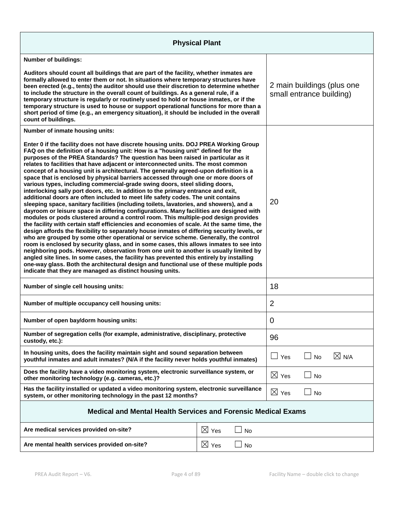| <b>Physical Plant</b>                                                                                                                                                                                                                                                                                                                                                                                                                                                                                                                                                                                                                                                                                                                                                                                                                                                                                                                                                                                                                                                                                                                                                                                                                                                                                                                                                                                                                                                                                                                                                                                                                                                                                                                                                                         |                       |                 |                                                        |                 |  |
|-----------------------------------------------------------------------------------------------------------------------------------------------------------------------------------------------------------------------------------------------------------------------------------------------------------------------------------------------------------------------------------------------------------------------------------------------------------------------------------------------------------------------------------------------------------------------------------------------------------------------------------------------------------------------------------------------------------------------------------------------------------------------------------------------------------------------------------------------------------------------------------------------------------------------------------------------------------------------------------------------------------------------------------------------------------------------------------------------------------------------------------------------------------------------------------------------------------------------------------------------------------------------------------------------------------------------------------------------------------------------------------------------------------------------------------------------------------------------------------------------------------------------------------------------------------------------------------------------------------------------------------------------------------------------------------------------------------------------------------------------------------------------------------------------|-----------------------|-----------------|--------------------------------------------------------|-----------------|--|
| <b>Number of buildings:</b>                                                                                                                                                                                                                                                                                                                                                                                                                                                                                                                                                                                                                                                                                                                                                                                                                                                                                                                                                                                                                                                                                                                                                                                                                                                                                                                                                                                                                                                                                                                                                                                                                                                                                                                                                                   |                       |                 |                                                        |                 |  |
| Auditors should count all buildings that are part of the facility, whether inmates are<br>formally allowed to enter them or not. In situations where temporary structures have<br>been erected (e.g., tents) the auditor should use their discretion to determine whether<br>to include the structure in the overall count of buildings. As a general rule, if a<br>temporary structure is regularly or routinely used to hold or house inmates, or if the<br>temporary structure is used to house or support operational functions for more than a<br>short period of time (e.g., an emergency situation), it should be included in the overall<br>count of buildings.                                                                                                                                                                                                                                                                                                                                                                                                                                                                                                                                                                                                                                                                                                                                                                                                                                                                                                                                                                                                                                                                                                                       |                       |                 | 2 main buildings (plus one<br>small entrance building) |                 |  |
| Number of inmate housing units:                                                                                                                                                                                                                                                                                                                                                                                                                                                                                                                                                                                                                                                                                                                                                                                                                                                                                                                                                                                                                                                                                                                                                                                                                                                                                                                                                                                                                                                                                                                                                                                                                                                                                                                                                               |                       |                 |                                                        |                 |  |
| Enter 0 if the facility does not have discrete housing units. DOJ PREA Working Group<br>FAQ on the definition of a housing unit: How is a "housing unit" defined for the<br>purposes of the PREA Standards? The question has been raised in particular as it<br>relates to facilities that have adjacent or interconnected units. The most common<br>concept of a housing unit is architectural. The generally agreed-upon definition is a<br>space that is enclosed by physical barriers accessed through one or more doors of<br>various types, including commercial-grade swing doors, steel sliding doors,<br>interlocking sally port doors, etc. In addition to the primary entrance and exit,<br>additional doors are often included to meet life safety codes. The unit contains<br>sleeping space, sanitary facilities (including toilets, lavatories, and showers), and a<br>dayroom or leisure space in differing configurations. Many facilities are designed with<br>modules or pods clustered around a control room. This multiple-pod design provides<br>the facility with certain staff efficiencies and economies of scale. At the same time, the<br>design affords the flexibility to separately house inmates of differing security levels, or<br>who are grouped by some other operational or service scheme. Generally, the control<br>room is enclosed by security glass, and in some cases, this allows inmates to see into<br>neighboring pods. However, observation from one unit to another is usually limited by<br>angled site lines. In some cases, the facility has prevented this entirely by installing<br>one-way glass. Both the architectural design and functional use of these multiple pods<br>indicate that they are managed as distinct housing units. |                       | 20              |                                                        |                 |  |
| Number of single cell housing units:                                                                                                                                                                                                                                                                                                                                                                                                                                                                                                                                                                                                                                                                                                                                                                                                                                                                                                                                                                                                                                                                                                                                                                                                                                                                                                                                                                                                                                                                                                                                                                                                                                                                                                                                                          |                       | 18              |                                                        |                 |  |
| Number of multiple occupancy cell housing units:                                                                                                                                                                                                                                                                                                                                                                                                                                                                                                                                                                                                                                                                                                                                                                                                                                                                                                                                                                                                                                                                                                                                                                                                                                                                                                                                                                                                                                                                                                                                                                                                                                                                                                                                              |                       | $\overline{2}$  |                                                        |                 |  |
| Number of open bay/dorm housing units:                                                                                                                                                                                                                                                                                                                                                                                                                                                                                                                                                                                                                                                                                                                                                                                                                                                                                                                                                                                                                                                                                                                                                                                                                                                                                                                                                                                                                                                                                                                                                                                                                                                                                                                                                        |                       | 0               |                                                        |                 |  |
| Number of segregation cells (for example, administrative, disciplinary, protective<br>custody, etc.):                                                                                                                                                                                                                                                                                                                                                                                                                                                                                                                                                                                                                                                                                                                                                                                                                                                                                                                                                                                                                                                                                                                                                                                                                                                                                                                                                                                                                                                                                                                                                                                                                                                                                         |                       | 96              |                                                        |                 |  |
| In housing units, does the facility maintain sight and sound separation between<br>youthful inmates and adult inmates? (N/A if the facility never holds youthful inmates)                                                                                                                                                                                                                                                                                                                                                                                                                                                                                                                                                                                                                                                                                                                                                                                                                                                                                                                                                                                                                                                                                                                                                                                                                                                                                                                                                                                                                                                                                                                                                                                                                     |                       | $\Box$ Yes      | No                                                     | $\boxtimes$ N/A |  |
| Does the facility have a video monitoring system, electronic surveillance system, or<br>other monitoring technology (e.g. cameras, etc.)?                                                                                                                                                                                                                                                                                                                                                                                                                                                                                                                                                                                                                                                                                                                                                                                                                                                                                                                                                                                                                                                                                                                                                                                                                                                                                                                                                                                                                                                                                                                                                                                                                                                     |                       | $\boxtimes$ Yes | <b>No</b>                                              |                 |  |
| Has the facility installed or updated a video monitoring system, electronic surveillance<br>system, or other monitoring technology in the past 12 months?                                                                                                                                                                                                                                                                                                                                                                                                                                                                                                                                                                                                                                                                                                                                                                                                                                                                                                                                                                                                                                                                                                                                                                                                                                                                                                                                                                                                                                                                                                                                                                                                                                     |                       | $\boxtimes$ Yes | No                                                     |                 |  |
| <b>Medical and Mental Health Services and Forensic Medical Exams</b>                                                                                                                                                                                                                                                                                                                                                                                                                                                                                                                                                                                                                                                                                                                                                                                                                                                                                                                                                                                                                                                                                                                                                                                                                                                                                                                                                                                                                                                                                                                                                                                                                                                                                                                          |                       |                 |                                                        |                 |  |
| Are medical services provided on-site?                                                                                                                                                                                                                                                                                                                                                                                                                                                                                                                                                                                                                                                                                                                                                                                                                                                                                                                                                                                                                                                                                                                                                                                                                                                                                                                                                                                                                                                                                                                                                                                                                                                                                                                                                        | $\boxtimes$ Yes<br>No |                 |                                                        |                 |  |
| $\boxtimes$ Yes<br>Are mental health services provided on-site?<br>No                                                                                                                                                                                                                                                                                                                                                                                                                                                                                                                                                                                                                                                                                                                                                                                                                                                                                                                                                                                                                                                                                                                                                                                                                                                                                                                                                                                                                                                                                                                                                                                                                                                                                                                         |                       |                 |                                                        |                 |  |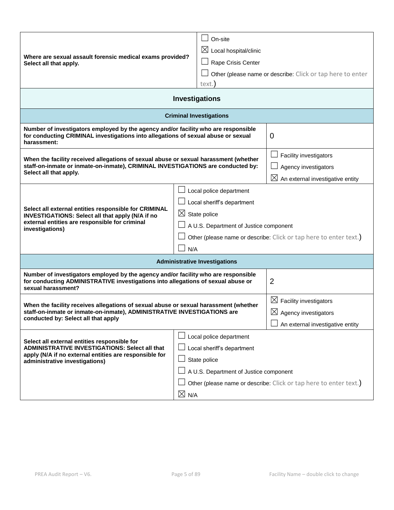| Where are sexual assault forensic medical exams provided?<br>Select all that apply.                                                                                                               |                                                                   | On-site                                                           |                                    |  |
|---------------------------------------------------------------------------------------------------------------------------------------------------------------------------------------------------|-------------------------------------------------------------------|-------------------------------------------------------------------|------------------------------------|--|
|                                                                                                                                                                                                   |                                                                   | $\boxtimes$ Local hospital/clinic                                 |                                    |  |
|                                                                                                                                                                                                   |                                                                   | Rape Crisis Center                                                |                                    |  |
|                                                                                                                                                                                                   |                                                                   | Other (please name or describe: Click or tap here to enter        |                                    |  |
|                                                                                                                                                                                                   |                                                                   | text.                                                             |                                    |  |
| <b>Investigations</b>                                                                                                                                                                             |                                                                   |                                                                   |                                    |  |
| <b>Criminal Investigations</b>                                                                                                                                                                    |                                                                   |                                                                   |                                    |  |
| Number of investigators employed by the agency and/or facility who are responsible<br>for conducting CRIMINAL investigations into allegations of sexual abuse or sexual<br>harassment:            |                                                                   | 0                                                                 |                                    |  |
|                                                                                                                                                                                                   |                                                                   |                                                                   | Facility investigators             |  |
| When the facility received allegations of sexual abuse or sexual harassment (whether<br>staff-on-inmate or inmate-on-inmate), CRIMINAL INVESTIGATIONS are conducted by:                           |                                                                   |                                                                   | Agency investigators               |  |
| Select all that apply.                                                                                                                                                                            |                                                                   | $\boxtimes$ An external investigative entity                      |                                    |  |
|                                                                                                                                                                                                   |                                                                   | Local police department                                           |                                    |  |
|                                                                                                                                                                                                   | Local sheriff's department                                        |                                                                   |                                    |  |
| Select all external entities responsible for CRIMINAL<br>INVESTIGATIONS: Select all that apply (N/A if no                                                                                         | $\boxtimes$ State police                                          |                                                                   |                                    |  |
| external entities are responsible for criminal<br>investigations)                                                                                                                                 | A U.S. Department of Justice component                            |                                                                   |                                    |  |
|                                                                                                                                                                                                   | Other (please name or describe: Click or tap here to enter text.) |                                                                   |                                    |  |
|                                                                                                                                                                                                   |                                                                   | N/A                                                               |                                    |  |
|                                                                                                                                                                                                   |                                                                   | <b>Administrative Investigations</b>                              |                                    |  |
| Number of investigators employed by the agency and/or facility who are responsible<br>for conducting ADMINISTRATIVE investigations into allegations of sexual abuse or<br>sexual harassment?      |                                                                   | $\overline{2}$                                                    |                                    |  |
| When the facility receives allegations of sexual abuse or sexual harassment (whether                                                                                                              |                                                                   |                                                                   | $\boxtimes$ Facility investigators |  |
| staff-on-inmate or inmate-on-inmate), ADMINISTRATIVE INVESTIGATIONS are                                                                                                                           |                                                                   |                                                                   | $\boxtimes$ Agency investigators   |  |
| conducted by: Select all that apply                                                                                                                                                               |                                                                   |                                                                   | An external investigative entity   |  |
|                                                                                                                                                                                                   |                                                                   | Local police department                                           |                                    |  |
| Select all external entities responsible for<br><b>ADMINISTRATIVE INVESTIGATIONS: Select all that</b><br>apply (N/A if no external entities are responsible for<br>administrative investigations) | Local sheriff's department                                        |                                                                   |                                    |  |
|                                                                                                                                                                                                   | State police                                                      |                                                                   |                                    |  |
|                                                                                                                                                                                                   |                                                                   | A U.S. Department of Justice component                            |                                    |  |
|                                                                                                                                                                                                   |                                                                   | Other (please name or describe: Click or tap here to enter text.) |                                    |  |
|                                                                                                                                                                                                   | $\boxtimes$ N/A                                                   |                                                                   |                                    |  |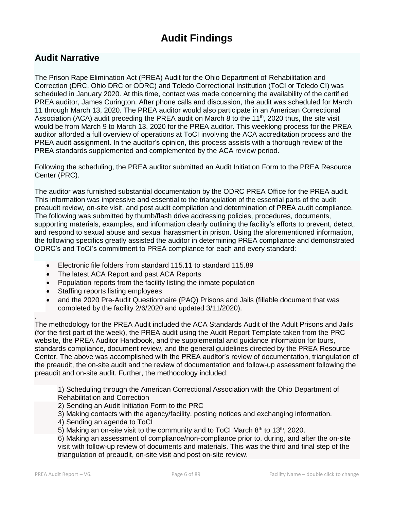# **Audit Findings**

# **Audit Narrative**

The Prison Rape Elimination Act (PREA) Audit for the Ohio Department of Rehabilitation and Correction (DRC, Ohio DRC or ODRC) and Toledo Correctional Institution (ToCI or Toledo CI) was scheduled in January 2020. At this time, contact was made concerning the availability of the certified PREA auditor, James Curington. After phone calls and discussion, the audit was scheduled for March 11 through March 13, 2020. The PREA auditor would also participate in an American Correctional Association (ACA) audit preceding the PREA audit on March 8 to the 11<sup>th</sup>, 2020 thus, the site visit would be from March 9 to March 13, 2020 for the PREA auditor. This weeklong process for the PREA auditor afforded a full overview of operations at ToCI involving the ACA accreditation process and the PREA audit assignment. In the auditor's opinion, this process assists with a thorough review of the PREA standards supplemented and complemented by the ACA review period.

Following the scheduling, the PREA auditor submitted an Audit Initiation Form to the PREA Resource Center (PRC).

The auditor was furnished substantial documentation by the ODRC PREA Office for the PREA audit. This information was impressive and essential to the triangulation of the essential parts of the audit preaudit review, on-site visit, and post audit compilation and determination of PREA audit compliance. The following was submitted by thumb/flash drive addressing policies, procedures, documents, supporting materials, examples, and information clearly outlining the facility's efforts to prevent, detect, and respond to sexual abuse and sexual harassment in prison. Using the aforementioned information, the following specifics greatly assisted the auditor in determining PREA compliance and demonstrated ODRC's and ToCI's commitment to PREA compliance for each and every standard:

- Electronic file folders from standard 115.11 to standard 115.89
- The latest ACA Report and past ACA Reports
- Population reports from the facility listing the inmate population
- Staffing reports listing employees
- and the 2020 Pre-Audit Questionnaire (PAQ) Prisons and Jails (fillable document that was completed by the facility 2/6/2020 and updated 3/11/2020).

The methodology for the PREA Audit included the ACA Standards Audit of the Adult Prisons and Jails (for the first part of the week), the PREA audit using the Audit Report Template taken from the PRC website, the PREA Auditor Handbook, and the supplemental and guidance information for tours, standards compliance, document review, and the general guidelines directed by the PREA Resource Center. The above was accomplished with the PREA auditor's review of documentation, triangulation of the preaudit, the on-site audit and the review of documentation and follow-up assessment following the preaudit and on-site audit. Further, the methodology included:

1) Scheduling through the American Correctional Association with the Ohio Department of Rehabilitation and Correction

- 2) Sending an Audit Initiation Form to the PRC
- 3) Making contacts with the agency/facility, posting notices and exchanging information.
- 4) Sending an agenda to ToCI
- 5) Making an on-site visit to the community and to ToCI March  $8<sup>th</sup>$  to 13<sup>th</sup>, 2020.

6) Making an assessment of compliance/non-compliance prior to, during, and after the on-site visit with follow-up review of documents and materials. This was the third and final step of the triangulation of preaudit, on-site visit and post on-site review.

.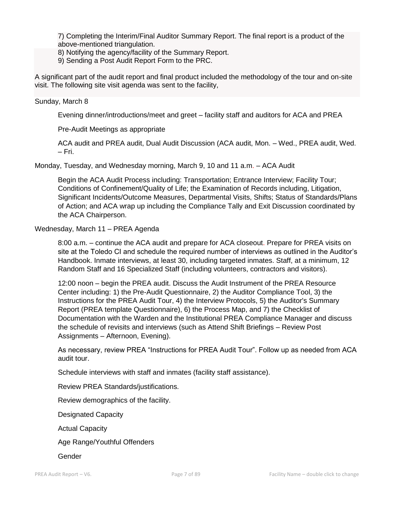7) Completing the Interim/Final Auditor Summary Report. The final report is a product of the above-mentioned triangulation.

- 8) Notifying the agency/facility of the Summary Report.
- 9) Sending a Post Audit Report Form to the PRC.

A significant part of the audit report and final product included the methodology of the tour and on-site visit. The following site visit agenda was sent to the facility,

#### Sunday, March 8

Evening dinner/introductions/meet and greet – facility staff and auditors for ACA and PREA

Pre-Audit Meetings as appropriate

ACA audit and PREA audit, Dual Audit Discussion (ACA audit, Mon. – Wed., PREA audit, Wed. – Fri.

Monday, Tuesday, and Wednesday morning, March 9, 10 and 11 a.m. – ACA Audit

Begin the ACA Audit Process including: Transportation; Entrance Interview; Facility Tour; Conditions of Confinement/Quality of Life; the Examination of Records including, Litigation, Significant Incidents/Outcome Measures, Departmental Visits, Shifts; Status of Standards/Plans of Action; and ACA wrap up including the Compliance Tally and Exit Discussion coordinated by the ACA Chairperson.

#### Wednesday, March 11 – PREA Agenda

8:00 a.m. – continue the ACA audit and prepare for ACA closeout. Prepare for PREA visits on site at the Toledo CI and schedule the required number of interviews as outlined in the Auditor's Handbook. Inmate interviews, at least 30, including targeted inmates. Staff, at a minimum, 12 Random Staff and 16 Specialized Staff (including volunteers, contractors and visitors).

12:00 noon – begin the PREA audit. Discuss the Audit Instrument of the PREA Resource Center including: 1) the Pre-Audit Questionnaire, 2) the Auditor Compliance Tool, 3) the Instructions for the PREA Audit Tour, 4) the Interview Protocols, 5) the Auditor's Summary Report (PREA template Questionnaire), 6) the Process Map, and 7) the Checklist of Documentation with the Warden and the Institutional PREA Compliance Manager and discuss the schedule of revisits and interviews (such as Attend Shift Briefings – Review Post Assignments – Afternoon, Evening).

As necessary, review PREA "Instructions for PREA Audit Tour". Follow up as needed from ACA audit tour.

Schedule interviews with staff and inmates (facility staff assistance).

Review PREA Standards/justifications.

Review demographics of the facility.

Designated Capacity

Actual Capacity

Age Range/Youthful Offenders

Gender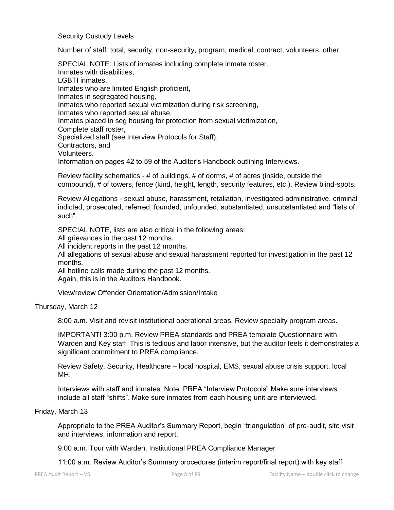Security Custody Levels

Number of staff: total, security, non-security, program, medical, contract, volunteers, other

SPECIAL NOTE: Lists of inmates including complete inmate roster. Inmates with disabilities, LGBTI inmates, Inmates who are limited English proficient, Inmates in segregated housing, Inmates who reported sexual victimization during risk screening, Inmates who reported sexual abuse, Inmates placed in seg housing for protection from sexual victimization, Complete staff roster, Specialized staff (see Interview Protocols for Staff), Contractors, and Volunteers. Information on pages 42 to 59 of the Auditor's Handbook outlining Interviews.

Review facility schematics - # of buildings, # of dorms, # of acres (inside, outside the compound), # of towers, fence (kind, height, length, security features, etc.). Review blind-spots.

Review Allegations - sexual abuse, harassment, retaliation, investigated-administrative, criminal indicted, prosecuted, referred, founded, unfounded, substantiated, unsubstantiated and "lists of such".

SPECIAL NOTE, lists are also critical in the following areas:

All grievances in the past 12 months.

All incident reports in the past 12 months.

All allegations of sexual abuse and sexual harassment reported for investigation in the past 12 months.

All hotline calls made during the past 12 months. Again, this is in the Auditors Handbook.

View/review Offender Orientation/Admission/Intake

#### Thursday, March 12

8:00 a.m. Visit and revisit institutional operational areas. Review specialty program areas.

IMPORTANT! 3:00 p.m. Review PREA standards and PREA template Questionnaire with Warden and Key staff. This is tedious and labor intensive, but the auditor feels it demonstrates a significant commitment to PREA compliance.

Review Safety, Security, Healthcare – local hospital, EMS, sexual abuse crisis support, local MH.

Interviews with staff and inmates. Note: PREA "Interview Protocols" Make sure interviews include all staff "shifts". Make sure inmates from each housing unit are interviewed.

#### Friday, March 13

Appropriate to the PREA Auditor's Summary Report, begin "triangulation" of pre-audit, site visit and interviews, information and report.

9:00 a.m. Tour with Warden, Institutional PREA Compliance Manager

11:00 a.m. Review Auditor's Summary procedures (interim report/final report) with key staff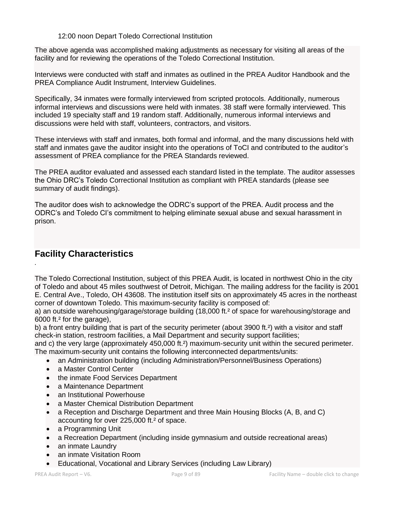#### 12:00 noon Depart Toledo Correctional Institution

The above agenda was accomplished making adjustments as necessary for visiting all areas of the facility and for reviewing the operations of the Toledo Correctional Institution.

Interviews were conducted with staff and inmates as outlined in the PREA Auditor Handbook and the PREA Compliance Audit Instrument, Interview Guidelines.

Specifically, 34 inmates were formally interviewed from scripted protocols. Additionally, numerous informal interviews and discussions were held with inmates. 38 staff were formally interviewed. This included 19 specialty staff and 19 random staff. Additionally, numerous informal interviews and discussions were held with staff, volunteers, contractors, and visitors.

These interviews with staff and inmates, both formal and informal, and the many discussions held with staff and inmates gave the auditor insight into the operations of ToCI and contributed to the auditor's assessment of PREA compliance for the PREA Standards reviewed.

The PREA auditor evaluated and assessed each standard listed in the template. The auditor assesses the Ohio DRC's Toledo Correctional Institution as compliant with PREA standards (please see summary of audit findings).

The auditor does wish to acknowledge the ODRC's support of the PREA. Audit process and the ODRC's and Toledo CI's commitment to helping eliminate sexual abuse and sexual harassment in prison.

# **Facility Characteristics**

*.*

The Toledo Correctional Institution, subject of this PREA Audit, is located in northwest Ohio in the city of Toledo and about 45 miles southwest of Detroit, Michigan. The mailing address for the facility is 2001 E. Central Ave., Toledo, OH 43608. The institution itself sits on approximately 45 acres in the northeast corner of downtown Toledo. This maximum-security facility is composed of:

a) an outside warehousing/garage/storage building (18,000 ft.² of space for warehousing/storage and 6000 ft.² for the garage),

b) a front entry building that is part of the security perimeter (about 3900 ft.²) with a visitor and staff check-in station, restroom facilities, a Mail Department and security support facilities;

and c) the very large (approximately 450,000 ft.<sup>2</sup>) maximum-security unit within the secured perimeter. The maximum-security unit contains the following interconnected departments/units:

- an Administration building (including Administration/Personnel/Business Operations)
- a Master Control Center
- the inmate Food Services Department
- a Maintenance Department
- an Institutional Powerhouse
- a Master Chemical Distribution Department
- a Reception and Discharge Department and three Main Housing Blocks (A, B, and C) accounting for over 225,000 ft.² of space.
- a Programming Unit
- a Recreation Department (including inside gymnasium and outside recreational areas)
- an inmate Laundry
- an inmate Visitation Room
- Educational, Vocational and Library Services (including Law Library)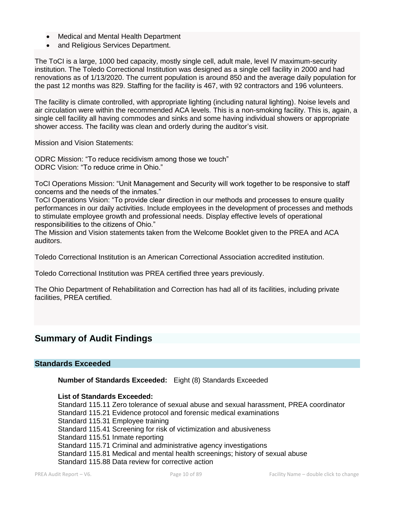- Medical and Mental Health Department
- and Religious Services Department.

The ToCI is a large, 1000 bed capacity, mostly single cell, adult male, level IV maximum-security institution. The Toledo Correctional Institution was designed as a single cell facility in 2000 and had renovations as of 1/13/2020. The current population is around 850 and the average daily population for the past 12 months was 829. Staffing for the facility is 467, with 92 contractors and 196 volunteers.

The facility is climate controlled, with appropriate lighting (including natural lighting). Noise levels and air circulation were within the recommended ACA levels. This is a non-smoking facility. This is, again, a single cell facility all having commodes and sinks and some having individual showers or appropriate shower access. The facility was clean and orderly during the auditor's visit.

Mission and Vision Statements:

ODRC Mission: "To reduce recidivism among those we touch" ODRC Vision: "To reduce crime in Ohio."

ToCI Operations Mission: "Unit Management and Security will work together to be responsive to staff concerns and the needs of the inmates."

ToCI Operations Vision: "To provide clear direction in our methods and processes to ensure quality performances in our daily activities. Include employees in the development of processes and methods to stimulate employee growth and professional needs. Display effective levels of operational responsibilities to the citizens of Ohio."

The Mission and Vision statements taken from the Welcome Booklet given to the PREA and ACA auditors.

Toledo Correctional Institution is an American Correctional Association accredited institution.

Toledo Correctional Institution was PREA certified three years previously.

The Ohio Department of Rehabilitation and Correction has had all of its facilities, including private facilities, PREA certified.

# **Summary of Audit Findings**

#### **Standards Exceeded**

**Number of Standards Exceeded:** Eight (8) Standards Exceeded

#### **List of Standards Exceeded:**

Standard 115.11 Zero tolerance of sexual abuse and sexual harassment, PREA coordinator Standard 115.21 Evidence protocol and forensic medical examinations Standard 115.31 Employee training Standard 115.41 Screening for risk of victimization and abusiveness Standard 115.51 Inmate reporting Standard 115.71 Criminal and administrative agency investigations Standard 115.81 Medical and mental health screenings; history of sexual abuse Standard 115.88 Data review for corrective action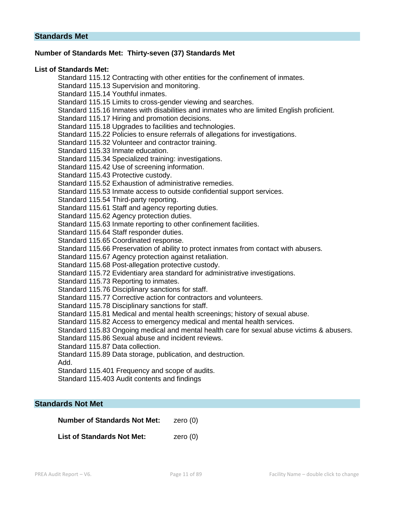# **Number of Standards Met: Thirty-seven (37) Standards Met**

#### **List of Standards Met:**

Standard 115.12 Contracting with other entities for the confinement of inmates. Standard 115.13 Supervision and monitoring. Standard 115.14 Youthful inmates. Standard 115.15 Limits to cross-gender viewing and searches. Standard 115.16 Inmates with disabilities and inmates who are limited English proficient. Standard 115.17 Hiring and promotion decisions. Standard 115.18 Upgrades to facilities and technologies. Standard 115.22 Policies to ensure referrals of allegations for investigations. Standard 115.32 Volunteer and contractor training. Standard 115.33 Inmate education. Standard 115.34 Specialized training: investigations. Standard 115.42 Use of screening information. Standard 115.43 Protective custody. Standard 115.52 Exhaustion of administrative remedies. Standard 115.53 Inmate access to outside confidential support services. Standard 115.54 Third-party reporting. Standard 115.61 Staff and agency reporting duties. Standard 115.62 Agency protection duties. Standard 115.63 Inmate reporting to other confinement facilities. Standard 115.64 Staff responder duties. Standard 115.65 Coordinated response. Standard 115.66 Preservation of ability to protect inmates from contact with abusers. Standard 115.67 Agency protection against retaliation. Standard 115.68 Post-allegation protective custody. Standard 115.72 Evidentiary area standard for administrative investigations. Standard 115.73 Reporting to inmates. Standard 115.76 Disciplinary sanctions for staff. Standard 115.77 Corrective action for contractors and volunteers. Standard 115.78 Disciplinary sanctions for staff. Standard 115.81 Medical and mental health screenings; history of sexual abuse. Standard 115.82 Access to emergency medical and mental health services. Standard 115.83 Ongoing medical and mental health care for sexual abuse victims & abusers. Standard 115.86 Sexual abuse and incident reviews. Standard 115.87 Data collection. Standard 115.89 Data storage, publication, and destruction. Add. Standard 115.401 Frequency and scope of audits. Standard 115.403 Audit contents and findings

# **Standards Not Met**

**Number of Standards Not Met:** zero (0)

**List of Standards Not Met: zero (0)**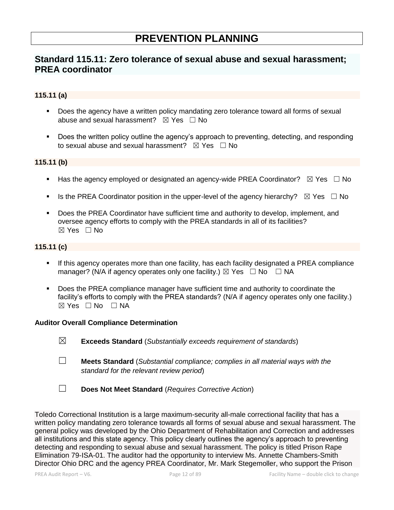# **Standard 115.11: Zero tolerance of sexual abuse and sexual harassment; PREA coordinator**

# **115.11 (a)**

- **•** Does the agency have a written policy mandating zero tolerance toward all forms of sexual abuse and sexual harassment?  $\boxtimes$  Yes  $\Box$  No
- Does the written policy outline the agency's approach to preventing, detecting, and responding to sexual abuse and sexual harassment?  $\boxtimes$  Yes  $\Box$  No

#### **115.11 (b)**

- **■** Has the agency employed or designated an agency-wide PREA Coordinator?  $\boxtimes$  Yes  $\Box$  No
- **■** Is the PREA Coordinator position in the upper-level of the agency hierarchy?  $\boxtimes$  Yes  $\Box$  No
- Does the PREA Coordinator have sufficient time and authority to develop, implement, and oversee agency efforts to comply with the PREA standards in all of its facilities?  $\boxtimes$  Yes  $\Box$  No

#### **115.11 (c)**

- If this agency operates more than one facility, has each facility designated a PREA compliance manager? (N/A if agency operates only one facility.)  $\boxtimes$  Yes  $\Box$  No  $\Box$  NA
- **•** Does the PREA compliance manager have sufficient time and authority to coordinate the facility's efforts to comply with the PREA standards? (N/A if agency operates only one facility.)  $\boxtimes$  Yes  $\Box$  No  $\Box$  NA

#### **Auditor Overall Compliance Determination**

- ☒ **Exceeds Standard** (*Substantially exceeds requirement of standards*)
- ☐ **Meets Standard** (*Substantial compliance; complies in all material ways with the standard for the relevant review period*)
- ☐ **Does Not Meet Standard** (*Requires Corrective Action*)

Toledo Correctional Institution is a large maximum-security all-male correctional facility that has a written policy mandating zero tolerance towards all forms of sexual abuse and sexual harassment. The general policy was developed by the Ohio Department of Rehabilitation and Correction and addresses all institutions and this state agency. This policy clearly outlines the agency's approach to preventing detecting and responding to sexual abuse and sexual harassment. The policy is titled Prison Rape Elimination 79-ISA-01. The auditor had the opportunity to interview Ms. Annette Chambers-Smith Director Ohio DRC and the agency PREA Coordinator, Mr. Mark Stegemoller, who support the Prison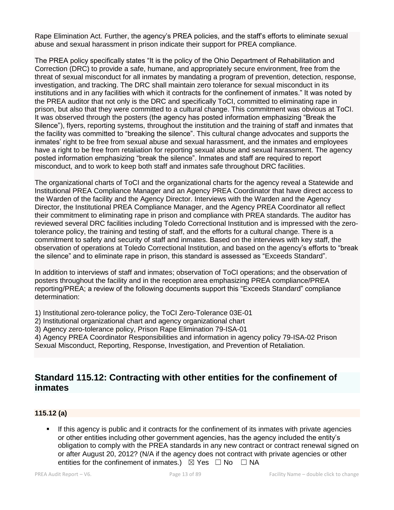Rape Elimination Act. Further, the agency's PREA policies, and the staff's efforts to eliminate sexual abuse and sexual harassment in prison indicate their support for PREA compliance.

The PREA policy specifically states "It is the policy of the Ohio Department of Rehabilitation and Correction (DRC) to provide a safe, humane, and appropriately secure environment, free from the threat of sexual misconduct for all inmates by mandating a program of prevention, detection, response, investigation, and tracking. The DRC shall maintain zero tolerance for sexual misconduct in its institutions and in any facilities with which it contracts for the confinement of inmates." It was noted by the PREA auditor that not only is the DRC and specifically ToCI, committed to eliminating rape in prison, but also that they were committed to a cultural change. This commitment was obvious at ToCI. It was observed through the posters (the agency has posted information emphasizing "Break the Silence"), flyers, reporting systems, throughout the institution and the training of staff and inmates that the facility was committed to "breaking the silence". This cultural change advocates and supports the inmates' right to be free from sexual abuse and sexual harassment, and the inmates and employees have a right to be free from retaliation for reporting sexual abuse and sexual harassment. The agency posted information emphasizing "break the silence". Inmates and staff are required to report misconduct, and to work to keep both staff and inmates safe throughout DRC facilities.

The organizational charts of ToCI and the organizational charts for the agency reveal a Statewide and Institutional PREA Compliance Manager and an Agency PREA Coordinator that have direct access to the Warden of the facility and the Agency Director. Interviews with the Warden and the Agency Director, the Institutional PREA Compliance Manager, and the Agency PREA Coordinator all reflect their commitment to eliminating rape in prison and compliance with PREA standards. The auditor has reviewed several DRC facilities including Toledo Correctional Institution and is impressed with the zerotolerance policy, the training and testing of staff, and the efforts for a cultural change. There is a commitment to safety and security of staff and inmates. Based on the interviews with key staff, the observation of operations at Toledo Correctional Institution, and based on the agency's efforts to "break the silence" and to eliminate rape in prison, this standard is assessed as "Exceeds Standard".

In addition to interviews of staff and inmates; observation of ToCI operations; and the observation of posters throughout the facility and in the reception area emphasizing PREA compliance/PREA reporting/PREA; a review of the following documents support this "Exceeds Standard" compliance determination:

1) Institutional zero-tolerance policy, the ToCI Zero-Tolerance 03E-01

2) Institutional organizational chart and agency organizational chart

3) Agency zero-tolerance policy, Prison Rape Elimination 79-ISA-01

4) Agency PREA Coordinator Responsibilities and information in agency policy 79-ISA-02 Prison Sexual Misconduct, Reporting, Response, Investigation, and Prevention of Retaliation.

# **Standard 115.12: Contracting with other entities for the confinement of inmates**

# **115.12 (a)**

If this agency is public and it contracts for the confinement of its inmates with private agencies or other entities including other government agencies, has the agency included the entity's obligation to comply with the PREA standards in any new contract or contract renewal signed on or after August 20, 2012? (N/A if the agency does not contract with private agencies or other entities for the confinement of inmates.)  $\boxtimes$  Yes  $\Box$  No  $\Box$  NA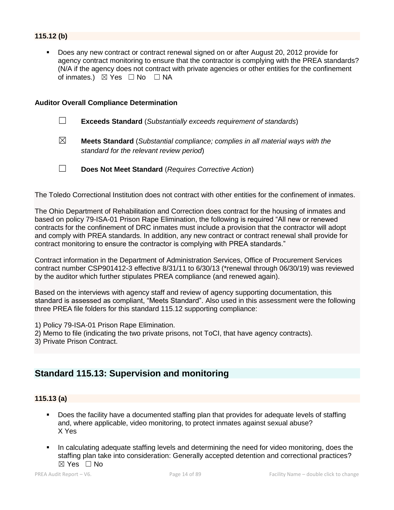# **115.12 (b)**

Does any new contract or contract renewal signed on or after August 20, 2012 provide for agency contract monitoring to ensure that the contractor is complying with the PREA standards? (N/A if the agency does not contract with private agencies or other entities for the confinement of inmates.)  $\boxtimes$  Yes  $\Box$  No  $\Box$  NA

#### **Auditor Overall Compliance Determination**

- ☐ **Exceeds Standard** (*Substantially exceeds requirement of standards*)
- ☒ **Meets Standard** (*Substantial compliance; complies in all material ways with the standard for the relevant review period*)
- ☐ **Does Not Meet Standard** (*Requires Corrective Action*)

The Toledo Correctional Institution does not contract with other entities for the confinement of inmates.

The Ohio Department of Rehabilitation and Correction does contract for the housing of inmates and based on policy 79-ISA-01 Prison Rape Elimination, the following is required "All new or renewed contracts for the confinement of DRC inmates must include a provision that the contractor will adopt and comply with PREA standards. In addition, any new contract or contract renewal shall provide for contract monitoring to ensure the contractor is complying with PREA standards."

Contract information in the Department of Administration Services, Office of Procurement Services contract number CSP901412-3 effective 8/31/11 to 6/30/13 (\*renewal through 06/30/19) was reviewed by the auditor which further stipulates PREA compliance (and renewed again).

Based on the interviews with agency staff and review of agency supporting documentation, this standard is assessed as compliant, "Meets Standard". Also used in this assessment were the following three PREA file folders for this standard 115.12 supporting compliance:

- 1) Policy 79-ISA-01 Prison Rape Elimination.
- 2) Memo to file (indicating the two private prisons, not ToCI, that have agency contracts).
- 3) Private Prison Contract.

# **Standard 115.13: Supervision and monitoring**

#### **115.13 (a)**

- Does the facility have a documented staffing plan that provides for adequate levels of staffing and, where applicable, video monitoring, to protect inmates against sexual abuse? X Yes
- In calculating adequate staffing levels and determining the need for video monitoring, does the staffing plan take into consideration: Generally accepted detention and correctional practices?  $\boxtimes$  Yes  $\Box$  No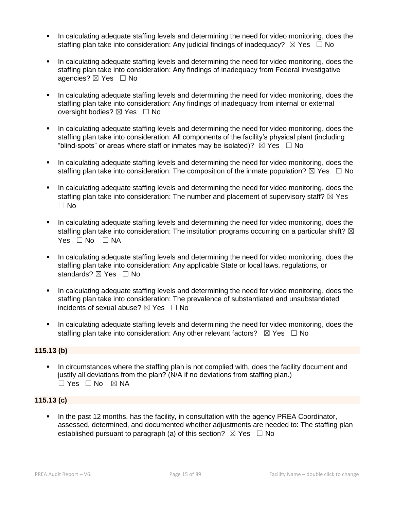- In calculating adequate staffing levels and determining the need for video monitoring, does the staffing plan take into consideration: Any judicial findings of inadequacy?  $\boxtimes$  Yes  $\Box$  No
- In calculating adequate staffing levels and determining the need for video monitoring, does the staffing plan take into consideration: Any findings of inadequacy from Federal investigative agencies? ⊠ Yes □ No
- In calculating adequate staffing levels and determining the need for video monitoring, does the staffing plan take into consideration: Any findings of inadequacy from internal or external oversight bodies? ⊠ Yes □ No
- In calculating adequate staffing levels and determining the need for video monitoring, does the staffing plan take into consideration: All components of the facility's physical plant (including "blind-spots" or areas where staff or inmates may be isolated)?  $\boxtimes$  Yes  $\Box$  No
- In calculating adequate staffing levels and determining the need for video monitoring, does the staffing plan take into consideration: The composition of the inmate population?  $\boxtimes$  Yes  $\Box$  No
- In calculating adequate staffing levels and determining the need for video monitoring, does the staffing plan take into consideration: The number and placement of supervisory staff?  $\boxtimes$  Yes  $\square$  No
- In calculating adequate staffing levels and determining the need for video monitoring, does the staffing plan take into consideration: The institution programs occurring on a particular shift?  $\boxtimes$ Yes □ No □ NA
- In calculating adequate staffing levels and determining the need for video monitoring, does the staffing plan take into consideration: Any applicable State or local laws, regulations, or standards? ⊠ Yes □ No
- In calculating adequate staffing levels and determining the need for video monitoring, does the staffing plan take into consideration: The prevalence of substantiated and unsubstantiated incidents of sexual abuse?  $\boxtimes$  Yes  $\Box$  No
- **•** In calculating adequate staffing levels and determining the need for video monitoring, does the staffing plan take into consideration: Any other relevant factors?  $\boxtimes$  Yes  $\Box$  No

# **115.13 (b)**

▪ In circumstances where the staffing plan is not complied with, does the facility document and justify all deviations from the plan? (N/A if no deviations from staffing plan.) ☐ Yes ☐ No ☒ NA

## **115.13 (c)**

In the past 12 months, has the facility, in consultation with the agency PREA Coordinator, assessed, determined, and documented whether adjustments are needed to: The staffing plan established pursuant to paragraph (a) of this section?  $\boxtimes$  Yes  $\Box$  No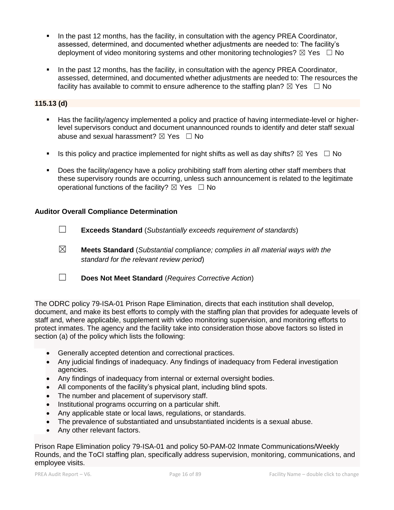- In the past 12 months, has the facility, in consultation with the agency PREA Coordinator, assessed, determined, and documented whether adjustments are needed to: The facility's deployment of video monitoring systems and other monitoring technologies?  $\boxtimes$  Yes  $\Box$  No
- In the past 12 months, has the facility, in consultation with the agency PREA Coordinator, assessed, determined, and documented whether adjustments are needed to: The resources the facility has available to commit to ensure adherence to the staffing plan?  $\boxtimes$  Yes  $\Box$  No

#### **115.13 (d)**

- Has the facility/agency implemented a policy and practice of having intermediate-level or higherlevel supervisors conduct and document unannounced rounds to identify and deter staff sexual abuse and sexual harassment?  $\boxtimes$  Yes  $\Box$  No
- **■** Is this policy and practice implemented for night shifts as well as day shifts?  $\boxtimes$  Yes  $\Box$  No
- Does the facility/agency have a policy prohibiting staff from alerting other staff members that these supervisory rounds are occurring, unless such announcement is related to the legitimate operational functions of the facility?  $\boxtimes$  Yes  $\Box$  No

#### **Auditor Overall Compliance Determination**

- ☐ **Exceeds Standard** (*Substantially exceeds requirement of standards*)
- ☒ **Meets Standard** (*Substantial compliance; complies in all material ways with the standard for the relevant review period*)
- ☐ **Does Not Meet Standard** (*Requires Corrective Action*)

The ODRC policy 79-ISA-01 Prison Rape Elimination, directs that each institution shall develop, document, and make its best efforts to comply with the staffing plan that provides for adequate levels of staff and, where applicable, supplement with video monitoring supervision, and monitoring efforts to protect inmates. The agency and the facility take into consideration those above factors so listed in section (a) of the policy which lists the following:

- Generally accepted detention and correctional practices.
- Any judicial findings of inadequacy. Any findings of inadequacy from Federal investigation agencies.
- Any findings of inadequacy from internal or external oversight bodies.
- All components of the facility's physical plant, including blind spots.
- The number and placement of supervisory staff.
- Institutional programs occurring on a particular shift.
- Any applicable state or local laws, regulations, or standards.
- The prevalence of substantiated and unsubstantiated incidents is a sexual abuse.
- Any other relevant factors.

Prison Rape Elimination policy 79-ISA-01 and policy 50-PAM-02 Inmate Communications/Weekly Rounds, and the ToCI staffing plan, specifically address supervision, monitoring, communications, and employee visits.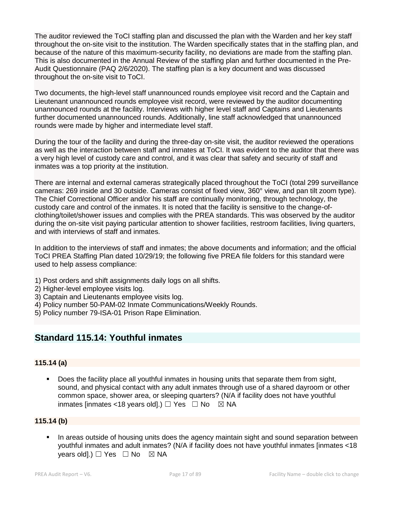The auditor reviewed the ToCI staffing plan and discussed the plan with the Warden and her key staff throughout the on-site visit to the institution. The Warden specifically states that in the staffing plan, and because of the nature of this maximum-security facility, no deviations are made from the staffing plan. This is also documented in the Annual Review of the staffing plan and further documented in the Pre-Audit Questionnaire (PAQ 2/6/2020). The staffing plan is a key document and was discussed throughout the on-site visit to ToCI.

Two documents, the high-level staff unannounced rounds employee visit record and the Captain and Lieutenant unannounced rounds employee visit record, were reviewed by the auditor documenting unannounced rounds at the facility. Interviews with higher level staff and Captains and Lieutenants further documented unannounced rounds. Additionally, line staff acknowledged that unannounced rounds were made by higher and intermediate level staff.

During the tour of the facility and during the three-day on-site visit, the auditor reviewed the operations as well as the interaction between staff and inmates at ToCI. It was evident to the auditor that there was a very high level of custody care and control, and it was clear that safety and security of staff and inmates was a top priority at the institution.

There are internal and external cameras strategically placed throughout the ToCI (total 299 surveillance cameras: 269 inside and 30 outside. Cameras consist of fixed view, 360° view, and pan tilt zoom type). The Chief Correctional Officer and/or his staff are continually monitoring, through technology, the custody care and control of the inmates. It is noted that the facility is sensitive to the change-ofclothing/toilet/shower issues and complies with the PREA standards. This was observed by the auditor during the on-site visit paying particular attention to shower facilities, restroom facilities, living quarters, and with interviews of staff and inmates.

In addition to the interviews of staff and inmates; the above documents and information; and the official ToCI PREA Staffing Plan dated 10/29/19; the following five PREA file folders for this standard were used to help assess compliance:

- 1) Post orders and shift assignments daily logs on all shifts.
- 2) Higher-level employee visits log.
- 3) Captain and Lieutenants employee visits log.
- 4) Policy number 50-PAM-02 Inmate Communications/Weekly Rounds.
- 5) Policy number 79-ISA-01 Prison Rape Elimination.

# **Standard 115.14: Youthful inmates**

## **115.14 (a)**

Does the facility place all youthful inmates in housing units that separate them from sight, sound, and physical contact with any adult inmates through use of a shared dayroom or other common space, shower area, or sleeping quarters? (N/A if facility does not have youthful inmates [inmates <18 years old].)  $\Box$  Yes  $\Box$  No  $\boxtimes$  NA

## **115.14 (b)**

In areas outside of housing units does the agency maintain sight and sound separation between youthful inmates and adult inmates? (N/A if facility does not have youthful inmates [inmates <18 years old].)  $\Box$  Yes  $\Box$  No  $\boxtimes$  NA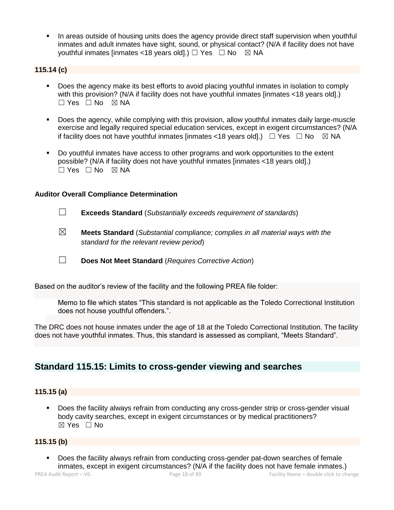**•** In areas outside of housing units does the agency provide direct staff supervision when youthful inmates and adult inmates have sight, sound, or physical contact? (N/A if facility does not have youthful inmates [inmates <18 years old].)  $\Box$  Yes  $\Box$  No  $\boxtimes$  NA

## **115.14 (c)**

- Does the agency make its best efforts to avoid placing youthful inmates in isolation to comply with this provision? (N/A if facility does not have youthful inmates [inmates <18 years old].) ☐ Yes ☐ No ☒ NA
- Does the agency, while complying with this provision, allow youthful inmates daily large-muscle exercise and legally required special education services, except in exigent circumstances? (N/A if facility does not have youthful inmates [inmates <18 years old].)  $\Box$  Yes  $\Box$  No  $\boxtimes$  NA
- Do youthful inmates have access to other programs and work opportunities to the extent possible? (N/A if facility does not have youthful inmates [inmates <18 years old].) ☐ Yes ☐ No ☒ NA

#### **Auditor Overall Compliance Determination**

- ☐ **Exceeds Standard** (*Substantially exceeds requirement of standards*)
- ☒ **Meets Standard** (*Substantial compliance; complies in all material ways with the standard for the relevant review period*)
- ☐ **Does Not Meet Standard** (*Requires Corrective Action*)

Based on the auditor's review of the facility and the following PREA file folder:

Memo to file which states "This standard is not applicable as the Toledo Correctional Institution does not house youthful offenders.".

The DRC does not house inmates under the age of 18 at the Toledo Correctional Institution. The facility does not have youthful inmates. Thus, this standard is assessed as compliant, "Meets Standard".

# **Standard 115.15: Limits to cross-gender viewing and searches**

## **115.15 (a)**

Does the facility always refrain from conducting any cross-gender strip or cross-gender visual body cavity searches, except in exigent circumstances or by medical practitioners? ☒ Yes ☐ No

#### **115.15 (b)**

PREA Audit Report – V6. Page 18 of 89 Facility Name – double click to change Does the facility always refrain from conducting cross-gender pat-down searches of female inmates, except in exigent circumstances? (N/A if the facility does not have female inmates.)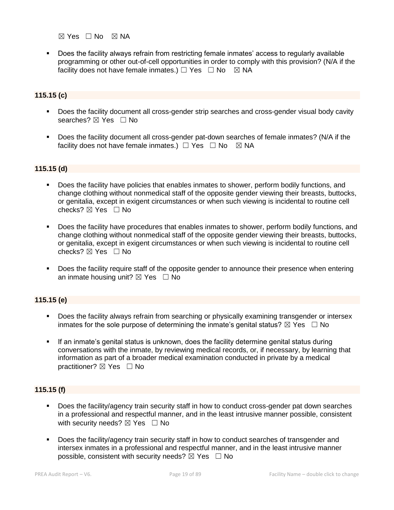$\boxtimes$  Yes  $\Box$  No  $\boxtimes$  NA

Does the facility always refrain from restricting female inmates' access to regularly available programming or other out-of-cell opportunities in order to comply with this provision? (N/A if the facility does not have female inmates.)  $\Box$  Yes  $\Box$  No  $\boxtimes$  NA

## **115.15 (c)**

- **•** Does the facility document all cross-gender strip searches and cross-gender visual body cavity searches? ⊠ Yes □ No
- Does the facility document all cross-gender pat-down searches of female inmates? (N/A if the facility does not have female inmates.)  $\Box$  Yes  $\Box$  No  $\boxtimes$  NA

#### **115.15 (d)**

- Does the facility have policies that enables inmates to shower, perform bodily functions, and change clothing without nonmedical staff of the opposite gender viewing their breasts, buttocks, or genitalia, except in exigent circumstances or when such viewing is incidental to routine cell checks? ☒ Yes ☐ No
- Does the facility have procedures that enables inmates to shower, perform bodily functions, and change clothing without nonmedical staff of the opposite gender viewing their breasts, buttocks, or genitalia, except in exigent circumstances or when such viewing is incidental to routine cell checks? ☒ Yes ☐ No
- Does the facility require staff of the opposite gender to announce their presence when entering an inmate housing unit?  $\boxtimes$  Yes  $\Box$  No

#### **115.15 (e)**

- **•** Does the facility always refrain from searching or physically examining transgender or intersex inmates for the sole purpose of determining the inmate's genital status?  $\boxtimes$  Yes  $\Box$  No
- If an inmate's genital status is unknown, does the facility determine genital status during conversations with the inmate, by reviewing medical records, or, if necessary, by learning that information as part of a broader medical examination conducted in private by a medical practitioner? ⊠ Yes □ No

## **115.15 (f)**

- Does the facility/agency train security staff in how to conduct cross-gender pat down searches in a professional and respectful manner, and in the least intrusive manner possible, consistent with security needs?  $\boxtimes$  Yes  $\Box$  No
- Does the facility/agency train security staff in how to conduct searches of transgender and intersex inmates in a professional and respectful manner, and in the least intrusive manner possible, consistent with security needs?  $\boxtimes$  Yes  $\Box$  No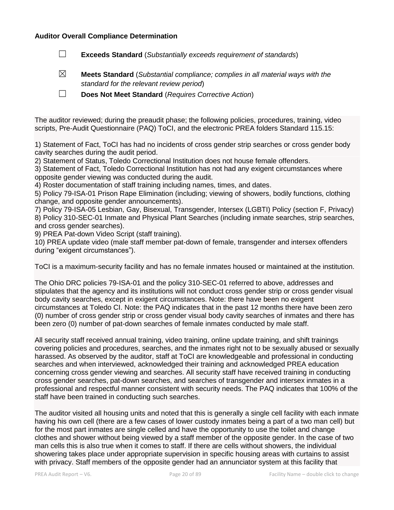#### **Auditor Overall Compliance Determination**

- ☐ **Exceeds Standard** (*Substantially exceeds requirement of standards*)
- ☒ **Meets Standard** (*Substantial compliance; complies in all material ways with the standard for the relevant review period*)
- ☐ **Does Not Meet Standard** (*Requires Corrective Action*)

The auditor reviewed; during the preaudit phase; the following policies, procedures, training, video scripts, Pre-Audit Questionnaire (PAQ) ToCI, and the electronic PREA folders Standard 115.15:

1) Statement of Fact, ToCI has had no incidents of cross gender strip searches or cross gender body cavity searches during the audit period.

2) Statement of Status, Toledo Correctional Institution does not house female offenders.

3) Statement of Fact, Toledo Correctional Institution has not had any exigent circumstances where opposite gender viewing was conducted during the audit.

4) Roster documentation of staff training including names, times, and dates.

5) Policy 79-ISA-01 Prison Rape Elimination (including; viewing of showers, bodily functions, clothing change, and opposite gender announcements).

7) Policy 79-ISA-05 Lesbian, Gay, Bisexual, Transgender, Intersex (LGBTI) Policy (section F, Privacy) 8) Policy 310-SEC-01 Inmate and Physical Plant Searches (including inmate searches, strip searches, and cross gender searches).

9) PREA Pat-down Video Script (staff training).

10) PREA update video (male staff member pat-down of female, transgender and intersex offenders during "exigent circumstances").

ToCI is a maximum-security facility and has no female inmates housed or maintained at the institution.

The Ohio DRC policies 79-ISA-01 and the policy 310-SEC-01 referred to above, addresses and stipulates that the agency and its institutions will not conduct cross gender strip or cross gender visual body cavity searches, except in exigent circumstances. Note: there have been no exigent circumstances at Toledo CI. Note: the PAQ indicates that in the past 12 months there have been zero (0) number of cross gender strip or cross gender visual body cavity searches of inmates and there has been zero (0) number of pat-down searches of female inmates conducted by male staff.

All security staff received annual training, video training, online update training, and shift trainings covering policies and procedures, searches, and the inmates right not to be sexually abused or sexually harassed. As observed by the auditor, staff at ToCI are knowledgeable and professional in conducting searches and when interviewed, acknowledged their training and acknowledged PREA education concerning cross gender viewing and searches. All security staff have received training in conducting cross gender searches, pat-down searches, and searches of transgender and intersex inmates in a professional and respectful manner consistent with security needs. The PAQ indicates that 100% of the staff have been trained in conducting such searches.

The auditor visited all housing units and noted that this is generally a single cell facility with each inmate having his own cell (there are a few cases of lower custody inmates being a part of a two man cell) but for the most part inmates are single celled and have the opportunity to use the toilet and change clothes and shower without being viewed by a staff member of the opposite gender. In the case of two man cells this is also true when it comes to staff. If there are cells without showers, the individual showering takes place under appropriate supervision in specific housing areas with curtains to assist with privacy. Staff members of the opposite gender had an annunciator system at this facility that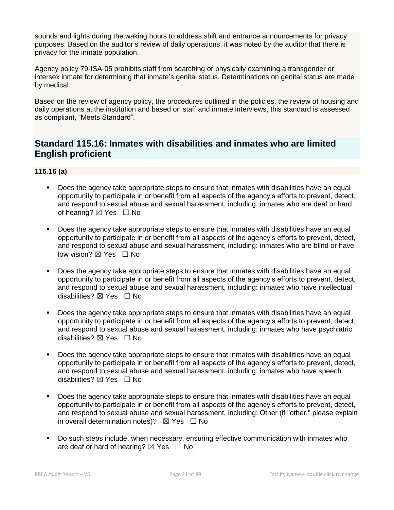sounds and lights during the waking hours to address shift and entrance announcements for privacy purposes. Based on the auditor's review of daily operations, it was noted by the auditor that there is privacy for the inmate population.

Agency policy 79-ISA-05 prohibits staff from searching or physically examining a transgender or intersex inmate for determining that inmate's genital status. Determinations on genital status are made by medical.

Based on the review of agency policy, the procedures outlined in the policies, the review of housing and daily operations at the institution and based on staff and inmate interviews, this standard is assessed as compliant, "Meets Standard".

# **Standard 115.16: Inmates with disabilities and inmates who are limited English proficient**

# **115.16 (a)**

- Does the agency take appropriate steps to ensure that inmates with disabilities have an equal opportunity to participate in or benefit from all aspects of the agency's efforts to prevent, detect, and respond to sexual abuse and sexual harassment, including: inmates who are deaf or hard of hearing?  $\boxtimes$  Yes  $\Box$  No
- Does the agency take appropriate steps to ensure that inmates with disabilities have an equal opportunity to participate in or benefit from all aspects of the agency's efforts to prevent, detect, and respond to sexual abuse and sexual harassment, including: inmates who are blind or have low vision?  $\boxtimes$  Yes  $\Box$  No
- Does the agency take appropriate steps to ensure that inmates with disabilities have an equal opportunity to participate in or benefit from all aspects of the agency's efforts to prevent, detect, and respond to sexual abuse and sexual harassment, including: inmates who have intellectual disabilities?  $\nabla$  Yes  $\Box$  No
- Does the agency take appropriate steps to ensure that inmates with disabilities have an equal opportunity to participate in or benefit from all aspects of the agency's efforts to prevent, detect, and respond to sexual abuse and sexual harassment, including: inmates who have psychiatric disabilities?  $\boxtimes$  Yes  $\Box$  No
- Does the agency take appropriate steps to ensure that inmates with disabilities have an equal opportunity to participate in or benefit from all aspects of the agency's efforts to prevent, detect, and respond to sexual abuse and sexual harassment, including: inmates who have speech disabilities?  $\boxtimes$  Yes  $\Box$  No
- Does the agency take appropriate steps to ensure that inmates with disabilities have an equal opportunity to participate in or benefit from all aspects of the agency's efforts to prevent, detect, and respond to sexual abuse and sexual harassment, including: Other (if "other," please explain in overall determination notes)?  $\boxtimes$  Yes  $\Box$  No
- Do such steps include, when necessary, ensuring effective communication with inmates who are deaf or hard of hearing?  $\boxtimes$  Yes  $\Box$  No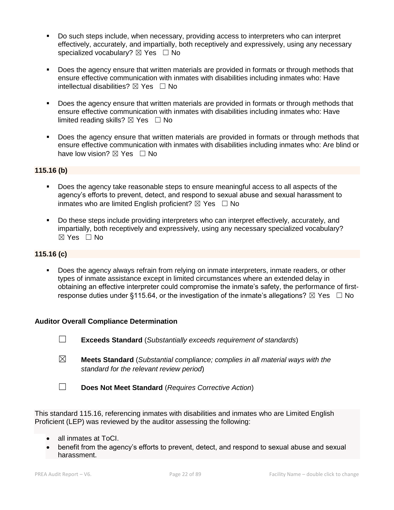- Do such steps include, when necessary, providing access to interpreters who can interpret effectively, accurately, and impartially, both receptively and expressively, using any necessary specialized vocabulary?  $\boxtimes$  Yes  $\Box$  No
- Does the agency ensure that written materials are provided in formats or through methods that ensure effective communication with inmates with disabilities including inmates who: Have intellectual disabilities?  $\boxtimes$  Yes  $\Box$  No
- Does the agency ensure that written materials are provided in formats or through methods that ensure effective communication with inmates with disabilities including inmates who: Have limited reading skills?  $\boxtimes$  Yes  $\Box$  No
- **•** Does the agency ensure that written materials are provided in formats or through methods that ensure effective communication with inmates with disabilities including inmates who: Are blind or have low vision?  $\boxtimes$  Yes  $\Box$  No

#### **115.16 (b)**

- Does the agency take reasonable steps to ensure meaningful access to all aspects of the agency's efforts to prevent, detect, and respond to sexual abuse and sexual harassment to inmates who are limited English proficient?  $\boxtimes$  Yes  $\Box$  No
- Do these steps include providing interpreters who can interpret effectively, accurately, and impartially, both receptively and expressively, using any necessary specialized vocabulary? ☒ Yes ☐ No

#### **115.16 (c)**

Does the agency always refrain from relying on inmate interpreters, inmate readers, or other types of inmate assistance except in limited circumstances where an extended delay in obtaining an effective interpreter could compromise the inmate's safety, the performance of firstresponse duties under §115.64, or the investigation of the inmate's allegations?  $\boxtimes$  Yes  $\Box$  No

#### **Auditor Overall Compliance Determination**

- ☐ **Exceeds Standard** (*Substantially exceeds requirement of standards*)
- ☒ **Meets Standard** (*Substantial compliance; complies in all material ways with the standard for the relevant review period*)
- ☐ **Does Not Meet Standard** (*Requires Corrective Action*)

This standard 115.16, referencing inmates with disabilities and inmates who are Limited English Proficient (LEP) was reviewed by the auditor assessing the following:

- all inmates at ToCI.
- benefit from the agency's efforts to prevent, detect, and respond to sexual abuse and sexual harassment.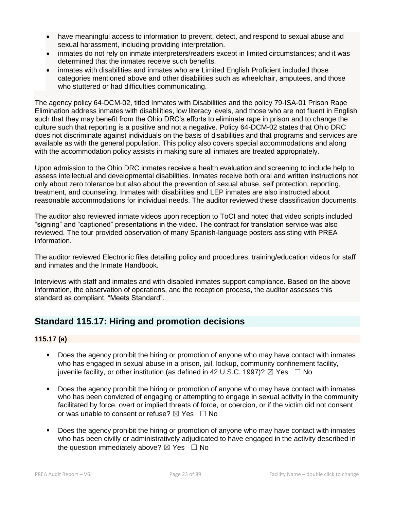- have meaningful access to information to prevent, detect, and respond to sexual abuse and sexual harassment, including providing interpretation.
- inmates do not rely on inmate interpreters/readers except in limited circumstances; and it was determined that the inmates receive such benefits.
- inmates with disabilities and inmates who are Limited English Proficient included those categories mentioned above and other disabilities such as wheelchair, amputees, and those who stuttered or had difficulties communicating.

The agency policy 64-DCM-02, titled Inmates with Disabilities and the policy 79-ISA-01 Prison Rape Elimination address inmates with disabilities, low literacy levels, and those who are not fluent in English such that they may benefit from the Ohio DRC's efforts to eliminate rape in prison and to change the culture such that reporting is a positive and not a negative. Policy 64-DCM-02 states that Ohio DRC does not discriminate against individuals on the basis of disabilities and that programs and services are available as with the general population. This policy also covers special accommodations and along with the accommodation policy assists in making sure all inmates are treated appropriately.

Upon admission to the Ohio DRC inmates receive a health evaluation and screening to include help to assess intellectual and developmental disabilities. Inmates receive both oral and written instructions not only about zero tolerance but also about the prevention of sexual abuse, self protection, reporting, treatment, and counseling. Inmates with disabilities and LEP inmates are also instructed about reasonable accommodations for individual needs. The auditor reviewed these classification documents.

The auditor also reviewed inmate videos upon reception to ToCI and noted that video scripts included "signing" and "captioned" presentations in the video. The contract for translation service was also reviewed. The tour provided observation of many Spanish-language posters assisting with PREA information.

The auditor reviewed Electronic files detailing policy and procedures, training/education videos for staff and inmates and the Inmate Handbook.

Interviews with staff and inmates and with disabled inmates support compliance. Based on the above information, the observation of operations, and the reception process, the auditor assesses this standard as compliant, "Meets Standard".

# **Standard 115.17: Hiring and promotion decisions**

# **115.17 (a)**

- Does the agency prohibit the hiring or promotion of anyone who may have contact with inmates who has engaged in sexual abuse in a prison, jail, lockup, community confinement facility, juvenile facility, or other institution (as defined in 42 U.S.C. 1997)?  $\boxtimes$  Yes  $\Box$  No
- Does the agency prohibit the hiring or promotion of anyone who may have contact with inmates who has been convicted of engaging or attempting to engage in sexual activity in the community facilitated by force, overt or implied threats of force, or coercion, or if the victim did not consent or was unable to consent or refuse?  $\boxtimes$  Yes  $\Box$  No
- Does the agency prohibit the hiring or promotion of anyone who may have contact with inmates who has been civilly or administratively adjudicated to have engaged in the activity described in the question immediately above?  $\boxtimes$  Yes  $\Box$  No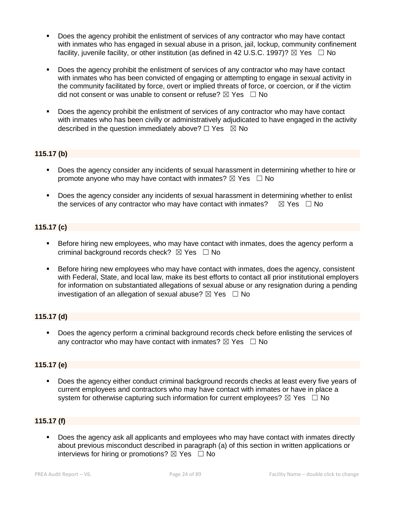- Does the agency prohibit the enlistment of services of any contractor who may have contact with inmates who has engaged in sexual abuse in a prison, jail, lockup, community confinement facility, juvenile facility, or other institution (as defined in 42 U.S.C. 1997)?  $\boxtimes$  Yes  $\Box$  No
- Does the agency prohibit the enlistment of services of any contractor who may have contact with inmates who has been convicted of engaging or attempting to engage in sexual activity in the community facilitated by force, overt or implied threats of force, or coercion, or if the victim did not consent or was unable to consent or refuse?  $\boxtimes$  Yes  $\Box$  No
- Does the agency prohibit the enlistment of services of any contractor who may have contact with inmates who has been civilly or administratively adjudicated to have engaged in the activity described in the question immediately above?  $\Box$  Yes  $\boxtimes$  No

## **115.17 (b)**

- Does the agency consider any incidents of sexual harassment in determining whether to hire or promote anyone who may have contact with inmates?  $\boxtimes$  Yes  $\Box$  No
- **•** Does the agency consider any incidents of sexual harassment in determining whether to enlist the services of any contractor who may have contact with inmates?  $\boxtimes$  Yes  $\Box$  No

# **115.17 (c)**

- **EXEL Before hiring new employees, who may have contact with inmates, does the agency perform a** criminal background records check?  $\boxtimes$  Yes  $\Box$  No
- **EXECT A Before hiring new employees who may have contact with inmates, does the agency, consistent** with Federal, State, and local law, make its best efforts to contact all prior institutional employers for information on substantiated allegations of sexual abuse or any resignation during a pending investigation of an allegation of sexual abuse?  $\boxtimes$  Yes  $\Box$  No

## **115.17 (d)**

▪ Does the agency perform a criminal background records check before enlisting the services of any contractor who may have contact with inmates?  $\boxtimes$  Yes  $\Box$  No

## **115.17 (e)**

Does the agency either conduct criminal background records checks at least every five years of current employees and contractors who may have contact with inmates or have in place a system for otherwise capturing such information for current employees?  $\boxtimes$  Yes  $\Box$  No

# **115.17 (f)**

Does the agency ask all applicants and employees who may have contact with inmates directly about previous misconduct described in paragraph (a) of this section in written applications or interviews for hiring or promotions?  $\boxtimes$  Yes  $\Box$  No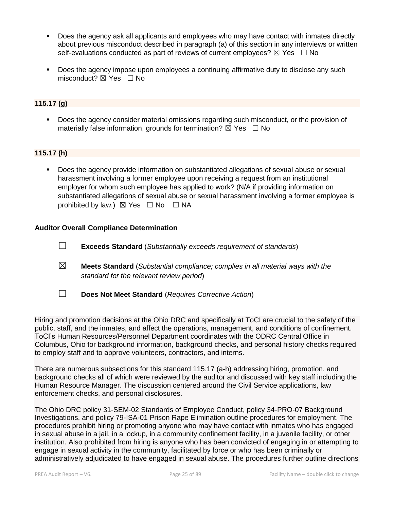- Does the agency ask all applicants and employees who may have contact with inmates directly about previous misconduct described in paragraph (a) of this section in any interviews or written self-evaluations conducted as part of reviews of current employees?  $\boxtimes$  Yes  $\Box$  No
- Does the agency impose upon employees a continuing affirmative duty to disclose any such misconduct?  $\boxtimes$  Yes  $\Box$  No

#### **115.17 (g)**

Does the agency consider material omissions regarding such misconduct, or the provision of materially false information, grounds for termination?  $\boxtimes$  Yes  $\Box$  No

#### **115.17 (h)**

Does the agency provide information on substantiated allegations of sexual abuse or sexual harassment involving a former employee upon receiving a request from an institutional employer for whom such employee has applied to work? (N/A if providing information on substantiated allegations of sexual abuse or sexual harassment involving a former employee is prohibited by law.)  $\boxtimes$  Yes  $\Box$  No  $\Box$  NA

#### **Auditor Overall Compliance Determination**

- ☐ **Exceeds Standard** (*Substantially exceeds requirement of standards*)
- ☒ **Meets Standard** (*Substantial compliance; complies in all material ways with the standard for the relevant review period*)
- ☐ **Does Not Meet Standard** (*Requires Corrective Action*)

Hiring and promotion decisions at the Ohio DRC and specifically at ToCI are crucial to the safety of the public, staff, and the inmates, and affect the operations, management, and conditions of confinement. ToCI's Human Resources/Personnel Department coordinates with the ODRC Central Office in Columbus, Ohio for background information, background checks, and personal history checks required to employ staff and to approve volunteers, contractors, and interns.

There are numerous subsections for this standard 115.17 (a-h) addressing hiring, promotion, and background checks all of which were reviewed by the auditor and discussed with key staff including the Human Resource Manager. The discussion centered around the Civil Service applications, law enforcement checks, and personal disclosures.

The Ohio DRC policy 31-SEM-02 Standards of Employee Conduct, policy 34-PRO-07 Background Investigations, and policy 79-ISA-01 Prison Rape Elimination outline procedures for employment. The procedures prohibit hiring or promoting anyone who may have contact with inmates who has engaged in sexual abuse in a jail, in a lockup, in a community confinement facility, in a juvenile facility, or other institution. Also prohibited from hiring is anyone who has been convicted of engaging in or attempting to engage in sexual activity in the community, facilitated by force or who has been criminally or administratively adjudicated to have engaged in sexual abuse. The procedures further outline directions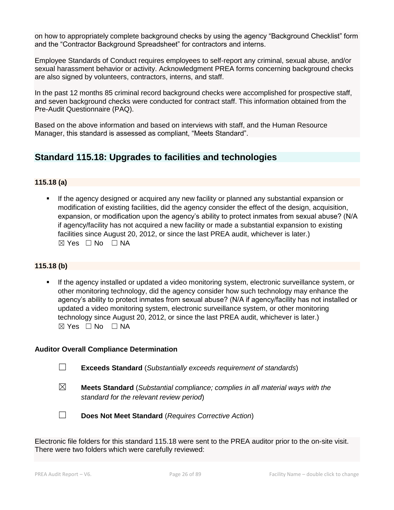on how to appropriately complete background checks by using the agency "Background Checklist" form and the "Contractor Background Spreadsheet" for contractors and interns.

Employee Standards of Conduct requires employees to self-report any criminal, sexual abuse, and/or sexual harassment behavior or activity. Acknowledgment PREA forms concerning background checks are also signed by volunteers, contractors, interns, and staff.

In the past 12 months 85 criminal record background checks were accomplished for prospective staff, and seven background checks were conducted for contract staff. This information obtained from the Pre-Audit Questionnaire (PAQ).

Based on the above information and based on interviews with staff, and the Human Resource Manager, this standard is assessed as compliant, "Meets Standard".

# **Standard 115.18: Upgrades to facilities and technologies**

# **115.18 (a)**

If the agency designed or acquired any new facility or planned any substantial expansion or modification of existing facilities, did the agency consider the effect of the design, acquisition, expansion, or modification upon the agency's ability to protect inmates from sexual abuse? (N/A if agency/facility has not acquired a new facility or made a substantial expansion to existing facilities since August 20, 2012, or since the last PREA audit, whichever is later.)  $\boxtimes$  Yes  $\Box$  No  $\Box$  NA

## **115.18 (b)**

If the agency installed or updated a video monitoring system, electronic surveillance system, or other monitoring technology, did the agency consider how such technology may enhance the agency's ability to protect inmates from sexual abuse? (N/A if agency/facility has not installed or updated a video monitoring system, electronic surveillance system, or other monitoring technology since August 20, 2012, or since the last PREA audit, whichever is later.)  $\boxtimes$  Yes  $\Box$  No  $\Box$  NA

## **Auditor Overall Compliance Determination**

- ☐ **Exceeds Standard** (*Substantially exceeds requirement of standards*)
- ☒ **Meets Standard** (*Substantial compliance; complies in all material ways with the standard for the relevant review period*)
- 
- ☐ **Does Not Meet Standard** (*Requires Corrective Action*)

Electronic file folders for this standard 115.18 were sent to the PREA auditor prior to the on-site visit. There were two folders which were carefully reviewed: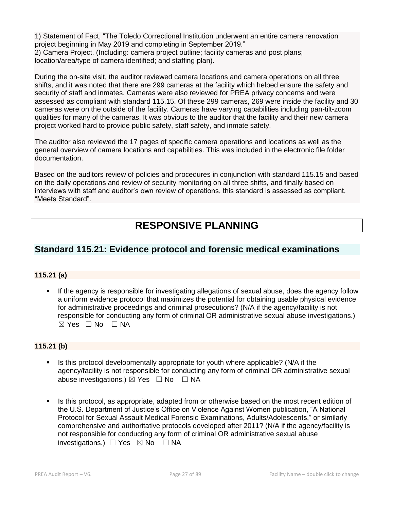1) Statement of Fact, "The Toledo Correctional Institution underwent an entire camera renovation project beginning in May 2019 and completing in September 2019." 2) Camera Project. (Including: camera project outline; facility cameras and post plans; location/area/type of camera identified; and staffing plan).

During the on-site visit, the auditor reviewed camera locations and camera operations on all three shifts, and it was noted that there are 299 cameras at the facility which helped ensure the safety and security of staff and inmates. Cameras were also reviewed for PREA privacy concerns and were assessed as compliant with standard 115.15. Of these 299 cameras, 269 were inside the facility and 30 cameras were on the outside of the facility. Cameras have varying capabilities including pan-tilt-zoom qualities for many of the cameras. It was obvious to the auditor that the facility and their new camera project worked hard to provide public safety, staff safety, and inmate safety.

The auditor also reviewed the 17 pages of specific camera operations and locations as well as the general overview of camera locations and capabilities. This was included in the electronic file folder documentation.

Based on the auditors review of policies and procedures in conjunction with standard 115.15 and based on the daily operations and review of security monitoring on all three shifts, and finally based on interviews with staff and auditor's own review of operations, this standard is assessed as compliant, "Meets Standard".

# **RESPONSIVE PLANNING**

# **Standard 115.21: Evidence protocol and forensic medical examinations**

## **115.21 (a)**

If the agency is responsible for investigating allegations of sexual abuse, does the agency follow a uniform evidence protocol that maximizes the potential for obtaining usable physical evidence for administrative proceedings and criminal prosecutions? (N/A if the agency/facility is not responsible for conducting any form of criminal OR administrative sexual abuse investigations.)  $\boxtimes$  Yes  $\Box$  No  $\Box$  NA

## **115.21 (b)**

- Is this protocol developmentally appropriate for youth where applicable? (N/A if the agency/facility is not responsible for conducting any form of criminal OR administrative sexual abuse investigations.)  $\boxtimes$  Yes  $\Box$  No  $\Box$  NA
- Is this protocol, as appropriate, adapted from or otherwise based on the most recent edition of the U.S. Department of Justice's Office on Violence Against Women publication, "A National Protocol for Sexual Assault Medical Forensic Examinations, Adults/Adolescents," or similarly comprehensive and authoritative protocols developed after 2011? (N/A if the agency/facility is not responsible for conducting any form of criminal OR administrative sexual abuse investigations.)  $\Box$  Yes  $\boxtimes$  No  $\Box$  NA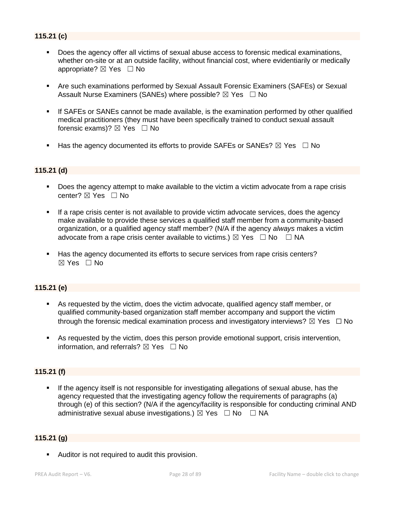# **115.21 (c)**

- Does the agency offer all victims of sexual abuse access to forensic medical examinations, whether on-site or at an outside facility, without financial cost, where evidentiarily or medically appropriate? ⊠ Yes □ No
- **Are such examinations performed by Sexual Assault Forensic Examiners (SAFEs) or Sexual** Assault Nurse Examiners (SANEs) where possible?  $\boxtimes$  Yes  $\Box$  No
- If SAFEs or SANEs cannot be made available, is the examination performed by other qualified medical practitioners (they must have been specifically trained to conduct sexual assault forensic exams)?  $\boxtimes$  Yes  $\Box$  No
- **■** Has the agency documented its efforts to provide SAFEs or SANEs?  $\boxtimes$  Yes  $\Box$  No

#### **115.21 (d)**

- Does the agency attempt to make available to the victim a victim advocate from a rape crisis center? ⊠ Yes □ No
- If a rape crisis center is not available to provide victim advocate services, does the agency make available to provide these services a qualified staff member from a community-based organization, or a qualified agency staff member? (N/A if the agency *always* makes a victim advocate from a rape crisis center available to victims.)  $\boxtimes$  Yes  $\Box$  No  $\Box$  NA
- Has the agency documented its efforts to secure services from rape crisis centers?  $\boxtimes$  Yes  $\Box$  No

#### **115.21 (e)**

- As requested by the victim, does the victim advocate, qualified agency staff member, or qualified community-based organization staff member accompany and support the victim through the forensic medical examination process and investigatory interviews?  $\boxtimes$  Yes  $\Box$  No
- **EXECT** As requested by the victim, does this person provide emotional support, crisis intervention, information, and referrals?  $\boxtimes$  Yes  $\Box$  No

# **115.21 (f)**

If the agency itself is not responsible for investigating allegations of sexual abuse, has the agency requested that the investigating agency follow the requirements of paragraphs (a) through (e) of this section? (N/A if the agency/facility is responsible for conducting criminal AND administrative sexual abuse investigations.)  $\boxtimes$  Yes  $\Box$  No  $\Box$  NA

#### **115.21 (g)**

■ Auditor is not required to audit this provision.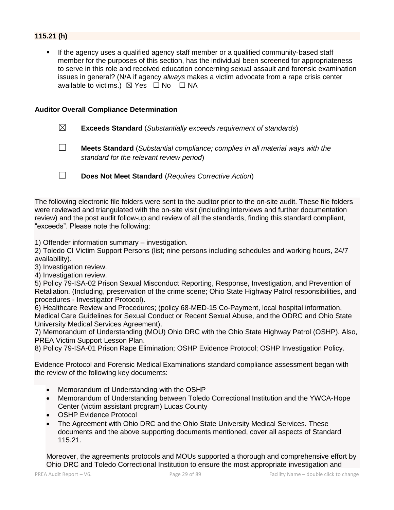# **115.21 (h)**

If the agency uses a qualified agency staff member or a qualified community-based staff member for the purposes of this section, has the individual been screened for appropriateness to serve in this role and received education concerning sexual assault and forensic examination issues in general? (N/A if agency *always* makes a victim advocate from a rape crisis center available to victims.)  $\boxtimes$  Yes  $\Box$  No  $\Box$  NA

#### **Auditor Overall Compliance Determination**

- ☒ **Exceeds Standard** (*Substantially exceeds requirement of standards*)
- ☐ **Meets Standard** (*Substantial compliance; complies in all material ways with the standard for the relevant review period*)

☐ **Does Not Meet Standard** (*Requires Corrective Action*)

The following electronic file folders were sent to the auditor prior to the on-site audit. These file folders were reviewed and triangulated with the on-site visit (including interviews and further documentation review) and the post audit follow-up and review of all the standards, finding this standard compliant, "exceeds". Please note the following:

1) Offender information summary – investigation.

2) Toledo CI Victim Support Persons (list; nine persons including schedules and working hours, 24/7 availability).

3) Investigation review.

4) Investigation review.

5) Policy 79-ISA-02 Prison Sexual Misconduct Reporting, Response, Investigation, and Prevention of Retaliation. (Including, preservation of the crime scene; Ohio State Highway Patrol responsibilities, and procedures - Investigator Protocol).

6) Healthcare Review and Procedures; (policy 68-MED-15 Co-Payment, local hospital information, Medical Care Guidelines for Sexual Conduct or Recent Sexual Abuse, and the ODRC and Ohio State University Medical Services Agreement).

7) Memorandum of Understanding (MOU) Ohio DRC with the Ohio State Highway Patrol (OSHP). Also, PREA Victim Support Lesson Plan.

8) Policy 79-ISA-01 Prison Rape Elimination; OSHP Evidence Protocol; OSHP Investigation Policy.

Evidence Protocol and Forensic Medical Examinations standard compliance assessment began with the review of the following key documents:

- Memorandum of Understanding with the OSHP
- Memorandum of Understanding between Toledo Correctional Institution and the YWCA-Hope Center (victim assistant program) Lucas County
- OSHP Evidence Protocol
- The Agreement with Ohio DRC and the Ohio State University Medical Services. These documents and the above supporting documents mentioned, cover all aspects of Standard 115.21.

Moreover, the agreements protocols and MOUs supported a thorough and comprehensive effort by Ohio DRC and Toledo Correctional Institution to ensure the most appropriate investigation and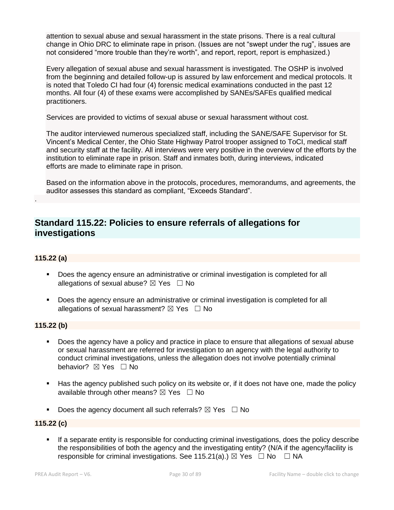attention to sexual abuse and sexual harassment in the state prisons. There is a real cultural change in Ohio DRC to eliminate rape in prison. (Issues are not "swept under the rug", issues are not considered "more trouble than they're worth", and report, report, report is emphasized.)

Every allegation of sexual abuse and sexual harassment is investigated. The OSHP is involved from the beginning and detailed follow-up is assured by law enforcement and medical protocols. It is noted that Toledo CI had four (4) forensic medical examinations conducted in the past 12 months. All four (4) of these exams were accomplished by SANEs/SAFEs qualified medical practitioners.

Services are provided to victims of sexual abuse or sexual harassment without cost.

The auditor interviewed numerous specialized staff, including the SANE/SAFE Supervisor for St. Vincent's Medical Center, the Ohio State Highway Patrol trooper assigned to ToCI, medical staff and security staff at the facility. All interviews were very positive in the overview of the efforts by the institution to eliminate rape in prison. Staff and inmates both, during interviews, indicated efforts are made to eliminate rape in prison.

Based on the information above in the protocols, procedures, memorandums, and agreements, the auditor assesses this standard as compliant, "Exceeds Standard".

# **Standard 115.22: Policies to ensure referrals of allegations for investigations**

## **115.22 (a)**

.

- Does the agency ensure an administrative or criminal investigation is completed for all allegations of sexual abuse?  $\boxtimes$  Yes  $\Box$  No
- Does the agency ensure an administrative or criminal investigation is completed for all allegations of sexual harassment?  $\boxtimes$  Yes  $\Box$  No

# **115.22 (b)**

- Does the agency have a policy and practice in place to ensure that allegations of sexual abuse or sexual harassment are referred for investigation to an agency with the legal authority to conduct criminal investigations, unless the allegation does not involve potentially criminal behavior? **⊠** Yes □ No
- Has the agency published such policy on its website or, if it does not have one, made the policy available through other means?  $\boxtimes$  Yes  $\Box$  No
- **•** Does the agency document all such referrals?  $\boxtimes$  Yes  $\Box$  No

## **115.22 (c)**

If a separate entity is responsible for conducting criminal investigations, does the policy describe the responsibilities of both the agency and the investigating entity? (N/A if the agency/facility is responsible for criminal investigations. See 115.21(a).)  $\boxtimes$  Yes  $\Box$  No  $\Box$  NA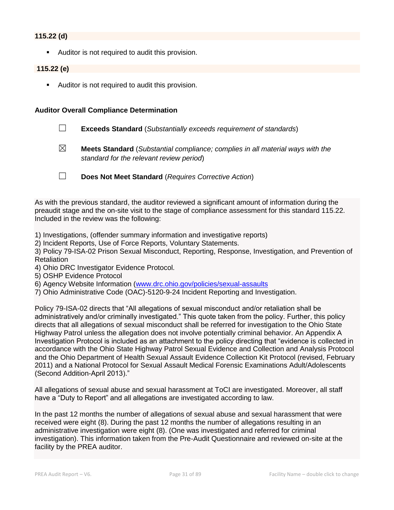## **115.22 (d)**

■ Auditor is not required to audit this provision.

# **115.22 (e)**

■ Auditor is not required to audit this provision.

#### **Auditor Overall Compliance Determination**

- ☐ **Exceeds Standard** (*Substantially exceeds requirement of standards*)
- ☒ **Meets Standard** (*Substantial compliance; complies in all material ways with the standard for the relevant review period*)
- ☐ **Does Not Meet Standard** (*Requires Corrective Action*)

As with the previous standard, the auditor reviewed a significant amount of information during the preaudit stage and the on-site visit to the stage of compliance assessment for this standard 115.22. Included in the review was the following:

- 1) Investigations, (offender summary information and investigative reports)
- 2) Incident Reports, Use of Force Reports, Voluntary Statements.

3) Policy 79-ISA-02 Prison Sexual Misconduct, Reporting, Response, Investigation, and Prevention of Retaliation

- 4) Ohio DRC Investigator Evidence Protocol.
- 5) OSHP Evidence Protocol
- 6) Agency Website Information [\(www.drc.ohio.gov/policies/sexual-assaults](http://www.drc.ohio.gov/policies/sexual-assaults)
- 7) Ohio Administrative Code (OAC)-5120-9-24 Incident Reporting and Investigation.

Policy 79-ISA-02 directs that "All allegations of sexual misconduct and/or retaliation shall be administratively and/or criminally investigated." This quote taken from the policy. Further, this policy directs that all allegations of sexual misconduct shall be referred for investigation to the Ohio State Highway Patrol unless the allegation does not involve potentially criminal behavior. An Appendix A Investigation Protocol is included as an attachment to the policy directing that "evidence is collected in accordance with the Ohio State Highway Patrol Sexual Evidence and Collection and Analysis Protocol and the Ohio Department of Health Sexual Assault Evidence Collection Kit Protocol (revised, February 2011) and a National Protocol for Sexual Assault Medical Forensic Examinations Adult/Adolescents (Second Addition-April 2013)."

All allegations of sexual abuse and sexual harassment at ToCI are investigated. Moreover, all staff have a "Duty to Report" and all allegations are investigated according to law.

In the past 12 months the number of allegations of sexual abuse and sexual harassment that were received were eight (8). During the past 12 months the number of allegations resulting in an administrative investigation were eight (8). (One was investigated and referred for criminal investigation). This information taken from the Pre-Audit Questionnaire and reviewed on-site at the facility by the PREA auditor.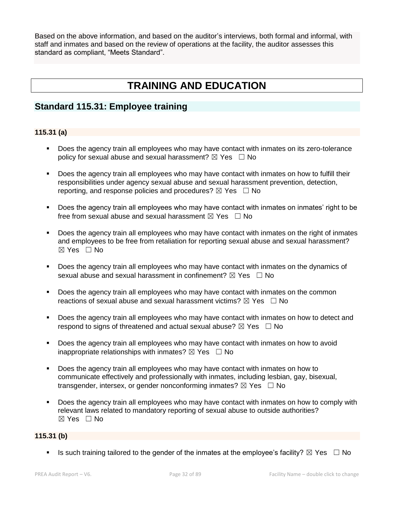Based on the above information, and based on the auditor's interviews, both formal and informal, with staff and inmates and based on the review of operations at the facility, the auditor assesses this standard as compliant, "Meets Standard".

# **TRAINING AND EDUCATION**

# **Standard 115.31: Employee training**

# **115.31 (a)**

- Does the agency train all employees who may have contact with inmates on its zero-tolerance policy for sexual abuse and sexual harassment?  $\boxtimes$  Yes  $\Box$  No
- Does the agency train all employees who may have contact with inmates on how to fulfill their responsibilities under agency sexual abuse and sexual harassment prevention, detection, reporting, and response policies and procedures?  $\boxtimes$  Yes  $\Box$  No
- Does the agency train all employees who may have contact with inmates on inmates' right to be free from sexual abuse and sexual harassment  $\boxtimes$  Yes  $\Box$  No
- **•** Does the agency train all employees who may have contact with inmates on the right of inmates and employees to be free from retaliation for reporting sexual abuse and sexual harassment?  $\boxtimes$  Yes  $\Box$  No
- **•** Does the agency train all employees who may have contact with inmates on the dynamics of sexual abuse and sexual harassment in confinement?  $\boxtimes$  Yes  $\Box$  No
- Does the agency train all employees who may have contact with inmates on the common reactions of sexual abuse and sexual harassment victims?  $\boxtimes$  Yes  $\Box$  No
- Does the agency train all employees who may have contact with inmates on how to detect and respond to signs of threatened and actual sexual abuse?  $\boxtimes$  Yes  $\Box$  No
- Does the agency train all employees who may have contact with inmates on how to avoid inappropriate relationships with inmates?  $\boxtimes$  Yes  $\Box$  No
- Does the agency train all employees who may have contact with inmates on how to communicate effectively and professionally with inmates, including lesbian, gay, bisexual, transgender, intersex, or gender nonconforming inmates?  $\boxtimes$  Yes  $\Box$  No
- **•** Does the agency train all employees who may have contact with inmates on how to comply with relevant laws related to mandatory reporting of sexual abuse to outside authorities?  $\boxtimes$  Yes  $\Box$  No

# **115.31 (b)**

**■** Is such training tailored to the gender of the inmates at the employee's facility?  $\boxtimes$  Yes  $\Box$  No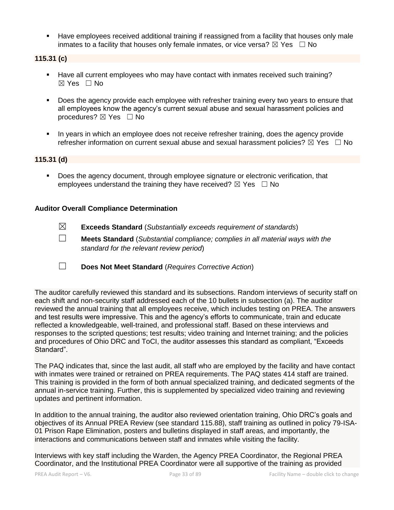**EXECT** Have employees received additional training if reassigned from a facility that houses only male inmates to a facility that houses only female inmates, or vice versa?  $\boxtimes$  Yes  $\Box$  No

# **115.31 (c)**

- Have all current employees who may have contact with inmates received such training?  $\boxtimes$  Yes  $\Box$  No
- **•** Does the agency provide each employee with refresher training every two years to ensure that all employees know the agency's current sexual abuse and sexual harassment policies and procedures?  $\boxtimes$  Yes  $\Box$  No
- In years in which an employee does not receive refresher training, does the agency provide refresher information on current sexual abuse and sexual harassment policies?  $\boxtimes$  Yes  $\Box$  No

# **115.31 (d)**

▪ Does the agency document, through employee signature or electronic verification, that employees understand the training they have received?  $\boxtimes$  Yes  $\Box$  No

## **Auditor Overall Compliance Determination**

- ☒ **Exceeds Standard** (*Substantially exceeds requirement of standards*)
- ☐ **Meets Standard** (*Substantial compliance; complies in all material ways with the standard for the relevant review period*)
- ☐ **Does Not Meet Standard** (*Requires Corrective Action*)

The auditor carefully reviewed this standard and its subsections. Random interviews of security staff on each shift and non-security staff addressed each of the 10 bullets in subsection (a). The auditor reviewed the annual training that all employees receive, which includes testing on PREA. The answers and test results were impressive. This and the agency's efforts to communicate, train and educate reflected a knowledgeable, well-trained, and professional staff. Based on these interviews and responses to the scripted questions; test results; video training and Internet training; and the policies and procedures of Ohio DRC and ToCI, the auditor assesses this standard as compliant, "Exceeds Standard".

The PAQ indicates that, since the last audit, all staff who are employed by the facility and have contact with inmates were trained or retrained on PREA requirements. The PAQ states 414 staff are trained. This training is provided in the form of both annual specialized training, and dedicated segments of the annual in-service training. Further, this is supplemented by specialized video training and reviewing updates and pertinent information.

In addition to the annual training, the auditor also reviewed orientation training, Ohio DRC's goals and objectives of its Annual PREA Review (see standard 115.88), staff training as outlined in policy 79-ISA-01 Prison Rape Elimination, posters and bulletins displayed in staff areas, and importantly, the interactions and communications between staff and inmates while visiting the facility.

Interviews with key staff including the Warden, the Agency PREA Coordinator, the Regional PREA Coordinator, and the Institutional PREA Coordinator were all supportive of the training as provided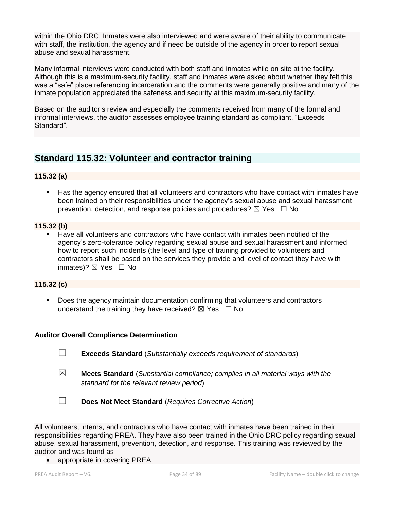within the Ohio DRC. Inmates were also interviewed and were aware of their ability to communicate with staff, the institution, the agency and if need be outside of the agency in order to report sexual abuse and sexual harassment.

Many informal interviews were conducted with both staff and inmates while on site at the facility. Although this is a maximum-security facility, staff and inmates were asked about whether they felt this was a "safe" place referencing incarceration and the comments were generally positive and many of the inmate population appreciated the safeness and security at this maximum-security facility.

Based on the auditor's review and especially the comments received from many of the formal and informal interviews, the auditor assesses employee training standard as compliant, "Exceeds Standard".

# **Standard 115.32: Volunteer and contractor training**

## **115.32 (a)**

■ Has the agency ensured that all volunteers and contractors who have contact with inmates have been trained on their responsibilities under the agency's sexual abuse and sexual harassment prevention, detection, and response policies and procedures?  $\boxtimes$  Yes  $\Box$  No

#### **115.32 (b)**

■ Have all volunteers and contractors who have contact with inmates been notified of the agency's zero-tolerance policy regarding sexual abuse and sexual harassment and informed how to report such incidents (the level and type of training provided to volunteers and contractors shall be based on the services they provide and level of contact they have with inmates)?  $\boxtimes$  Yes  $\Box$  No

# **115.32 (c)**

▪ Does the agency maintain documentation confirming that volunteers and contractors understand the training they have received?  $\boxtimes$  Yes  $\Box$  No

## **Auditor Overall Compliance Determination**

- ☐ **Exceeds Standard** (*Substantially exceeds requirement of standards*)
- ☒ **Meets Standard** (*Substantial compliance; complies in all material ways with the standard for the relevant review period*)

☐ **Does Not Meet Standard** (*Requires Corrective Action*)

All volunteers, interns, and contractors who have contact with inmates have been trained in their responsibilities regarding PREA. They have also been trained in the Ohio DRC policy regarding sexual abuse, sexual harassment, prevention, detection, and response. This training was reviewed by the auditor and was found as

• appropriate in covering PREA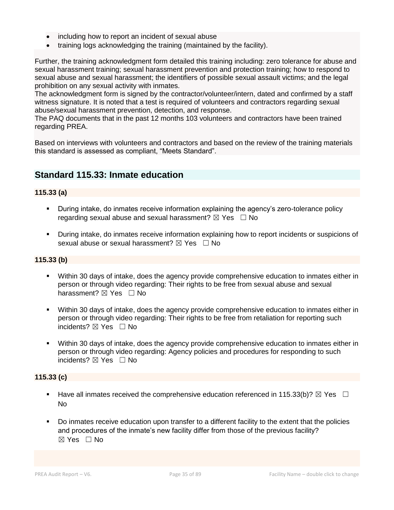- including how to report an incident of sexual abuse
- training logs acknowledging the training (maintained by the facility).

Further, the training acknowledgment form detailed this training including: zero tolerance for abuse and sexual harassment training; sexual harassment prevention and protection training; how to respond to sexual abuse and sexual harassment; the identifiers of possible sexual assault victims; and the legal prohibition on any sexual activity with inmates.

The acknowledgment form is signed by the contractor/volunteer/intern, dated and confirmed by a staff witness signature. It is noted that a test is required of volunteers and contractors regarding sexual abuse/sexual harassment prevention, detection, and response.

The PAQ documents that in the past 12 months 103 volunteers and contractors have been trained regarding PREA.

Based on interviews with volunteers and contractors and based on the review of the training materials this standard is assessed as compliant, "Meets Standard".

# **Standard 115.33: Inmate education**

# **115.33 (a)**

- **•** During intake, do inmates receive information explaining the agency's zero-tolerance policy regarding sexual abuse and sexual harassment?  $\boxtimes$  Yes  $\Box$  No
- During intake, do inmates receive information explaining how to report incidents or suspicions of sexual abuse or sexual harassment?  $\boxtimes$  Yes  $\Box$  No

#### **115.33 (b)**

- Within 30 days of intake, does the agency provide comprehensive education to inmates either in person or through video regarding: Their rights to be free from sexual abuse and sexual harassment?  $\boxtimes$  Yes  $\Box$  No
- Within 30 days of intake, does the agency provide comprehensive education to inmates either in person or through video regarding: Their rights to be free from retaliation for reporting such incidents?  $\boxtimes$  Yes  $\Box$  No
- Within 30 days of intake, does the agency provide comprehensive education to inmates either in person or through video regarding: Agency policies and procedures for responding to such incidents? ☒ Yes ☐ No

#### **115.33 (c)**

- **■** Have all inmates received the comprehensive education referenced in 115.33(b)?  $\boxtimes$  Yes  $\Box$ No
- Bo inmates receive education upon transfer to a different facility to the extent that the policies and procedures of the inmate's new facility differ from those of the previous facility? ☒ Yes ☐ No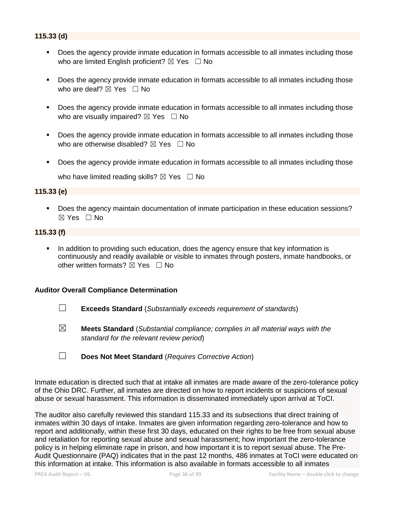- Does the agency provide inmate education in formats accessible to all inmates including those who are limited English proficient?  $\boxtimes$  Yes  $\Box$  No
- Does the agency provide inmate education in formats accessible to all inmates including those who are deaf?  $\boxtimes$  Yes  $\Box$  No
- Does the agency provide inmate education in formats accessible to all inmates including those who are visually impaired?  $\boxtimes$  Yes  $\Box$  No
- Does the agency provide inmate education in formats accessible to all inmates including those who are otherwise disabled?  $\boxtimes$  Yes  $\Box$  No
- Does the agency provide inmate education in formats accessible to all inmates including those who have limited reading skills?  $\boxtimes$  Yes  $\Box$  No

#### **115.33 (e)**

▪ Does the agency maintain documentation of inmate participation in these education sessions?  $\boxtimes$  Yes  $\Box$  No

#### **115.33 (f)**

**•** In addition to providing such education, does the agency ensure that key information is continuously and readily available or visible to inmates through posters, inmate handbooks, or other written formats?  $\boxtimes$  Yes  $\Box$  No

#### **Auditor Overall Compliance Determination**

- ☐ **Exceeds Standard** (*Substantially exceeds requirement of standards*)
- ☒ **Meets Standard** (*Substantial compliance; complies in all material ways with the standard for the relevant review period*)
- ☐ **Does Not Meet Standard** (*Requires Corrective Action*)

Inmate education is directed such that at intake all inmates are made aware of the zero-tolerance policy of the Ohio DRC. Further, all inmates are directed on how to report incidents or suspicions of sexual abuse or sexual harassment. This information is disseminated immediately upon arrival at ToCI.

The auditor also carefully reviewed this standard 115.33 and its subsections that direct training of inmates within 30 days of intake. Inmates are given information regarding zero-tolerance and how to report and additionally, within these first 30 days, educated on their rights to be free from sexual abuse and retaliation for reporting sexual abuse and sexual harassment; how important the zero-tolerance policy is in helping eliminate rape in prison, and how important it is to report sexual abuse. The Pre-Audit Questionnaire (PAQ) indicates that in the past 12 months, 486 inmates at ToCI were educated on this information at intake. This information is also available in formats accessible to all inmates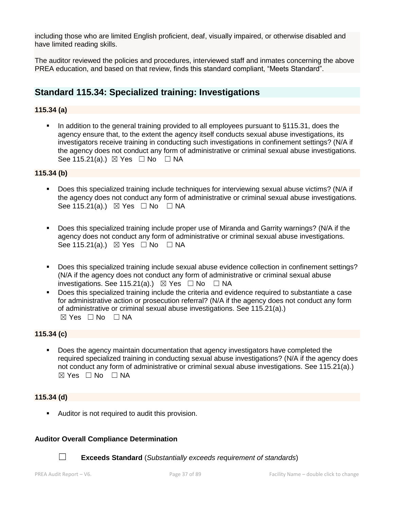including those who are limited English proficient, deaf, visually impaired, or otherwise disabled and have limited reading skills.

The auditor reviewed the policies and procedures, interviewed staff and inmates concerning the above PREA education, and based on that review, finds this standard compliant, "Meets Standard".

## **Standard 115.34: Specialized training: Investigations**

## **115.34 (a)**

In addition to the general training provided to all employees pursuant to §115.31, does the agency ensure that, to the extent the agency itself conducts sexual abuse investigations, its investigators receive training in conducting such investigations in confinement settings? (N/A if the agency does not conduct any form of administrative or criminal sexual abuse investigations. See 115.21(a).)  $\boxtimes$  Yes  $\Box$  No  $\Box$  NA

### **115.34 (b)**

- Does this specialized training include techniques for interviewing sexual abuse victims? (N/A if the agency does not conduct any form of administrative or criminal sexual abuse investigations. See 115.21(a).)  $\boxtimes$  Yes  $\Box$  No  $\Box$  NA
- Does this specialized training include proper use of Miranda and Garrity warnings? (N/A if the agency does not conduct any form of administrative or criminal sexual abuse investigations. See 115.21(a).)  $\boxtimes$  Yes  $\Box$  No  $\Box$  NA
- Does this specialized training include sexual abuse evidence collection in confinement settings? (N/A if the agency does not conduct any form of administrative or criminal sexual abuse investigations. See 115.21(a).)  $\boxtimes$  Yes  $\Box$  No  $\Box$  NA
- Does this specialized training include the criteria and evidence required to substantiate a case for administrative action or prosecution referral? (N/A if the agency does not conduct any form of administrative or criminal sexual abuse investigations. See 115.21(a).)  $\boxtimes$  Yes  $\Box$  No  $\Box$  NA

### **115.34 (c)**

Does the agency maintain documentation that agency investigators have completed the required specialized training in conducting sexual abuse investigations? (N/A if the agency does not conduct any form of administrative or criminal sexual abuse investigations. See 115.21(a).)  $\boxtimes$  Yes  $\Box$  No  $\Box$  NA

## **115.34 (d)**

**E** Auditor is not required to audit this provision.

### **Auditor Overall Compliance Determination**



☐ **Exceeds Standard** (*Substantially exceeds requirement of standards*)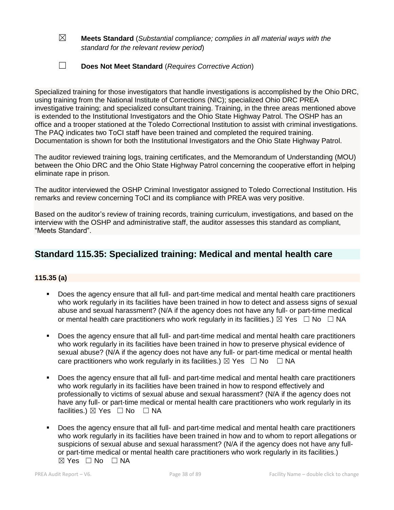- ☒ **Meets Standard** (*Substantial compliance; complies in all material ways with the standard for the relevant review period*)
- ☐ **Does Not Meet Standard** (*Requires Corrective Action*)

Specialized training for those investigators that handle investigations is accomplished by the Ohio DRC, using training from the National Institute of Corrections (NIC); specialized Ohio DRC PREA investigative training; and specialized consultant training. Training, in the three areas mentioned above is extended to the Institutional Investigators and the Ohio State Highway Patrol. The OSHP has an office and a trooper stationed at the Toledo Correctional Institution to assist with criminal investigations. The PAQ indicates two ToCI staff have been trained and completed the required training. Documentation is shown for both the Institutional Investigators and the Ohio State Highway Patrol.

The auditor reviewed training logs, training certificates, and the Memorandum of Understanding (MOU) between the Ohio DRC and the Ohio State Highway Patrol concerning the cooperative effort in helping eliminate rape in prison.

The auditor interviewed the OSHP Criminal Investigator assigned to Toledo Correctional Institution. His remarks and review concerning ToCI and its compliance with PREA was very positive.

Based on the auditor's review of training records, training curriculum, investigations, and based on the interview with the OSHP and administrative staff, the auditor assesses this standard as compliant, "Meets Standard".

## **Standard 115.35: Specialized training: Medical and mental health care**

## **115.35 (a)**

- Does the agency ensure that all full- and part-time medical and mental health care practitioners who work regularly in its facilities have been trained in how to detect and assess signs of sexual abuse and sexual harassment? (N/A if the agency does not have any full- or part-time medical or mental health care practitioners who work regularly in its facilities.)  $\boxtimes$  Yes  $\Box$  No  $\Box$  NA
- Does the agency ensure that all full- and part-time medical and mental health care practitioners who work regularly in its facilities have been trained in how to preserve physical evidence of sexual abuse? (N/A if the agency does not have any full- or part-time medical or mental health care practitioners who work regularly in its facilities.)  $\boxtimes$  Yes  $\Box$  No  $\Box$  NA
- Does the agency ensure that all full- and part-time medical and mental health care practitioners who work regularly in its facilities have been trained in how to respond effectively and professionally to victims of sexual abuse and sexual harassment? (N/A if the agency does not have any full- or part-time medical or mental health care practitioners who work regularly in its facilities.) ⊠ Yes □ No □ NA
- Does the agency ensure that all full- and part-time medical and mental health care practitioners who work regularly in its facilities have been trained in how and to whom to report allegations or suspicions of sexual abuse and sexual harassment? (N/A if the agency does not have any fullor part-time medical or mental health care practitioners who work regularly in its facilities.)  $\boxtimes$  Yes  $\Box$  No  $\Box$  NA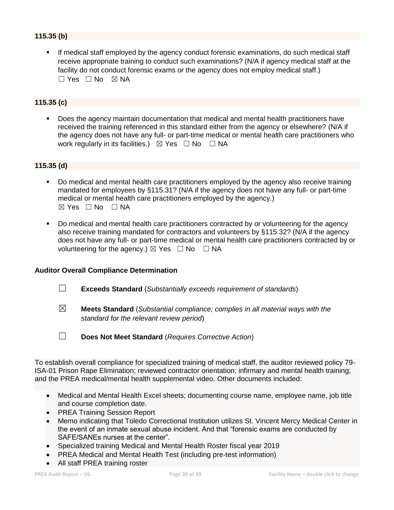## **115.35 (b)**

If medical staff employed by the agency conduct forensic examinations, do such medical staff receive appropriate training to conduct such examinations? (N/A if agency medical staff at the facility do not conduct forensic exams *or* the agency does not employ medical staff.)  $\Box$  Yes  $\Box$  No  $\boxtimes$  NA

### **115.35 (c)**

▪ Does the agency maintain documentation that medical and mental health practitioners have received the training referenced in this standard either from the agency or elsewhere? (N/A if the agency does not have any full- or part-time medical or mental health care practitioners who work regularly in its facilities.)  $\boxtimes$  Yes  $\Box$  No  $\Box$  NA

### **115.35 (d)**

- Do medical and mental health care practitioners employed by the agency also receive training mandated for employees by §115.31? (N/A if the agency does not have any full- or part-time medical or mental health care practitioners employed by the agency.)  $\boxtimes$  Yes  $\Box$  No  $\Box$  NA
- Do medical and mental health care practitioners contracted by or volunteering for the agency also receive training mandated for contractors and volunteers by §115.32? (N/A if the agency does not have any full- or part-time medical or mental health care practitioners contracted by or volunteering for the agency.)  $\boxtimes$  Yes  $\Box$  No  $\Box$  NA

### **Auditor Overall Compliance Determination**

- ☐ **Exceeds Standard** (*Substantially exceeds requirement of standards*)
- ☒ **Meets Standard** (*Substantial compliance; complies in all material ways with the standard for the relevant review period*)
- ☐ **Does Not Meet Standard** (*Requires Corrective Action*)

To establish overall compliance for specialized training of medical staff, the auditor reviewed policy 79- ISA-01 Prison Rape Elimination; reviewed contractor orientation; infirmary and mental health training; and the PREA medical/mental health supplemental video. Other documents included:

- Medical and Mental Health Excel sheets; documenting course name, employee name, job title and course completion date.
- PREA Training Session Report
- Memo indicating that Toledo Correctional Institution utilizes St. Vincent Mercy Medical Center in the event of an inmate sexual abuse incident. And that "forensic exams are conducted by SAFE/SANEs nurses at the center".
- Specialized training Medical and Mental Health Roster fiscal year 2019
- PREA Medical and Mental Health Test (including pre-test information)
- All staff PREA training roster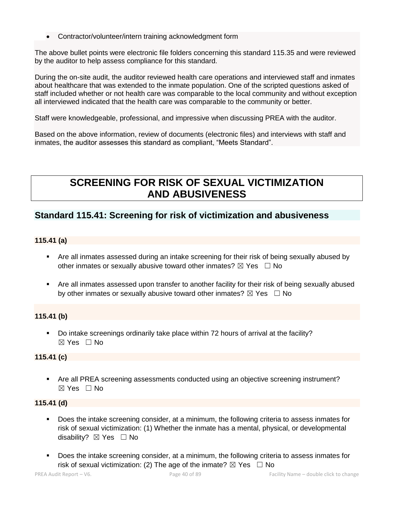• Contractor/volunteer/intern training acknowledgment form

The above bullet points were electronic file folders concerning this standard 115.35 and were reviewed by the auditor to help assess compliance for this standard.

During the on-site audit, the auditor reviewed health care operations and interviewed staff and inmates about healthcare that was extended to the inmate population. One of the scripted questions asked of staff included whether or not health care was comparable to the local community and without exception all interviewed indicated that the health care was comparable to the community or better.

Staff were knowledgeable, professional, and impressive when discussing PREA with the auditor.

Based on the above information, review of documents (electronic files) and interviews with staff and inmates, the auditor assesses this standard as compliant, "Meets Standard".

# **SCREENING FOR RISK OF SEXUAL VICTIMIZATION AND ABUSIVENESS**

## **Standard 115.41: Screening for risk of victimization and abusiveness**

## **115.41 (a)**

- Are all inmates assessed during an intake screening for their risk of being sexually abused by other inmates or sexually abusive toward other inmates?  $\boxtimes$  Yes  $\Box$  No
- Are all inmates assessed upon transfer to another facility for their risk of being sexually abused by other inmates or sexually abusive toward other inmates?  $\boxtimes$  Yes  $\Box$  No

## **115.41 (b)**

▪ Do intake screenings ordinarily take place within 72 hours of arrival at the facility?  $\boxtimes$  Yes  $\Box$  No

## **115.41 (c)**

■ Are all PREA screening assessments conducted using an objective screening instrument? ☒ Yes ☐ No

## **115.41 (d)**

- Does the intake screening consider, at a minimum, the following criteria to assess inmates for risk of sexual victimization: (1) Whether the inmate has a mental, physical, or developmental disability?  $\boxtimes$  Yes  $\Box$  No
- Does the intake screening consider, at a minimum, the following criteria to assess inmates for risk of sexual victimization: (2) The age of the inmate?  $\boxtimes$  Yes  $\Box$  No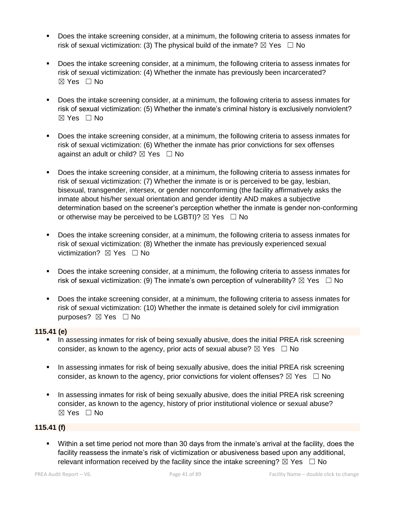- Does the intake screening consider, at a minimum, the following criteria to assess inmates for risk of sexual victimization: (3) The physical build of the inmate?  $\boxtimes$  Yes  $\Box$  No
- Does the intake screening consider, at a minimum, the following criteria to assess inmates for risk of sexual victimization: (4) Whether the inmate has previously been incarcerated? ☒ Yes ☐ No
- Does the intake screening consider, at a minimum, the following criteria to assess inmates for risk of sexual victimization: (5) Whether the inmate's criminal history is exclusively nonviolent? ☒ Yes ☐ No
- Does the intake screening consider, at a minimum, the following criteria to assess inmates for risk of sexual victimization: (6) Whether the inmate has prior convictions for sex offenses against an adult or child?  $\boxtimes$  Yes  $\Box$  No
- Does the intake screening consider, at a minimum, the following criteria to assess inmates for risk of sexual victimization: (7) Whether the inmate is or is perceived to be gay, lesbian, bisexual, transgender, intersex, or gender nonconforming (the facility affirmatively asks the inmate about his/her sexual orientation and gender identity AND makes a subjective determination based on the screener's perception whether the inmate is gender non-conforming or otherwise may be perceived to be LGBTI)?  $\boxtimes$  Yes  $\Box$  No
- Does the intake screening consider, at a minimum, the following criteria to assess inmates for risk of sexual victimization: (8) Whether the inmate has previously experienced sexual victimization? **⊠** Yes □ No
- Does the intake screening consider, at a minimum, the following criteria to assess inmates for risk of sexual victimization: (9) The inmate's own perception of vulnerability?  $\boxtimes$  Yes  $\Box$  No
- Does the intake screening consider, at a minimum, the following criteria to assess inmates for risk of sexual victimization: (10) Whether the inmate is detained solely for civil immigration purposes? ⊠ Yes □ No

## **115.41 (e)**

- **■** In assessing inmates for risk of being sexually abusive, does the initial PREA risk screening consider, as known to the agency, prior acts of sexual abuse?  $\boxtimes$  Yes  $\Box$  No
- In assessing inmates for risk of being sexually abusive, does the initial PREA risk screening consider, as known to the agency, prior convictions for violent offenses?  $\boxtimes$  Yes  $\Box$  No
- **•** In assessing inmates for risk of being sexually abusive, does the initial PREA risk screening consider, as known to the agency, history of prior institutional violence or sexual abuse? ☒ Yes ☐ No

## **115.41 (f)**

▪ Within a set time period not more than 30 days from the inmate's arrival at the facility, does the facility reassess the inmate's risk of victimization or abusiveness based upon any additional, relevant information received by the facility since the intake screening?  $\boxtimes$  Yes  $\Box$  No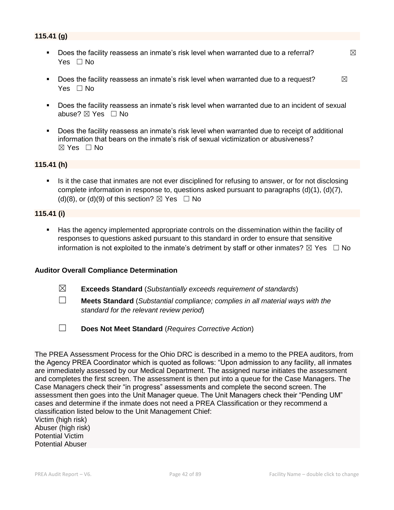- **•** Does the facility reassess an inmate's risk level when warranted due to a referral?  $\boxtimes$ Yes □ No
- **•** Does the facility reassess an inmate's risk level when warranted due to a request?  $\boxtimes$ Yes □ No
- Does the facility reassess an inmate's risk level when warranted due to an incident of sexual abuse? ⊠ Yes □ No
- Does the facility reassess an inmate's risk level when warranted due to receipt of additional information that bears on the inmate's risk of sexual victimization or abusiveness?  $\boxtimes$  Yes  $\Box$  No

### **115.41 (h)**

**EXECT** Is it the case that inmates are not ever disciplined for refusing to answer, or for not disclosing complete information in response to, questions asked pursuant to paragraphs (d)(1), (d)(7), (d)(8), or (d)(9) of this section?  $\boxtimes$  Yes  $\Box$  No

### **115.41 (i)**

Has the agency implemented appropriate controls on the dissemination within the facility of responses to questions asked pursuant to this standard in order to ensure that sensitive information is not exploited to the inmate's detriment by staff or other inmates?  $\boxtimes$  Yes  $\Box$  No

### **Auditor Overall Compliance Determination**

- ☒ **Exceeds Standard** (*Substantially exceeds requirement of standards*)
- ☐ **Meets Standard** (*Substantial compliance; complies in all material ways with the standard for the relevant review period*)
- ☐ **Does Not Meet Standard** (*Requires Corrective Action*)

The PREA Assessment Process for the Ohio DRC is described in a memo to the PREA auditors, from the Agency PREA Coordinator which is quoted as follows: "Upon admission to any facility, all inmates are immediately assessed by our Medical Department. The assigned nurse initiates the assessment and completes the first screen. The assessment is then put into a queue for the Case Managers. The Case Managers check their "in progress" assessments and complete the second screen. The assessment then goes into the Unit Manager queue. The Unit Managers check their "Pending UM" cases and determine if the inmate does not need a PREA Classification or they recommend a classification listed below to the Unit Management Chief: Victim (high risk) Abuser (high risk) Potential Victim Potential Abuser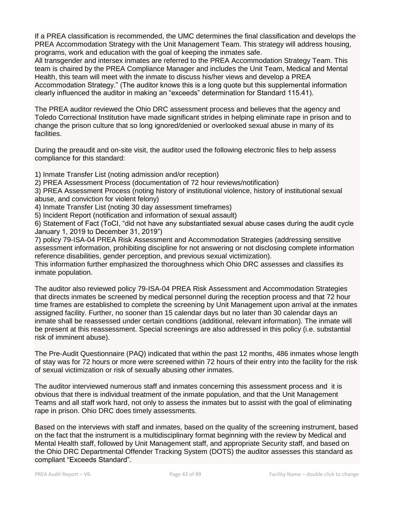If a PREA classification is recommended, the UMC determines the final classification and develops the PREA Accommodation Strategy with the Unit Management Team. This strategy will address housing, programs, work and education with the goal of keeping the inmates safe.

All transgender and intersex inmates are referred to the PREA Accommodation Strategy Team. This team is chaired by the PREA Compliance Manager and includes the Unit Team, Medical and Mental Health, this team will meet with the inmate to discuss his/her views and develop a PREA Accommodation Strategy." (The auditor knows this is a long quote but this supplemental information clearly influenced the auditor in making an "exceeds" determination for Standard 115.41).

The PREA auditor reviewed the Ohio DRC assessment process and believes that the agency and Toledo Correctional Institution have made significant strides in helping eliminate rape in prison and to change the prison culture that so long ignored/denied or overlooked sexual abuse in many of its facilities.

During the preaudit and on-site visit, the auditor used the following electronic files to help assess compliance for this standard:

1) Inmate Transfer List (noting admission and/or reception)

2) PREA Assessment Process (documentation of 72 hour reviews/notification)

3) PREA Assessment Process (noting history of institutional violence, history of institutional sexual abuse, and conviction for violent felony)

- 4) Inmate Transfer List (noting 30 day assessment timeframes)
- 5) Incident Report (notification and information of sexual assault)

6) Statement of Fact (ToCI, "did not have any substantiated sexual abuse cases during the audit cycle January 1, 2019 to December 31, 2019")

7) policy 79-ISA-04 PREA Risk Assessment and Accommodation Strategies (addressing sensitive assessment information, prohibiting discipline for not answering or not disclosing complete information reference disabilities, gender perception, and previous sexual victimization).

This information further emphasized the thoroughness which Ohio DRC assesses and classifies its inmate population.

The auditor also reviewed policy 79-ISA-04 PREA Risk Assessment and Accommodation Strategies that directs inmates be screened by medical personnel during the reception process and that 72 hour time frames are established to complete the screening by Unit Management upon arrival at the inmates assigned facility. Further, no sooner than 15 calendar days but no later than 30 calendar days an inmate shall be reassessed under certain conditions (additional, relevant information). The inmate will be present at this reassessment. Special screenings are also addressed in this policy (i.e. substantial risk of imminent abuse).

The Pre-Audit Questionnaire (PAQ) indicated that within the past 12 months, 486 inmates whose length of stay was for 72 hours or more were screened within 72 hours of their entry into the facility for the risk of sexual victimization or risk of sexually abusing other inmates.

The auditor interviewed numerous staff and inmates concerning this assessment process and it is obvious that there is individual treatment of the inmate population, and that the Unit Management Teams and all staff work hard, not only to assess the inmates but to assist with the goal of eliminating rape in prison. Ohio DRC does timely assessments.

Based on the interviews with staff and inmates, based on the quality of the screening instrument, based on the fact that the instrument is a multidisciplinary format beginning with the review by Medical and Mental Health staff, followed by Unit Management staff, and appropriate Security staff, and based on the Ohio DRC Departmental Offender Tracking System (DOTS) the auditor assesses this standard as compliant "Exceeds Standard".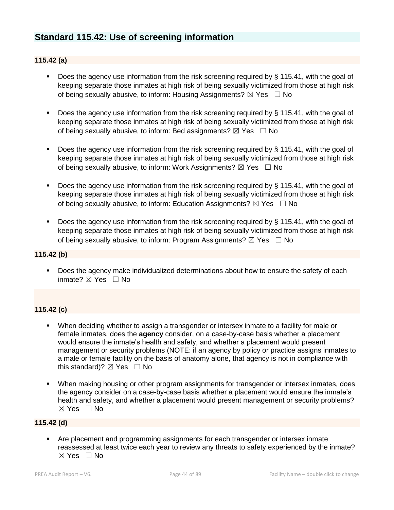## **Standard 115.42: Use of screening information**

### **115.42 (a)**

- Does the agency use information from the risk screening required by § 115.41, with the goal of keeping separate those inmates at high risk of being sexually victimized from those at high risk of being sexually abusive, to inform: Housing Assignments?  $\boxtimes$  Yes  $\Box$  No
- Does the agency use information from the risk screening required by § 115.41, with the goal of keeping separate those inmates at high risk of being sexually victimized from those at high risk of being sexually abusive, to inform: Bed assignments?  $\boxtimes$  Yes  $\Box$  No
- Does the agency use information from the risk screening required by § 115.41, with the goal of keeping separate those inmates at high risk of being sexually victimized from those at high risk of being sexually abusive, to inform: Work Assignments?  $\boxtimes$  Yes  $\Box$  No
- Does the agency use information from the risk screening required by § 115.41, with the goal of keeping separate those inmates at high risk of being sexually victimized from those at high risk of being sexually abusive, to inform: Education Assignments?  $\boxtimes$  Yes  $\Box$  No
- Does the agency use information from the risk screening required by § 115.41, with the goal of keeping separate those inmates at high risk of being sexually victimized from those at high risk of being sexually abusive, to inform: Program Assignments?  $\boxtimes$  Yes  $\Box$  No

### **115.42 (b)**

**•** Does the agency make individualized determinations about how to ensure the safety of each inmate? ☒ Yes ☐ No

## **115.42 (c)**

- When deciding whether to assign a transgender or intersex inmate to a facility for male or female inmates, does the **agency** consider, on a case-by-case basis whether a placement would ensure the inmate's health and safety, and whether a placement would present management or security problems (NOTE: if an agency by policy or practice assigns inmates to a male or female facility on the basis of anatomy alone, that agency is not in compliance with this standard)?  $\boxtimes$  Yes  $\Box$  No
- **When making housing or other program assignments for transgender or intersex inmates, does** the agency consider on a case-by-case basis whether a placement would ensure the inmate's health and safety, and whether a placement would present management or security problems? ☒ Yes ☐ No

### **115.42 (d)**

**EXP** Are placement and programming assignments for each transgender or intersex inmate reassessed at least twice each year to review any threats to safety experienced by the inmate?  $\boxtimes$  Yes  $\Box$  No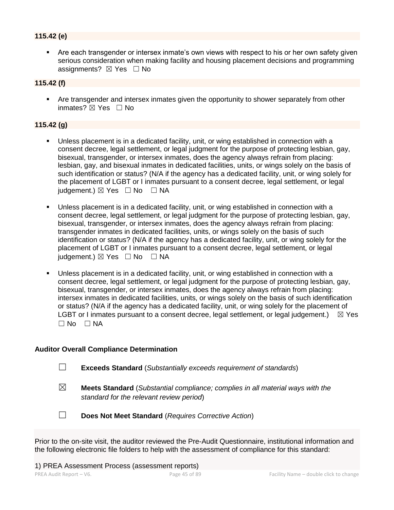## **115.42 (e)**

■ Are each transgender or intersex inmate's own views with respect to his or her own safety given serious consideration when making facility and housing placement decisions and programming assignments? ⊠ Yes □ No

## **115.42 (f)**

**•** Are transgender and intersex inmates given the opportunity to shower separately from other inmates? **⊠** Yes □ No

### **115.42 (g)**

- Unless placement is in a dedicated facility, unit, or wing established in connection with a consent decree, legal settlement, or legal judgment for the purpose of protecting lesbian, gay, bisexual, transgender, or intersex inmates, does the agency always refrain from placing: lesbian, gay, and bisexual inmates in dedicated facilities, units, or wings solely on the basis of such identification or status? (N/A if the agency has a dedicated facility, unit, or wing solely for the placement of LGBT or I inmates pursuant to a consent decree, legal settlement, or legal judgement.) ⊠ Yes □ No □ NA
- Unless placement is in a dedicated facility, unit, or wing established in connection with a consent decree, legal settlement, or legal judgment for the purpose of protecting lesbian, gay, bisexual, transgender, or intersex inmates, does the agency always refrain from placing: transgender inmates in dedicated facilities, units, or wings solely on the basis of such identification or status? (N/A if the agency has a dedicated facility, unit, or wing solely for the placement of LGBT or I inmates pursuant to a consent decree, legal settlement, or legal judgement.)  $\boxtimes$  Yes  $\Box$  No  $\Box$  NA
- Unless placement is in a dedicated facility, unit, or wing established in connection with a consent decree, legal settlement, or legal judgment for the purpose of protecting lesbian, gay, bisexual, transgender, or intersex inmates, does the agency always refrain from placing: intersex inmates in dedicated facilities, units, or wings solely on the basis of such identification or status? (N/A if the agency has a dedicated facility, unit, or wing solely for the placement of LGBT or I inmates pursuant to a consent decree, legal settlement, or legal judgement.)  $\boxtimes$  Yes  $\Box$  No  $\Box$  NA

### **Auditor Overall Compliance Determination**

- ☐ **Exceeds Standard** (*Substantially exceeds requirement of standards*)
- ☒ **Meets Standard** (*Substantial compliance; complies in all material ways with the standard for the relevant review period*)
- ☐ **Does Not Meet Standard** (*Requires Corrective Action*)

Prior to the on-site visit, the auditor reviewed the Pre-Audit Questionnaire, institutional information and the following electronic file folders to help with the assessment of compliance for this standard: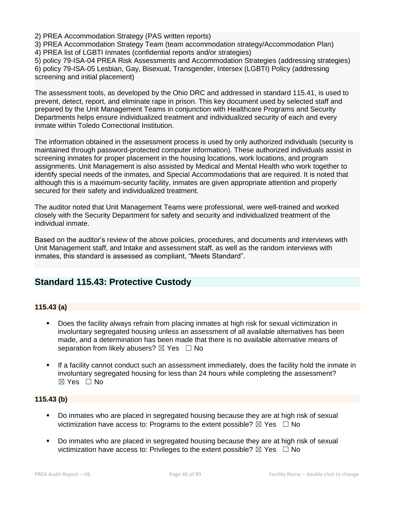2) PREA Accommodation Strategy (PAS written reports)

3) PREA Accommodation Strategy Team (team accommodation strategy/Accommodation Plan) 4) PREA list of LGBTI Inmates (confidential reports and/or strategies)

5) policy 79-ISA-04 PREA Risk Assessments and Accommodation Strategies (addressing strategies) 6) policy 79-ISA-05 Lesbian, Gay, Bisexual, Transgender, Intersex (LGBTI) Policy (addressing screening and initial placement)

The assessment tools, as developed by the Ohio DRC and addressed in standard 115.41, is used to prevent, detect, report, and eliminate rape in prison. This key document used by selected staff and prepared by the Unit Management Teams in conjunction with Healthcare Programs and Security Departments helps ensure individualized treatment and individualized security of each and every inmate within Toledo Correctional Institution.

The information obtained in the assessment process is used by only authorized individuals (security is maintained through password-protected computer information). These authorized individuals assist in screening inmates for proper placement in the housing locations, work locations, and program assignments. Unit Management is also assisted by Medical and Mental Health who work together to identify special needs of the inmates, and Special Accommodations that are required. It is noted that although this is a maximum-security facility, inmates are given appropriate attention and properly secured for their safety and individualized treatment.

The auditor noted that Unit Management Teams were professional, were well-trained and worked closely with the Security Department for safety and security and individualized treatment of the individual inmate.

Based on the auditor's review of the above policies, procedures, and documents and interviews with Unit Management staff, and Intake and assessment staff, as well as the random interviews with inmates, this standard is assessed as compliant, "Meets Standard".

## **Standard 115.43: Protective Custody**

## **115.43 (a)**

- Does the facility always refrain from placing inmates at high risk for sexual victimization in involuntary segregated housing unless an assessment of all available alternatives has been made, and a determination has been made that there is no available alternative means of separation from likely abusers?  $\boxtimes$  Yes  $\Box$  No
- If a facility cannot conduct such an assessment immediately, does the facility hold the inmate in involuntary segregated housing for less than 24 hours while completing the assessment? ☒ Yes ☐ No

## **115.43 (b)**

- Do inmates who are placed in segregated housing because they are at high risk of sexual victimization have access to: Programs to the extent possible?  $\boxtimes$  Yes  $\Box$  No
- Do inmates who are placed in segregated housing because they are at high risk of sexual victimization have access to: Privileges to the extent possible?  $\boxtimes$  Yes  $\Box$  No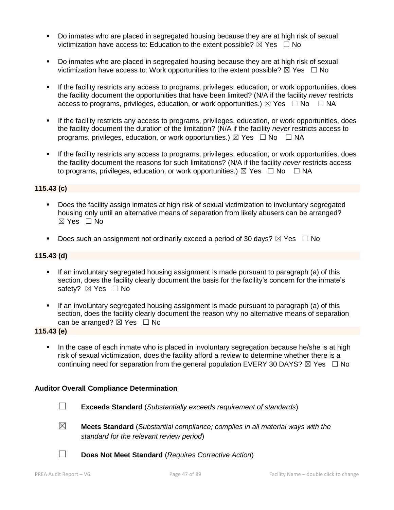- Do inmates who are placed in segregated housing because they are at high risk of sexual victimization have access to: Education to the extent possible?  $\boxtimes$  Yes  $\Box$  No
- Do inmates who are placed in segregated housing because they are at high risk of sexual victimization have access to: Work opportunities to the extent possible?  $\boxtimes$  Yes  $\Box$  No
- If the facility restricts any access to programs, privileges, education, or work opportunities, does the facility document the opportunities that have been limited? (N/A if the facility *never* restricts access to programs, privileges, education, or work opportunities.)  $\boxtimes$  Yes  $\Box$  No  $\Box$  NA
- If the facility restricts any access to programs, privileges, education, or work opportunities, does the facility document the duration of the limitation? (N/A if the facility *never* restricts access to programs, privileges, education, or work opportunities.)  $\boxtimes$  Yes  $\Box$  No  $\Box$  NA
- **EXECT** If the facility restricts any access to programs, privileges, education, or work opportunities, does the facility document the reasons for such limitations? (N/A if the facility *never* restricts access to programs, privileges, education, or work opportunities.)  $\boxtimes$  Yes  $\Box$  No  $\Box$  NA

### **115.43 (c)**

- Does the facility assign inmates at high risk of sexual victimization to involuntary segregated housing only until an alternative means of separation from likely abusers can be arranged? ☒ Yes ☐ No
- **•** Does such an assignment not ordinarily exceed a period of 30 days?  $\boxtimes$  Yes  $\Box$  No

## **115.43 (d)**

- **■** If an involuntary segregated housing assignment is made pursuant to paragraph (a) of this section, does the facility clearly document the basis for the facility's concern for the inmate's safety? ⊠ Yes □ No
- If an involuntary segregated housing assignment is made pursuant to paragraph (a) of this section, does the facility clearly document the reason why no alternative means of separation can be arranged?  $\boxtimes$  Yes  $\Box$  No

### **115.43 (e)**

In the case of each inmate who is placed in involuntary segregation because he/she is at high risk of sexual victimization, does the facility afford a review to determine whether there is a continuing need for separation from the general population EVERY 30 DAYS?  $\boxtimes$  Yes  $\Box$  No

### **Auditor Overall Compliance Determination**

- ☐ **Exceeds Standard** (*Substantially exceeds requirement of standards*)
- ☒ **Meets Standard** (*Substantial compliance; complies in all material ways with the standard for the relevant review period*)
- ☐ **Does Not Meet Standard** (*Requires Corrective Action*)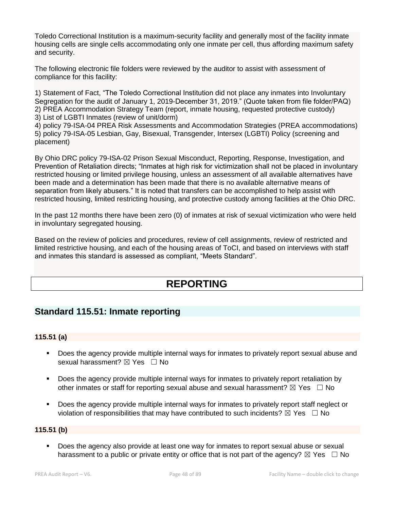Toledo Correctional Institution is a maximum-security facility and generally most of the facility inmate housing cells are single cells accommodating only one inmate per cell, thus affording maximum safety and security.

The following electronic file folders were reviewed by the auditor to assist with assessment of compliance for this facility:

1) Statement of Fact, "The Toledo Correctional Institution did not place any inmates into Involuntary Segregation for the audit of January 1, 2019-December 31, 2019." (Quote taken from file folder/PAQ) 2) PREA Accommodation Strategy Team (report, inmate housing, requested protective custody) 3) List of LGBTI Inmates (review of unit/dorm)

4) policy 79-ISA-04 PREA Risk Assessments and Accommodation Strategies (PREA accommodations) 5) policy 79-ISA-05 Lesbian, Gay, Bisexual, Transgender, Intersex (LGBTI) Policy (screening and placement)

By Ohio DRC policy 79-ISA-02 Prison Sexual Misconduct, Reporting, Response, Investigation, and Prevention of Retaliation directs; "Inmates at high risk for victimization shall not be placed in involuntary restricted housing or limited privilege housing, unless an assessment of all available alternatives have been made and a determination has been made that there is no available alternative means of separation from likely abusers." It is noted that transfers can be accomplished to help assist with restricted housing, limited restricting housing, and protective custody among facilities at the Ohio DRC.

In the past 12 months there have been zero (0) of inmates at risk of sexual victimization who were held in involuntary segregated housing.

Based on the review of policies and procedures, review of cell assignments, review of restricted and limited restrictive housing, and each of the housing areas of ToCI, and based on interviews with staff and inmates this standard is assessed as compliant, "Meets Standard".

# **REPORTING**

## **Standard 115.51: Inmate reporting**

## **115.51 (a)**

- Does the agency provide multiple internal ways for inmates to privately report sexual abuse and sexual harassment? ⊠ Yes □ No
- **•** Does the agency provide multiple internal ways for inmates to privately report retaliation by other inmates or staff for reporting sexual abuse and sexual harassment?  $\boxtimes$  Yes  $\Box$  No
- Does the agency provide multiple internal ways for inmates to privately report staff neglect or violation of responsibilities that may have contributed to such incidents?  $\boxtimes$  Yes  $\Box$  No

## **115.51 (b)**

■ Does the agency also provide at least one way for inmates to report sexual abuse or sexual harassment to a public or private entity or office that is not part of the agency?  $\boxtimes$  Yes  $\Box$  No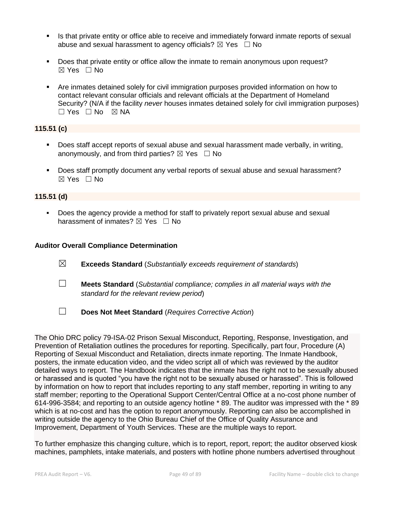- Is that private entity or office able to receive and immediately forward inmate reports of sexual abuse and sexual harassment to agency officials?  $\boxtimes$  Yes  $\Box$  No
- Does that private entity or office allow the inmate to remain anonymous upon request?  $\boxtimes$  Yes  $\Box$  No
- Are inmates detained solely for civil immigration purposes provided information on how to contact relevant consular officials and relevant officials at the Department of Homeland Security? (N/A if the facility *never* houses inmates detained solely for civil immigration purposes)  $\Box$  Yes  $\Box$  No  $\boxtimes$  NA

## **115.51 (c)**

- Does staff accept reports of sexual abuse and sexual harassment made verbally, in writing, anonymously, and from third parties?  $\boxtimes$  Yes  $\Box$  No
- Does staff promptly document any verbal reports of sexual abuse and sexual harassment?  $\boxtimes$  Yes  $\Box$  No

## **115.51 (d)**

▪ Does the agency provide a method for staff to privately report sexual abuse and sexual harassment of inmates?  $\boxtimes$  Yes  $\Box$  No

### **Auditor Overall Compliance Determination**

- ☒ **Exceeds Standard** (*Substantially exceeds requirement of standards*)
- ☐ **Meets Standard** (*Substantial compliance; complies in all material ways with the standard for the relevant review period*)
- ☐ **Does Not Meet Standard** (*Requires Corrective Action*)

The Ohio DRC policy 79-ISA-02 Prison Sexual Misconduct, Reporting, Response, Investigation, and Prevention of Retaliation outlines the procedures for reporting. Specifically, part four, Procedure (A) Reporting of Sexual Misconduct and Retaliation, directs inmate reporting. The Inmate Handbook, posters, the inmate education video, and the video script all of which was reviewed by the auditor detailed ways to report. The Handbook indicates that the inmate has the right not to be sexually abused or harassed and is quoted "you have the right not to be sexually abused or harassed". This is followed by information on how to report that includes reporting to any staff member, reporting in writing to any staff member; reporting to the Operational Support Center/Central Office at a no-cost phone number of 614-996-3584; and reporting to an outside agency hotline \* 89. The auditor was impressed with the \* 89 which is at no-cost and has the option to report anonymously. Reporting can also be accomplished in writing outside the agency to the Ohio Bureau Chief of the Office of Quality Assurance and Improvement, Department of Youth Services. These are the multiple ways to report.

To further emphasize this changing culture, which is to report, report, report; the auditor observed kiosk machines, pamphlets, intake materials, and posters with hotline phone numbers advertised throughout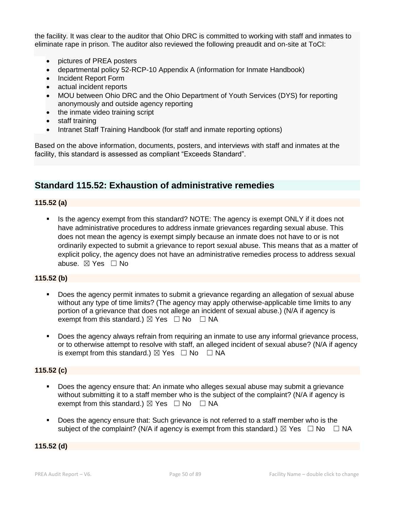the facility. It was clear to the auditor that Ohio DRC is committed to working with staff and inmates to eliminate rape in prison. The auditor also reviewed the following preaudit and on-site at ToCI:

- pictures of PREA posters
- departmental policy 52-RCP-10 Appendix A (information for Inmate Handbook)
- Incident Report Form
- actual incident reports
- MOU between Ohio DRC and the Ohio Department of Youth Services (DYS) for reporting anonymously and outside agency reporting
- the inmate video training script
- staff training
- Intranet Staff Training Handbook (for staff and inmate reporting options)

Based on the above information, documents, posters, and interviews with staff and inmates at the facility, this standard is assessed as compliant "Exceeds Standard".

## **Standard 115.52: Exhaustion of administrative remedies**

### **115.52 (a)**

**.** Is the agency exempt from this standard? NOTE: The agency is exempt ONLY if it does not have administrative procedures to address inmate grievances regarding sexual abuse. This does not mean the agency is exempt simply because an inmate does not have to or is not ordinarily expected to submit a grievance to report sexual abuse. This means that as a matter of explicit policy, the agency does not have an administrative remedies process to address sexual abuse. ☒ Yes ☐ No

## **115.52 (b)**

- Does the agency permit inmates to submit a grievance regarding an allegation of sexual abuse without any type of time limits? (The agency may apply otherwise-applicable time limits to any portion of a grievance that does not allege an incident of sexual abuse.) (N/A if agency is exempt from this standard.)  $\boxtimes$  Yes  $\Box$  No  $\Box$  NA
- **•** Does the agency always refrain from requiring an inmate to use any informal grievance process, or to otherwise attempt to resolve with staff, an alleged incident of sexual abuse? (N/A if agency is exempt from this standard.)  $\boxtimes$  Yes  $\Box$  No  $\Box$  NA

### **115.52 (c)**

- Does the agency ensure that: An inmate who alleges sexual abuse may submit a grievance without submitting it to a staff member who is the subject of the complaint? (N/A if agency is exempt from this standard.)  $\boxtimes$  Yes  $\Box$  No  $\Box$  NA
- Does the agency ensure that: Such grievance is not referred to a staff member who is the subject of the complaint? (N/A if agency is exempt from this standard.)  $\boxtimes$  Yes  $\Box$  No  $\Box$  NA

### **115.52 (d)**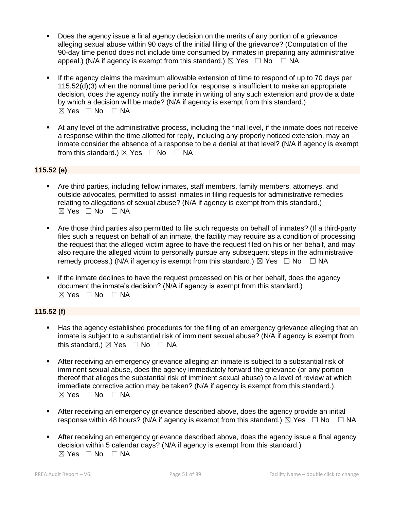- Does the agency issue a final agency decision on the merits of any portion of a grievance alleging sexual abuse within 90 days of the initial filing of the grievance? (Computation of the 90-day time period does not include time consumed by inmates in preparing any administrative appeal.) (N/A if agency is exempt from this standard.)  $\boxtimes$  Yes  $\Box$  No  $\Box$  NA
- If the agency claims the maximum allowable extension of time to respond of up to 70 days per 115.52(d)(3) when the normal time period for response is insufficient to make an appropriate decision, does the agency notify the inmate in writing of any such extension and provide a date by which a decision will be made? (N/A if agency is exempt from this standard.)  $\boxtimes$  Yes  $\Box$  No  $\Box$  NA
- At any level of the administrative process, including the final level, if the inmate does not receive a response within the time allotted for reply, including any properly noticed extension, may an inmate consider the absence of a response to be a denial at that level? (N/A if agency is exempt from this standard.)  $\boxtimes$  Yes  $\Box$  No  $\Box$  NA

## **115.52 (e)**

- Are third parties, including fellow inmates, staff members, family members, attorneys, and outside advocates, permitted to assist inmates in filing requests for administrative remedies relating to allegations of sexual abuse? (N/A if agency is exempt from this standard.) ☒ Yes ☐ No ☐ NA
- Are those third parties also permitted to file such requests on behalf of inmates? (If a third-party files such a request on behalf of an inmate, the facility may require as a condition of processing the request that the alleged victim agree to have the request filed on his or her behalf, and may also require the alleged victim to personally pursue any subsequent steps in the administrative remedy process.) (N/A if agency is exempt from this standard.)  $\boxtimes$  Yes  $\Box$  No  $\Box$  NA
- If the inmate declines to have the request processed on his or her behalf, does the agency document the inmate's decision? (N/A if agency is exempt from this standard.)  $⊠ Yes ⊡ No ⊡ NA$

## **115.52 (f)**

- **■** Has the agency established procedures for the filing of an emergency grievance alleging that an inmate is subject to a substantial risk of imminent sexual abuse? (N/A if agency is exempt from this standard.)  $\boxtimes$  Yes  $\Box$  No  $\Box$  NA
- After receiving an emergency grievance alleging an inmate is subject to a substantial risk of imminent sexual abuse, does the agency immediately forward the grievance (or any portion thereof that alleges the substantial risk of imminent sexual abuse) to a level of review at which immediate corrective action may be taken? (N/A if agency is exempt from this standard.).  $\boxtimes$  Yes  $\Box$  No  $\Box$  NA
- After receiving an emergency grievance described above, does the agency provide an initial response within 48 hours? (N/A if agency is exempt from this standard.)  $\boxtimes$  Yes  $\Box$  No  $\Box$  NA
- After receiving an emergency grievance described above, does the agency issue a final agency decision within 5 calendar days? (N/A if agency is exempt from this standard.)  $⊠ Yes ⊡ No ⊡ NA$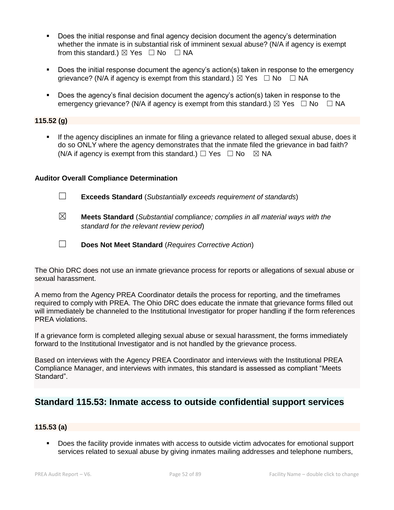- Does the initial response and final agency decision document the agency's determination whether the inmate is in substantial risk of imminent sexual abuse? (N/A if agency is exempt from this standard.)  $\boxtimes$  Yes  $\Box$  No  $\Box$  NA
- Does the initial response document the agency's action(s) taken in response to the emergency grievance? (N/A if agency is exempt from this standard.)  $\boxtimes$  Yes  $\Box$  No  $\Box$  NA
- Does the agency's final decision document the agency's action(s) taken in response to the emergency grievance? (N/A if agency is exempt from this standard.)  $\boxtimes$  Yes  $\Box$  No  $\Box$  NA

### **115.52 (g)**

**■** If the agency disciplines an inmate for filing a grievance related to alleged sexual abuse, does it do so ONLY where the agency demonstrates that the inmate filed the grievance in bad faith? (N/A if agency is exempt from this standard.)  $\Box$  Yes  $\Box$  No  $\boxtimes$  NA

### **Auditor Overall Compliance Determination**

- ☐ **Exceeds Standard** (*Substantially exceeds requirement of standards*)
- ☒ **Meets Standard** (*Substantial compliance; complies in all material ways with the standard for the relevant review period*)
- ☐ **Does Not Meet Standard** (*Requires Corrective Action*)

The Ohio DRC does not use an inmate grievance process for reports or allegations of sexual abuse or sexual harassment.

A memo from the Agency PREA Coordinator details the process for reporting, and the timeframes required to comply with PREA. The Ohio DRC does educate the inmate that grievance forms filled out will immediately be channeled to the Institutional Investigator for proper handling if the form references PREA violations.

If a grievance form is completed alleging sexual abuse or sexual harassment, the forms immediately forward to the Institutional Investigator and is not handled by the grievance process.

Based on interviews with the Agency PREA Coordinator and interviews with the Institutional PREA Compliance Manager, and interviews with inmates, this standard is assessed as compliant "Meets Standard".

## **Standard 115.53: Inmate access to outside confidential support services**

### **115.53 (a)**

Does the facility provide inmates with access to outside victim advocates for emotional support services related to sexual abuse by giving inmates mailing addresses and telephone numbers,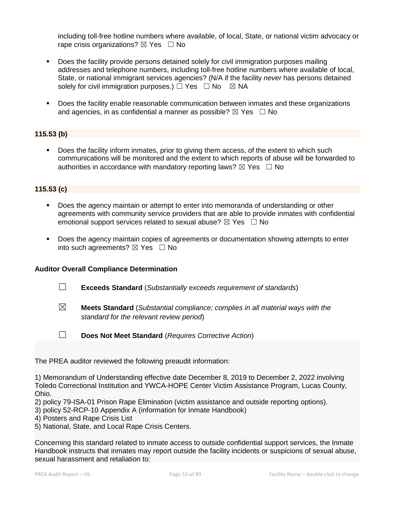including toll-free hotline numbers where available, of local, State, or national victim advocacy or rape crisis organizations?  $\boxtimes$  Yes  $\Box$  No

- Does the facility provide persons detained solely for civil immigration purposes mailing addresses and telephone numbers, including toll-free hotline numbers where available of local, State, or national immigrant services agencies? (N/A if the facility *never* has persons detained solely for civil immigration purposes.)  $\Box$  Yes  $\Box$  No  $\boxtimes$  NA
- Does the facility enable reasonable communication between inmates and these organizations and agencies, in as confidential a manner as possible?  $\boxtimes$  Yes  $\Box$  No

## **115.53 (b)**

**•** Does the facility inform inmates, prior to giving them access, of the extent to which such communications will be monitored and the extent to which reports of abuse will be forwarded to authorities in accordance with mandatory reporting laws?  $\boxtimes$  Yes  $\Box$  No

## **115.53 (c)**

- **Does the agency maintain or attempt to enter into memoranda of understanding or other** agreements with community service providers that are able to provide inmates with confidential emotional support services related to sexual abuse?  $\boxtimes$  Yes  $\Box$  No
- Does the agency maintain copies of agreements or documentation showing attempts to enter into such agreements?  $\boxtimes$  Yes  $\Box$  No

### **Auditor Overall Compliance Determination**



☒ **Meets Standard** (*Substantial compliance; complies in all material ways with the standard for the relevant review period*)



☐ **Does Not Meet Standard** (*Requires Corrective Action*)

The PREA auditor reviewed the following preaudit information:

1) Memorandum of Understanding effective date December 8, 2019 to December 2, 2022 involving Toledo Correctional Institution and YWCA-HOPE Center Victim Assistance Program, Lucas County, Ohio.

2) policy 79-ISA-01 Prison Rape Elimination (victim assistance and outside reporting options).

3) policy 52-RCP-10 Appendix A (information for Inmate Handbook)

4) Posters and Rape Crisis List

5) National, State, and Local Rape Crisis Centers.

Concerning this standard related to inmate access to outside confidential support services, the Inmate Handbook instructs that inmates may report outside the facility incidents or suspicions of sexual abuse, sexual harassment and retaliation to: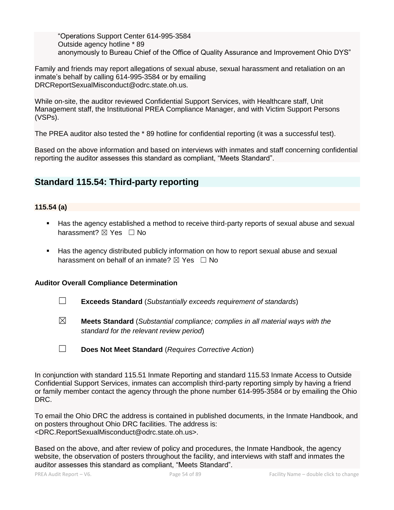"Operations Support Center 614-995-3584 Outside agency hotline \* 89 anonymously to Bureau Chief of the Office of Quality Assurance and Improvement Ohio DYS"

Family and friends may report allegations of sexual abuse, sexual harassment and retaliation on an inmate's behalf by calling 614-995-3584 or by emailing DRCReportSexualMisconduct@odrc.state.oh.us.

While on-site, the auditor reviewed Confidential Support Services, with Healthcare staff, Unit Management staff, the Institutional PREA Compliance Manager, and with Victim Support Persons (VSPs).

The PREA auditor also tested the \* 89 hotline for confidential reporting (it was a successful test).

Based on the above information and based on interviews with inmates and staff concerning confidential reporting the auditor assesses this standard as compliant, "Meets Standard".

## **Standard 115.54: Third-party reporting**

## **115.54 (a)**

- Has the agency established a method to receive third-party reports of sexual abuse and sexual harassment? ⊠ Yes □ No
- Has the agency distributed publicly information on how to report sexual abuse and sexual harassment on behalf of an inmate?  $\boxtimes$  Yes  $\Box$  No

## **Auditor Overall Compliance Determination**

- ☐ **Exceeds Standard** (*Substantially exceeds requirement of standards*)
- ☒ **Meets Standard** (*Substantial compliance; complies in all material ways with the standard for the relevant review period*)

In conjunction with standard 115.51 Inmate Reporting and standard 115.53 Inmate Access to Outside Confidential Support Services, inmates can accomplish third-party reporting simply by having a friend or family member contact the agency through the phone number 614-995-3584 or by emailing the Ohio DRC.

To email the Ohio DRC the address is contained in published documents, in the Inmate Handbook, and on posters throughout Ohio DRC facilities. The address is: <DRC.ReportSexualMisconduct@odrc.state.oh.us>.

Based on the above, and after review of policy and procedures, the Inmate Handbook, the agency website, the observation of posters throughout the facility, and interviews with staff and inmates the auditor assesses this standard as compliant, "Meets Standard".

<sup>☐</sup> **Does Not Meet Standard** (*Requires Corrective Action*)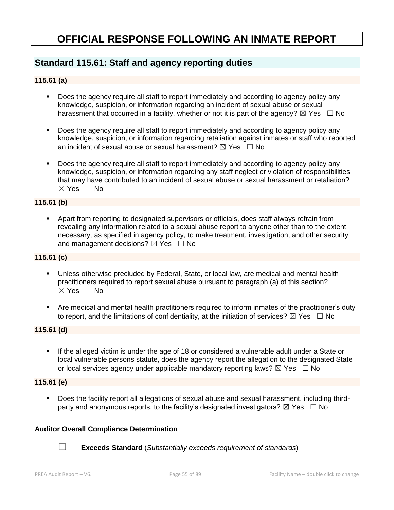# **OFFICIAL RESPONSE FOLLOWING AN INMATE REPORT**

## **Standard 115.61: Staff and agency reporting duties**

## **115.61 (a)**

- Does the agency require all staff to report immediately and according to agency policy any knowledge, suspicion, or information regarding an incident of sexual abuse or sexual harassment that occurred in a facility, whether or not it is part of the agency?  $\boxtimes$  Yes  $\Box$  No
- Does the agency require all staff to report immediately and according to agency policy any knowledge, suspicion, or information regarding retaliation against inmates or staff who reported an incident of sexual abuse or sexual harassment?  $\boxtimes$  Yes  $\Box$  No
- Does the agency require all staff to report immediately and according to agency policy any knowledge, suspicion, or information regarding any staff neglect or violation of responsibilities that may have contributed to an incident of sexual abuse or sexual harassment or retaliation? ☒ Yes ☐ No

## **115.61 (b)**

▪ Apart from reporting to designated supervisors or officials, does staff always refrain from revealing any information related to a sexual abuse report to anyone other than to the extent necessary, as specified in agency policy, to make treatment, investigation, and other security and management decisions?  $\boxtimes$  Yes  $\Box$  No

### **115.61 (c)**

- Unless otherwise precluded by Federal, State, or local law, are medical and mental health practitioners required to report sexual abuse pursuant to paragraph (a) of this section? ☒ Yes ☐ No
- Are medical and mental health practitioners required to inform inmates of the practitioner's duty to report, and the limitations of confidentiality, at the initiation of services?  $\boxtimes$  Yes  $\Box$  No

## **115.61 (d)**

If the alleged victim is under the age of 18 or considered a vulnerable adult under a State or local vulnerable persons statute, does the agency report the allegation to the designated State or local services agency under applicable mandatory reporting laws?  $\boxtimes$  Yes  $\Box$  No

### **115.61 (e)**

▪ Does the facility report all allegations of sexual abuse and sexual harassment, including thirdparty and anonymous reports, to the facility's designated investigators?  $\boxtimes$  Yes  $\Box$  No

### **Auditor Overall Compliance Determination**



☐ **Exceeds Standard** (*Substantially exceeds requirement of standards*)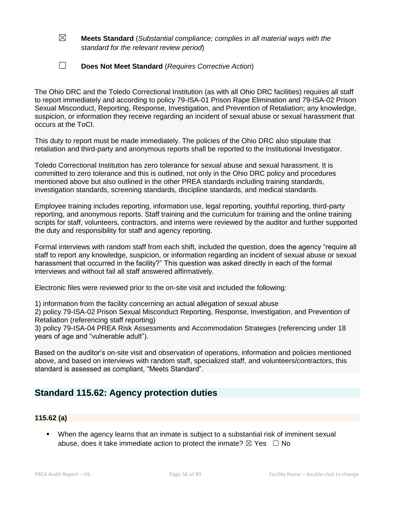## ☒ **Meets Standard** (*Substantial compliance; complies in all material ways with the standard for the relevant review period*)

## ☐ **Does Not Meet Standard** (*Requires Corrective Action*)

The Ohio DRC and the Toledo Correctional Institution (as with all Ohio DRC facilities) requires all staff to report immediately and according to policy 79-ISA-01 Prison Rape Elimination and 79-ISA-02 Prison Sexual Misconduct, Reporting, Response, Investigation, and Prevention of Retaliation; any knowledge, suspicion, or information they receive regarding an incident of sexual abuse or sexual harassment that occurs at the ToCI.

This duty to report must be made immediately. The policies of the Ohio DRC also stipulate that retaliation and third-party and anonymous reports shall be reported to the Institutional Investigator.

Toledo Correctional Institution has zero tolerance for sexual abuse and sexual harassment. It is committed to zero tolerance and this is outlined, not only in the Ohio DRC policy and procedures mentioned above but also outlined in the other PREA standards including training standards, investigation standards, screening standards, discipline standards, and medical standards.

Employee training includes reporting, information use, legal reporting, youthful reporting, third-party reporting, and anonymous reports. Staff training and the curriculum for training and the online training scripts for staff, volunteers, contractors, and interns were reviewed by the auditor and further supported the duty and responsibility for staff and agency reporting.

Formal interviews with random staff from each shift, included the question, does the agency "require all staff to report any knowledge, suspicion, or information regarding an incident of sexual abuse or sexual harassment that occurred in the facility?" This question was asked directly in each of the formal interviews and without fail all staff answered affirmatively.

Electronic files were reviewed prior to the on-site visit and included the following:

1) information from the facility concerning an actual allegation of sexual abuse

2) policy 79-ISA-02 Prison Sexual Misconduct Reporting, Response, Investigation, and Prevention of Retaliation (referencing staff reporting)

3) policy 79-ISA-04 PREA Risk Assessments and Accommodation Strategies (referencing under 18 years of age and "vulnerable adult").

Based on the auditor's on-site visit and observation of operations, information and policies mentioned above, and based on interviews with random staff, specialized staff, and volunteers/contractors, this standard is assessed as compliant, "Meets Standard".

# **Standard 115.62: Agency protection duties**

## **115.62 (a)**

▪ When the agency learns that an inmate is subject to a substantial risk of imminent sexual abuse, does it take immediate action to protect the inmate?  $\boxtimes$  Yes  $\Box$  No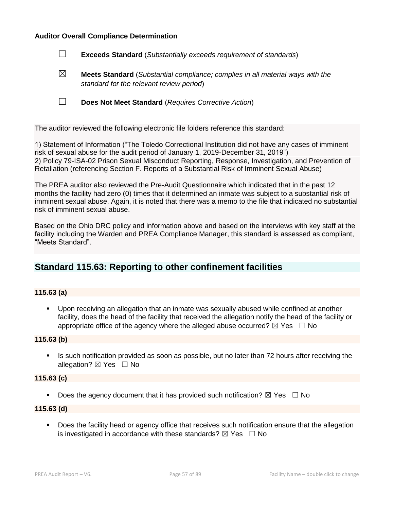### **Auditor Overall Compliance Determination**

| $\Box$ |  | <b>Exceeds Standard</b> (Substantially exceeds requirement of standards) |
|--------|--|--------------------------------------------------------------------------|
|--------|--|--------------------------------------------------------------------------|

☒ **Meets Standard** (*Substantial compliance; complies in all material ways with the standard for the relevant review period*)

☐ **Does Not Meet Standard** (*Requires Corrective Action*)

The auditor reviewed the following electronic file folders reference this standard:

1) Statement of Information ("The Toledo Correctional Institution did not have any cases of imminent risk of sexual abuse for the audit period of January 1, 2019-December 31, 2019") 2) Policy 79-ISA-02 Prison Sexual Misconduct Reporting, Response, Investigation, and Prevention of Retaliation (referencing Section F. Reports of a Substantial Risk of Imminent Sexual Abuse)

The PREA auditor also reviewed the Pre-Audit Questionnaire which indicated that in the past 12 months the facility had zero (0) times that it determined an inmate was subject to a substantial risk of imminent sexual abuse. Again, it is noted that there was a memo to the file that indicated no substantial risk of imminent sexual abuse.

Based on the Ohio DRC policy and information above and based on the interviews with key staff at the facility including the Warden and PREA Compliance Manager, this standard is assessed as compliant, "Meets Standard".

## **Standard 115.63: Reporting to other confinement facilities**

### **115.63 (a)**

▪ Upon receiving an allegation that an inmate was sexually abused while confined at another facility, does the head of the facility that received the allegation notify the head of the facility or appropriate office of the agency where the alleged abuse occurred?  $\boxtimes$  Yes  $\Box$  No

#### **115.63 (b)**

**.** Is such notification provided as soon as possible, but no later than 72 hours after receiving the allegation?  $\boxtimes$  Yes  $\Box$  No

#### **115.63 (c)**

**•** Does the agency document that it has provided such notification?  $\boxtimes$  Yes  $\Box$  No

### **115.63 (d)**

**•** Does the facility head or agency office that receives such notification ensure that the allegation is investigated in accordance with these standards?  $\boxtimes$  Yes  $\Box$  No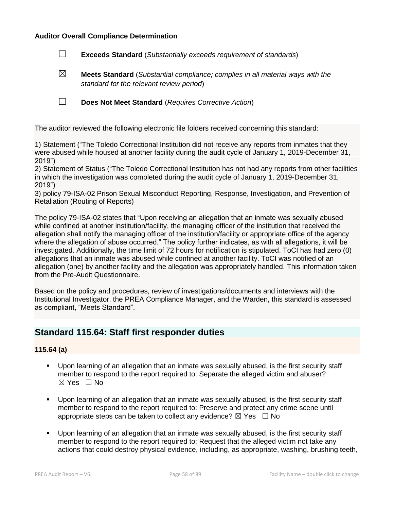### **Auditor Overall Compliance Determination**

- ☐ **Exceeds Standard** (*Substantially exceeds requirement of standards*)
- ☒ **Meets Standard** (*Substantial compliance; complies in all material ways with the standard for the relevant review period*)

☐ **Does Not Meet Standard** (*Requires Corrective Action*)

The auditor reviewed the following electronic file folders received concerning this standard:

1) Statement ("The Toledo Correctional Institution did not receive any reports from inmates that they were abused while housed at another facility during the audit cycle of January 1, 2019-December 31, 2019")

2) Statement of Status ("The Toledo Correctional Institution has not had any reports from other facilities in which the investigation was completed during the audit cycle of January 1, 2019-December 31, 2019")

3) policy 79-ISA-02 Prison Sexual Misconduct Reporting, Response, Investigation, and Prevention of Retaliation (Routing of Reports)

The policy 79-ISA-02 states that "Upon receiving an allegation that an inmate was sexually abused while confined at another institution/facility, the managing officer of the institution that received the allegation shall notify the managing officer of the institution/facility or appropriate office of the agency where the allegation of abuse occurred." The policy further indicates, as with all allegations, it will be investigated. Additionally, the time limit of 72 hours for notification is stipulated. ToCI has had zero (0) allegations that an inmate was abused while confined at another facility. ToCI was notified of an allegation (one) by another facility and the allegation was appropriately handled. This information taken from the Pre-Audit Questionnaire.

Based on the policy and procedures, review of investigations/documents and interviews with the Institutional Investigator, the PREA Compliance Manager, and the Warden, this standard is assessed as compliant, "Meets Standard".

## **Standard 115.64: Staff first responder duties**

### **115.64 (a)**

- Upon learning of an allegation that an inmate was sexually abused, is the first security staff member to respond to the report required to: Separate the alleged victim and abuser? ☒ Yes ☐ No
- Upon learning of an allegation that an inmate was sexually abused, is the first security staff member to respond to the report required to: Preserve and protect any crime scene until appropriate steps can be taken to collect any evidence?  $\boxtimes$  Yes  $\Box$  No
- Upon learning of an allegation that an inmate was sexually abused, is the first security staff member to respond to the report required to: Request that the alleged victim not take any actions that could destroy physical evidence, including, as appropriate, washing, brushing teeth,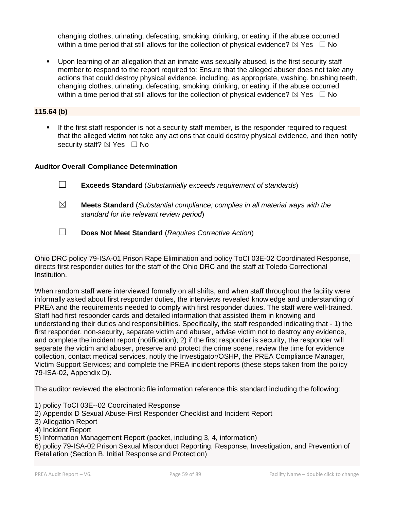changing clothes, urinating, defecating, smoking, drinking, or eating, if the abuse occurred within a time period that still allows for the collection of physical evidence?  $\boxtimes$  Yes  $\Box$  No

Upon learning of an allegation that an inmate was sexually abused, is the first security staff member to respond to the report required to: Ensure that the alleged abuser does not take any actions that could destroy physical evidence, including, as appropriate, washing, brushing teeth, changing clothes, urinating, defecating, smoking, drinking, or eating, if the abuse occurred within a time period that still allows for the collection of physical evidence?  $\boxtimes$  Yes  $\Box$  No

## **115.64 (b)**

If the first staff responder is not a security staff member, is the responder required to request that the alleged victim not take any actions that could destroy physical evidence, and then notify security staff?  $\boxtimes$  Yes  $\Box$  No

## **Auditor Overall Compliance Determination**

- ☐ **Exceeds Standard** (*Substantially exceeds requirement of standards*)
- ☒ **Meets Standard** (*Substantial compliance; complies in all material ways with the standard for the relevant review period*)
- ☐ **Does Not Meet Standard** (*Requires Corrective Action*)

Ohio DRC policy 79-ISA-01 Prison Rape Elimination and policy ToCI 03E-02 Coordinated Response, directs first responder duties for the staff of the Ohio DRC and the staff at Toledo Correctional Institution.

When random staff were interviewed formally on all shifts, and when staff throughout the facility were informally asked about first responder duties, the interviews revealed knowledge and understanding of PREA and the requirements needed to comply with first responder duties. The staff were well-trained. Staff had first responder cards and detailed information that assisted them in knowing and understanding their duties and responsibilities. Specifically, the staff responded indicating that - 1) the first responder, non-security, separate victim and abuser, advise victim not to destroy any evidence, and complete the incident report (notification); 2) if the first responder is security, the responder will separate the victim and abuser, preserve and protect the crime scene, review the time for evidence collection, contact medical services, notify the Investigator/OSHP, the PREA Compliance Manager, Victim Support Services; and complete the PREA incident reports (these steps taken from the policy 79-ISA-02, Appendix D).

The auditor reviewed the electronic file information reference this standard including the following:

- 1) policy ToCI 03E--02 Coordinated Response
- 2) Appendix D Sexual Abuse-First Responder Checklist and Incident Report
- 3) Allegation Report
- 4) Incident Report
- 5) Information Management Report (packet, including 3, 4, information)

6) policy 79-ISA-02 Prison Sexual Misconduct Reporting, Response, Investigation, and Prevention of Retaliation (Section B. Initial Response and Protection)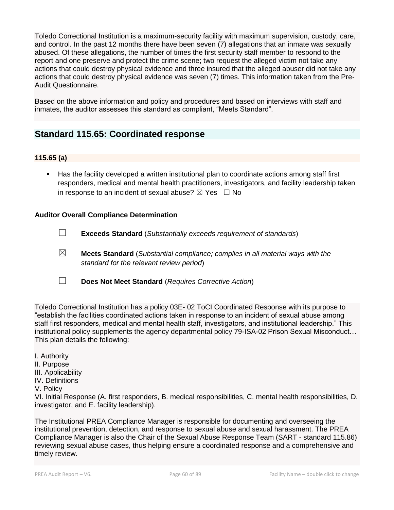Toledo Correctional Institution is a maximum-security facility with maximum supervision, custody, care, and control. In the past 12 months there have been seven (7) allegations that an inmate was sexually abused. Of these allegations, the number of times the first security staff member to respond to the report and one preserve and protect the crime scene; two request the alleged victim not take any actions that could destroy physical evidence and three insured that the alleged abuser did not take any actions that could destroy physical evidence was seven (7) times. This information taken from the Pre-Audit Questionnaire.

Based on the above information and policy and procedures and based on interviews with staff and inmates, the auditor assesses this standard as compliant, "Meets Standard".

## **Standard 115.65: Coordinated response**

## **115.65 (a)**

Has the facility developed a written institutional plan to coordinate actions among staff first responders, medical and mental health practitioners, investigators, and facility leadership taken in response to an incident of sexual abuse?  $\boxtimes$  Yes  $\Box$  No

## **Auditor Overall Compliance Determination**

- ☐ **Exceeds Standard** (*Substantially exceeds requirement of standards*)
- ☒ **Meets Standard** (*Substantial compliance; complies in all material ways with the standard for the relevant review period*)
- ☐ **Does Not Meet Standard** (*Requires Corrective Action*)

Toledo Correctional Institution has a policy 03E- 02 ToCI Coordinated Response with its purpose to "establish the facilities coordinated actions taken in response to an incident of sexual abuse among staff first responders, medical and mental health staff, investigators, and institutional leadership." This institutional policy supplements the agency departmental policy 79-ISA-02 Prison Sexual Misconduct… This plan details the following:

- I. Authority
- II. Purpose
- III. Applicability
- IV. Definitions
- V. Policy

VI. Initial Response (A. first responders, B. medical responsibilities, C. mental health responsibilities, D. investigator, and E. facility leadership).

The Institutional PREA Compliance Manager is responsible for documenting and overseeing the institutional prevention, detection, and response to sexual abuse and sexual harassment. The PREA Compliance Manager is also the Chair of the Sexual Abuse Response Team (SART - standard 115.86) reviewing sexual abuse cases, thus helping ensure a coordinated response and a comprehensive and timely review.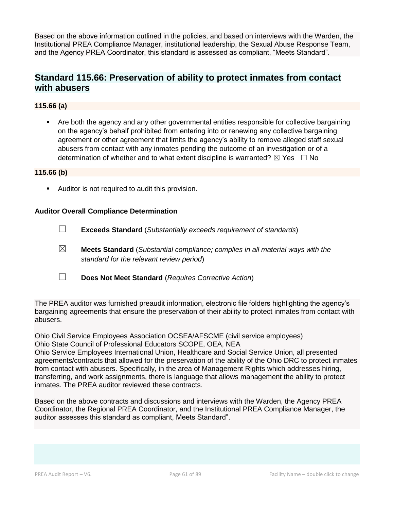Based on the above information outlined in the policies, and based on interviews with the Warden, the Institutional PREA Compliance Manager, institutional leadership, the Sexual Abuse Response Team, and the Agency PREA Coordinator, this standard is assessed as compliant, "Meets Standard".

## **Standard 115.66: Preservation of ability to protect inmates from contact with abusers**

## **115.66 (a)**

Are both the agency and any other governmental entities responsible for collective bargaining on the agency's behalf prohibited from entering into or renewing any collective bargaining agreement or other agreement that limits the agency's ability to remove alleged staff sexual abusers from contact with any inmates pending the outcome of an investigation or of a determination of whether and to what extent discipline is warranted?  $\boxtimes$  Yes  $\Box$  No

### **115.66 (b)**

■ Auditor is not required to audit this provision.

### **Auditor Overall Compliance Determination**

- ☐ **Exceeds Standard** (*Substantially exceeds requirement of standards*)
- ☒ **Meets Standard** (*Substantial compliance; complies in all material ways with the standard for the relevant review period*)
- ☐ **Does Not Meet Standard** (*Requires Corrective Action*)

The PREA auditor was furnished preaudit information, electronic file folders highlighting the agency's bargaining agreements that ensure the preservation of their ability to protect inmates from contact with abusers.

Ohio Civil Service Employees Association OCSEA/AFSCME (civil service employees) Ohio State Council of Professional Educators SCOPE, OEA, NEA

Ohio Service Employees International Union, Healthcare and Social Service Union, all presented agreements/contracts that allowed for the preservation of the ability of the Ohio DRC to protect inmates from contact with abusers. Specifically, in the area of Management Rights which addresses hiring, transferring, and work assignments, there is language that allows management the ability to protect inmates. The PREA auditor reviewed these contracts.

Based on the above contracts and discussions and interviews with the Warden, the Agency PREA Coordinator, the Regional PREA Coordinator, and the Institutional PREA Compliance Manager, the auditor assesses this standard as compliant, Meets Standard".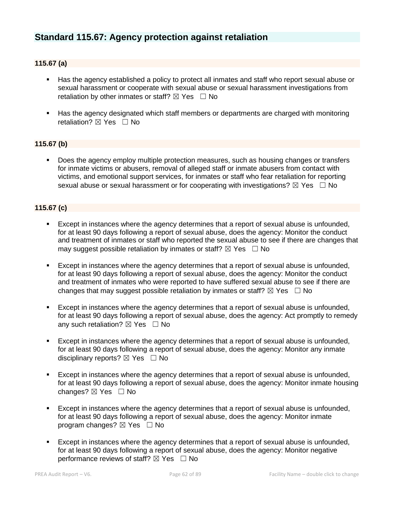## **Standard 115.67: Agency protection against retaliation**

## **115.67 (a)**

- Has the agency established a policy to protect all inmates and staff who report sexual abuse or sexual harassment or cooperate with sexual abuse or sexual harassment investigations from retaliation by other inmates or staff?  $\boxtimes$  Yes  $\Box$  No
- Has the agency designated which staff members or departments are charged with monitoring retaliation?  $\boxtimes$  Yes  $\Box$  No

### **115.67 (b)**

■ Does the agency employ multiple protection measures, such as housing changes or transfers for inmate victims or abusers, removal of alleged staff or inmate abusers from contact with victims, and emotional support services, for inmates or staff who fear retaliation for reporting sexual abuse or sexual harassment or for cooperating with investigations?  $\boxtimes$  Yes  $\Box$  No

### **115.67 (c)**

- Except in instances where the agency determines that a report of sexual abuse is unfounded, for at least 90 days following a report of sexual abuse, does the agency: Monitor the conduct and treatment of inmates or staff who reported the sexual abuse to see if there are changes that may suggest possible retaliation by inmates or staff?  $\boxtimes$  Yes  $\Box$  No
- Except in instances where the agency determines that a report of sexual abuse is unfounded, for at least 90 days following a report of sexual abuse, does the agency: Monitor the conduct and treatment of inmates who were reported to have suffered sexual abuse to see if there are changes that may suggest possible retaliation by inmates or staff?  $\boxtimes$  Yes  $\Box$  No
- Except in instances where the agency determines that a report of sexual abuse is unfounded, for at least 90 days following a report of sexual abuse, does the agency: Act promptly to remedy any such retaliation?  $\boxtimes$  Yes  $\Box$  No
- Except in instances where the agency determines that a report of sexual abuse is unfounded, for at least 90 days following a report of sexual abuse, does the agency: Monitor any inmate disciplinary reports?  $\boxtimes$  Yes  $\Box$  No
- Except in instances where the agency determines that a report of sexual abuse is unfounded, for at least 90 days following a report of sexual abuse, does the agency: Monitor inmate housing changes? ⊠ Yes □ No
- Except in instances where the agency determines that a report of sexual abuse is unfounded, for at least 90 days following a report of sexual abuse, does the agency: Monitor inmate program changes?  $\boxtimes$  Yes  $\Box$  No
- Except in instances where the agency determines that a report of sexual abuse is unfounded, for at least 90 days following a report of sexual abuse, does the agency: Monitor negative performance reviews of staff?  $\boxtimes$  Yes  $\Box$  No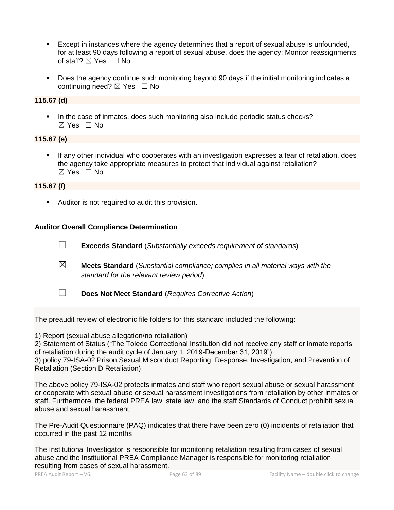- Except in instances where the agency determines that a report of sexual abuse is unfounded, for at least 90 days following a report of sexual abuse, does the agency: Monitor reassignments of staff?  $\boxtimes$  Yes  $\Box$  No
- Does the agency continue such monitoring beyond 90 days if the initial monitoring indicates a continuing need? ⊠ Yes □ No

## **115.67 (d)**

In the case of inmates, does such monitoring also include periodic status checks? ☒ Yes ☐ No

## **115.67 (e)**

If any other individual who cooperates with an investigation expresses a fear of retaliation, does the agency take appropriate measures to protect that individual against retaliation? ☒ Yes ☐ No

### **115.67 (f)**

■ Auditor is not required to audit this provision.

### **Auditor Overall Compliance Determination**

☐ **Exceeds Standard** (*Substantially exceeds requirement of standards*) ☒ **Meets Standard** (*Substantial compliance; complies in all material ways with the standard for the relevant review period*) ☐ **Does Not Meet Standard** (*Requires Corrective Action*)

The preaudit review of electronic file folders for this standard included the following:

1) Report (sexual abuse allegation/no retaliation)

2) Statement of Status ("The Toledo Correctional Institution did not receive any staff or inmate reports of retaliation during the audit cycle of January 1, 2019-December 31, 2019")

3) policy 79-ISA-02 Prison Sexual Misconduct Reporting, Response, Investigation, and Prevention of Retaliation (Section D Retaliation)

The above policy 79-ISA-02 protects inmates and staff who report sexual abuse or sexual harassment or cooperate with sexual abuse or sexual harassment investigations from retaliation by other inmates or staff. Furthermore, the federal PREA law, state law, and the staff Standards of Conduct prohibit sexual abuse and sexual harassment.

The Pre-Audit Questionnaire (PAQ) indicates that there have been zero (0) incidents of retaliation that occurred in the past 12 months

The Institutional Investigator is responsible for monitoring retaliation resulting from cases of sexual abuse and the Institutional PREA Compliance Manager is responsible for monitoring retaliation resulting from cases of sexual harassment.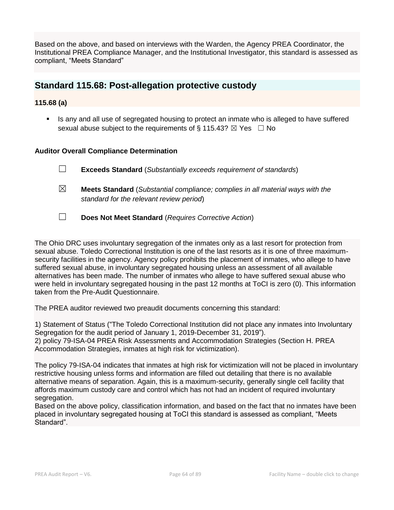Based on the above, and based on interviews with the Warden, the Agency PREA Coordinator, the Institutional PREA Compliance Manager, and the Institutional Investigator, this standard is assessed as compliant, "Meets Standard"

## **Standard 115.68: Post-allegation protective custody**

## **115.68 (a)**

■ Is any and all use of segregated housing to protect an inmate who is alleged to have suffered sexual abuse subject to the requirements of § 115.43?  $\boxtimes$  Yes  $\Box$  No

### **Auditor Overall Compliance Determination**

☐ **Exceeds Standard** (*Substantially exceeds requirement of standards*)

- ☒ **Meets Standard** (*Substantial compliance; complies in all material ways with the standard for the relevant review period*)
- ☐ **Does Not Meet Standard** (*Requires Corrective Action*)

The Ohio DRC uses involuntary segregation of the inmates only as a last resort for protection from sexual abuse. Toledo Correctional Institution is one of the last resorts as it is one of three maximumsecurity facilities in the agency. Agency policy prohibits the placement of inmates, who allege to have suffered sexual abuse, in involuntary segregated housing unless an assessment of all available alternatives has been made. The number of inmates who allege to have suffered sexual abuse who were held in involuntary segregated housing in the past 12 months at ToCI is zero (0). This information taken from the Pre-Audit Questionnaire.

The PREA auditor reviewed two preaudit documents concerning this standard:

1) Statement of Status ("The Toledo Correctional Institution did not place any inmates into Involuntary Segregation for the audit period of January 1, 2019-December 31, 2019"). 2) policy 79-ISA-04 PREA Risk Assessments and Accommodation Strategies (Section H. PREA Accommodation Strategies, inmates at high risk for victimization).

The policy 79-ISA-04 indicates that inmates at high risk for victimization will not be placed in involuntary restrictive housing unless forms and information are filled out detailing that there is no available alternative means of separation. Again, this is a maximum-security, generally single cell facility that affords maximum custody care and control which has not had an incident of required involuntary segregation.

Based on the above policy, classification information, and based on the fact that no inmates have been placed in involuntary segregated housing at ToCI this standard is assessed as compliant, "Meets Standard".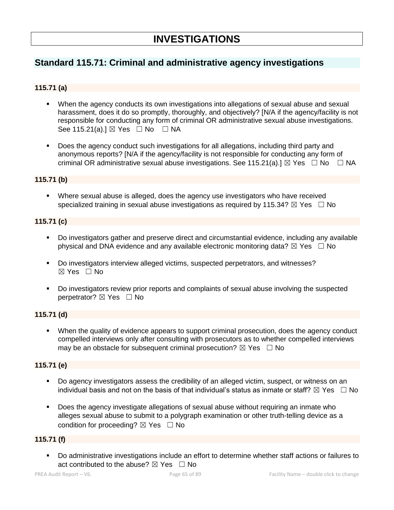# **Standard 115.71: Criminal and administrative agency investigations**

## **115.71 (a)**

- When the agency conducts its own investigations into allegations of sexual abuse and sexual harassment, does it do so promptly, thoroughly, and objectively? [N/A if the agency/facility is not responsible for conducting any form of criminal OR administrative sexual abuse investigations. See 115.21(a).]  $\boxtimes$  Yes  $\Box$  No  $\Box$  NA
- Does the agency conduct such investigations for all allegations, including third party and anonymous reports? [N/A if the agency/facility is not responsible for conducting any form of criminal OR administrative sexual abuse investigations. See 115.21(a).]  $\boxtimes$  Yes  $\Box$  No  $\Box$  NA

## **115.71 (b)**

**•** Where sexual abuse is alleged, does the agency use investigators who have received specialized training in sexual abuse investigations as required by 115.34?  $\boxtimes$  Yes  $\Box$  No

### **115.71 (c)**

- Do investigators gather and preserve direct and circumstantial evidence, including any available physical and DNA evidence and any available electronic monitoring data?  $\boxtimes$  Yes  $\Box$  No
- Do investigators interview alleged victims, suspected perpetrators, and witnesses?  $\boxtimes$  Yes  $\Box$  No
- Do investigators review prior reports and complaints of sexual abuse involving the suspected perpetrator? ⊠ Yes □ No

### **115.71 (d)**

When the quality of evidence appears to support criminal prosecution, does the agency conduct compelled interviews only after consulting with prosecutors as to whether compelled interviews may be an obstacle for subsequent criminal prosecution?  $\boxtimes$  Yes  $\Box$  No

## **115.71 (e)**

- Do agency investigators assess the credibility of an alleged victim, suspect, or witness on an individual basis and not on the basis of that individual's status as inmate or staff?  $\boxtimes$  Yes  $\Box$  No
- Does the agency investigate allegations of sexual abuse without requiring an inmate who alleges sexual abuse to submit to a polygraph examination or other truth-telling device as a condition for proceeding?  $\boxtimes$  Yes  $\Box$  No

### **115.71 (f)**

▪ Do administrative investigations include an effort to determine whether staff actions or failures to act contributed to the abuse?  $\boxtimes$  Yes  $\Box$  No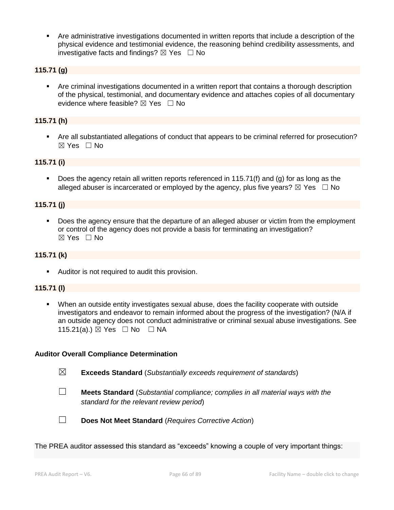Are administrative investigations documented in written reports that include a description of the physical evidence and testimonial evidence, the reasoning behind credibility assessments, and investigative facts and findings?  $\boxtimes$  Yes  $\Box$  No

### **115.71 (g)**

▪ Are criminal investigations documented in a written report that contains a thorough description of the physical, testimonial, and documentary evidence and attaches copies of all documentary evidence where feasible?  $\boxtimes$  Yes  $\Box$  No

### **115.71 (h)**

■ Are all substantiated allegations of conduct that appears to be criminal referred for prosecution? ☒ Yes ☐ No

#### **115.71 (i)**

Does the agency retain all written reports referenced in 115.71(f) and (g) for as long as the alleged abuser is incarcerated or employed by the agency, plus five years?  $\boxtimes$  Yes  $\Box$  No

#### **115.71 (j)**

Does the agency ensure that the departure of an alleged abuser or victim from the employment or control of the agency does not provide a basis for terminating an investigation? ☒ Yes ☐ No

### **115.71 (k)**

■ Auditor is not required to audit this provision.

### **115.71 (l)**

When an outside entity investigates sexual abuse, does the facility cooperate with outside investigators and endeavor to remain informed about the progress of the investigation? (N/A if an outside agency does not conduct administrative or criminal sexual abuse investigations. See 115.21(a).) ⊠ Yes □ No □ NA

#### **Auditor Overall Compliance Determination**

- ☒ **Exceeds Standard** (*Substantially exceeds requirement of standards*)
- 
- ☐ **Meets Standard** (*Substantial compliance; complies in all material ways with the standard for the relevant review period*)



☐ **Does Not Meet Standard** (*Requires Corrective Action*)

The PREA auditor assessed this standard as "exceeds" knowing a couple of very important things: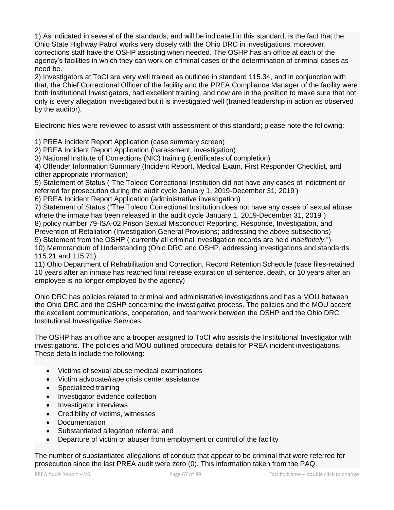1) As indicated in several of the standards, and will be indicated in this standard, is the fact that the Ohio State Highway Patrol works very closely with the Ohio DRC in investigations, moreover, corrections staff have the OSHP assisting when needed. The OSHP has an office at each of the agency's facilities in which they can work on criminal cases or the determination of criminal cases as need be.

2) Investigators at ToCI are very well trained as outlined in standard 115.34, and in conjunction with that, the Chief Correctional Officer of the facility and the PREA Compliance Manager of the facility were both Institutional Investigators, had excellent training, and now are in the position to make sure that not only is every allegation investigated but it is investigated well (trained leadership in action as observed by the auditor).

Electronic files were reviewed to assist with assessment of this standard; please note the following:

1) PREA Incident Report Application (case summary screen)

2) PREA Incident Report Application (harassment, investigation)

3) National Institute of Corrections (NIC) training (certificates of completion)

4) Offender Information Summary (Incident Report, Medical Exam, First Responder Checklist, and other appropriate information)

5) Statement of Status ("The Toledo Correctional Institution did not have any cases of indictment or referred for prosecution during the audit cycle January 1, 2019-December 31, 2019')

6) PREA Incident Report Application (administrative investigation)

7) Statement of Status ("The Toledo Correctional Institution does not have any cases of sexual abuse where the inmate has been released in the audit cycle January 1, 2019-December 31, 2019")

8) policy number 79-ISA-02 Prison Sexual Misconduct Reporting, Response, Investigation, and

Prevention of Retaliation (Investigation General Provisions; addressing the above subsections) 9) Statement from the OSHP ("currently all criminal investigation records are held *indefinitely.*")

10) Memorandum of Understanding (Ohio DRC and OSHP, addressing investigations and standards 115.21 and 115.71)

11) Ohio Department of Rehabilitation and Correction, Record Retention Schedule (case files-retained 10 years after an inmate has reached final release expiration of sentence, death, or 10 years after an employee is no longer employed by the agency)

Ohio DRC has policies related to criminal and administrative investigations and has a MOU between the Ohio DRC and the OSHP concerning the investigative process. The policies and the MOU accent the excellent communications, cooperation, and teamwork between the OSHP and the Ohio DRC Institutional Investigative Services.

The OSHP has an office and a trooper assigned to ToCI who assists the Institutional Investigator with investigations. The policies and MOU outlined procedural details for PREA incident investigations. These details include the following:

- Victims of sexual abuse medical examinations
- Victim advocate/rape crisis center assistance
- Specialized training
- Investigator evidence collection
- Investigator interviews
- Credibility of victims, witnesses
- Documentation
- Substantiated allegation referral, and
- Departure of victim or abuser from employment or control of the facility

The number of substantiated allegations of conduct that appear to be criminal that were referred for prosecution since the last PREA audit were zero (0). This information taken from the PAQ.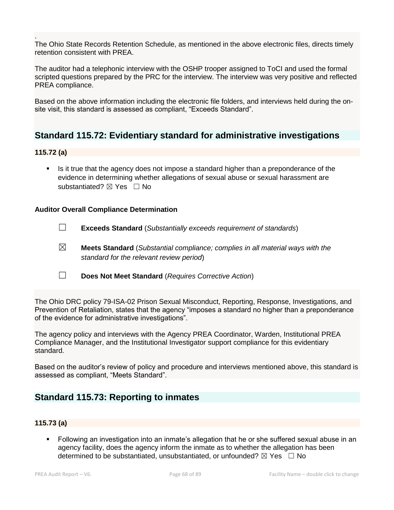. The Ohio State Records Retention Schedule, as mentioned in the above electronic files, directs timely retention consistent with PREA.

The auditor had a telephonic interview with the OSHP trooper assigned to ToCI and used the formal scripted questions prepared by the PRC for the interview. The interview was very positive and reflected PREA compliance.

Based on the above information including the electronic file folders, and interviews held during the onsite visit, this standard is assessed as compliant, "Exceeds Standard".

## **Standard 115.72: Evidentiary standard for administrative investigations**

### **115.72 (a)**

Is it true that the agency does not impose a standard higher than a preponderance of the evidence in determining whether allegations of sexual abuse or sexual harassment are substantiated?  $\boxtimes$  Yes  $\Box$  No

### **Auditor Overall Compliance Determination**

- ☐ **Exceeds Standard** (*Substantially exceeds requirement of standards*)
- ☒ **Meets Standard** (*Substantial compliance; complies in all material ways with the standard for the relevant review period*)
- ☐ **Does Not Meet Standard** (*Requires Corrective Action*)

The Ohio DRC policy 79-ISA-02 Prison Sexual Misconduct, Reporting, Response, Investigations, and Prevention of Retaliation, states that the agency "imposes a standard no higher than a preponderance of the evidence for administrative investigations".

The agency policy and interviews with the Agency PREA Coordinator, Warden, Institutional PREA Compliance Manager, and the Institutional Investigator support compliance for this evidentiary standard.

Based on the auditor's review of policy and procedure and interviews mentioned above, this standard is assessed as compliant, "Meets Standard".

## **Standard 115.73: Reporting to inmates**

### **115.73 (a)**

▪ Following an investigation into an inmate's allegation that he or she suffered sexual abuse in an agency facility, does the agency inform the inmate as to whether the allegation has been determined to be substantiated, unsubstantiated, or unfounded?  $\boxtimes$  Yes  $\Box$  No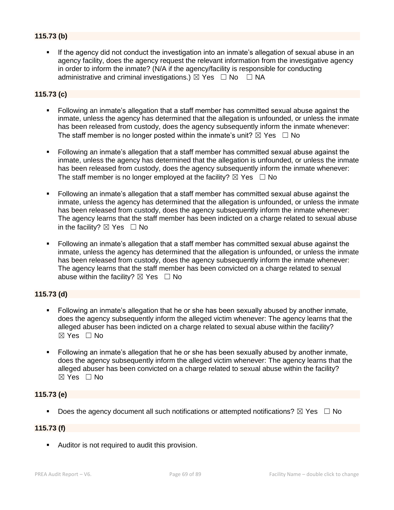## **115.73 (b)**

If the agency did not conduct the investigation into an inmate's allegation of sexual abuse in an agency facility, does the agency request the relevant information from the investigative agency in order to inform the inmate? (N/A if the agency/facility is responsible for conducting administrative and criminal investigations.)  $\boxtimes$  Yes  $\Box$  No  $\Box$  NA

## **115.73 (c)**

- Following an inmate's allegation that a staff member has committed sexual abuse against the inmate, unless the agency has determined that the allegation is unfounded, or unless the inmate has been released from custody, does the agency subsequently inform the inmate whenever: The staff member is no longer posted within the inmate's unit?  $\boxtimes$  Yes  $\Box$  No
- Following an inmate's allegation that a staff member has committed sexual abuse against the inmate, unless the agency has determined that the allegation is unfounded, or unless the inmate has been released from custody, does the agency subsequently inform the inmate whenever: The staff member is no longer employed at the facility?  $\boxtimes$  Yes  $\Box$  No
- Following an inmate's allegation that a staff member has committed sexual abuse against the inmate, unless the agency has determined that the allegation is unfounded, or unless the inmate has been released from custody, does the agency subsequently inform the inmate whenever: The agency learns that the staff member has been indicted on a charge related to sexual abuse in the facility?  $\boxtimes$  Yes  $\Box$  No
- Following an inmate's allegation that a staff member has committed sexual abuse against the inmate, unless the agency has determined that the allegation is unfounded, or unless the inmate has been released from custody, does the agency subsequently inform the inmate whenever: The agency learns that the staff member has been convicted on a charge related to sexual abuse within the facility?  $\boxtimes$  Yes  $\Box$  No

### **115.73 (d)**

- Following an inmate's allegation that he or she has been sexually abused by another inmate, does the agency subsequently inform the alleged victim whenever: The agency learns that the alleged abuser has been indicted on a charge related to sexual abuse within the facility?  $\boxtimes$  Yes  $\Box$  No
- Following an inmate's allegation that he or she has been sexually abused by another inmate, does the agency subsequently inform the alleged victim whenever: The agency learns that the alleged abuser has been convicted on a charge related to sexual abuse within the facility?  $\boxtimes$  Yes  $\Box$  No

### **115.73 (e)**

**•** Does the agency document all such notifications or attempted notifications?  $\boxtimes$  Yes  $\Box$  No

## **115.73 (f)**

■ Auditor is not required to audit this provision.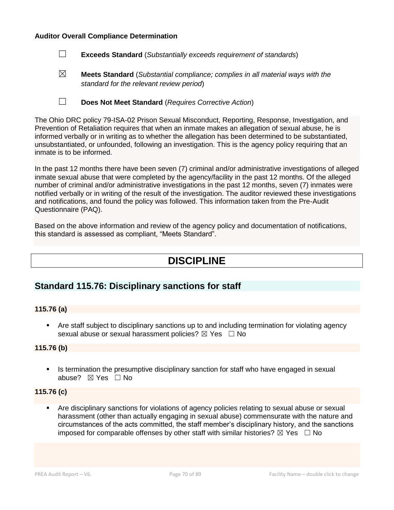### **Auditor Overall Compliance Determination**

- ☐ **Exceeds Standard** (*Substantially exceeds requirement of standards*)
- ☒ **Meets Standard** (*Substantial compliance; complies in all material ways with the standard for the relevant review period*)
- ☐ **Does Not Meet Standard** (*Requires Corrective Action*)

The Ohio DRC policy 79-ISA-02 Prison Sexual Misconduct, Reporting, Response, Investigation, and Prevention of Retaliation requires that when an inmate makes an allegation of sexual abuse, he is informed verbally or in writing as to whether the allegation has been determined to be substantiated, unsubstantiated, or unfounded, following an investigation. This is the agency policy requiring that an inmate is to be informed.

In the past 12 months there have been seven (7) criminal and/or administrative investigations of alleged inmate sexual abuse that were completed by the agency/facility in the past 12 months. Of the alleged number of criminal and/or administrative investigations in the past 12 months, seven (7) inmates were notified verbally or in writing of the result of the investigation. The auditor reviewed these investigations and notifications, and found the policy was followed. This information taken from the Pre-Audit Questionnaire (PAQ).

Based on the above information and review of the agency policy and documentation of notifications, this standard is assessed as compliant, "Meets Standard".

# **DISCIPLINE**

## **Standard 115.76: Disciplinary sanctions for staff**

### **115.76 (a)**

■ Are staff subject to disciplinary sanctions up to and including termination for violating agency sexual abuse or sexual harassment policies?  $\boxtimes$  Yes  $\Box$  No

### **115.76 (b)**

**•** Is termination the presumptive disciplinary sanction for staff who have engaged in sexual abuse? ☒ Yes ☐ No

## **115.76 (c)**

Are disciplinary sanctions for violations of agency policies relating to sexual abuse or sexual harassment (other than actually engaging in sexual abuse) commensurate with the nature and circumstances of the acts committed, the staff member's disciplinary history, and the sanctions imposed for comparable offenses by other staff with similar histories?  $\boxtimes$  Yes  $\Box$  No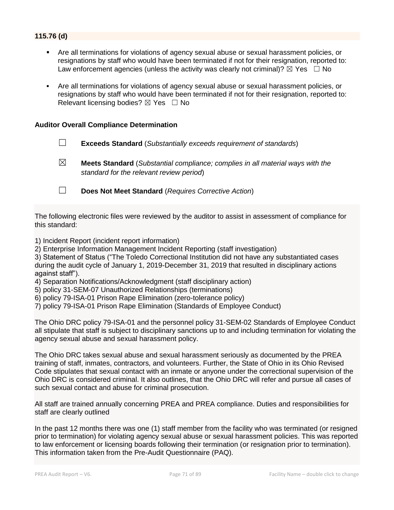## **115.76 (d)**

- Are all terminations for violations of agency sexual abuse or sexual harassment policies, or resignations by staff who would have been terminated if not for their resignation, reported to: Law enforcement agencies (unless the activity was clearly not criminal)?  $\boxtimes$  Yes  $\Box$  No
- Are all terminations for violations of agency sexual abuse or sexual harassment policies, or resignations by staff who would have been terminated if not for their resignation, reported to: Relevant licensing bodies?  $\boxtimes$  Yes  $\Box$  No

### **Auditor Overall Compliance Determination**

- ☐ **Exceeds Standard** (*Substantially exceeds requirement of standards*)
- ☒ **Meets Standard** (*Substantial compliance; complies in all material ways with the standard for the relevant review period*)
- ☐ **Does Not Meet Standard** (*Requires Corrective Action*)

The following electronic files were reviewed by the auditor to assist in assessment of compliance for this standard:

- 1) Incident Report (incident report information)
- 2) Enterprise Information Management Incident Reporting (staff investigation)

3) Statement of Status ("The Toledo Correctional Institution did not have any substantiated cases during the audit cycle of January 1, 2019-December 31, 2019 that resulted in disciplinary actions against staff").

- 4) Separation Notifications/Acknowledgment (staff disciplinary action)
- 5) policy 31-SEM-07 Unauthorized Relationships (terminations)
- 6) policy 79-ISA-01 Prison Rape Elimination (zero-tolerance policy)
- 7) policy 79-ISA-01 Prison Rape Elimination (Standards of Employee Conduct)

The Ohio DRC policy 79-ISA-01 and the personnel policy 31-SEM-02 Standards of Employee Conduct all stipulate that staff is subject to disciplinary sanctions up to and including termination for violating the agency sexual abuse and sexual harassment policy.

The Ohio DRC takes sexual abuse and sexual harassment seriously as documented by the PREA training of staff, inmates, contractors, and volunteers. Further, the State of Ohio in its Ohio Revised Code stipulates that sexual contact with an inmate or anyone under the correctional supervision of the Ohio DRC is considered criminal. It also outlines, that the Ohio DRC will refer and pursue all cases of such sexual contact and abuse for criminal prosecution.

All staff are trained annually concerning PREA and PREA compliance. Duties and responsibilities for staff are clearly outlined

In the past 12 months there was one (1) staff member from the facility who was terminated (or resigned prior to termination) for violating agency sexual abuse or sexual harassment policies. This was reported to law enforcement or licensing boards following their termination (or resignation prior to termination). This information taken from the Pre-Audit Questionnaire (PAQ).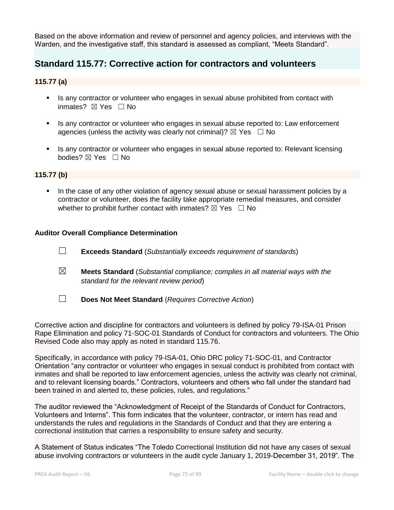Based on the above information and review of personnel and agency policies, and interviews with the Warden, and the investigative staff, this standard is assessed as compliant, "Meets Standard".

## **Standard 115.77: Corrective action for contractors and volunteers**

## **115.77 (a)**

- **EXECT** Is any contractor or volunteer who engages in sexual abuse prohibited from contact with inmates? ⊠ Yes □ No
- **EXT** Is any contractor or volunteer who engages in sexual abuse reported to: Law enforcement agencies (unless the activity was clearly not criminal)?  $\boxtimes$  Yes  $\Box$  No
- **EXECT** Is any contractor or volunteer who engages in sexual abuse reported to: Relevant licensing bodies? ⊠ Yes □ No

### **115.77 (b)**

**.** In the case of any other violation of agency sexual abuse or sexual harassment policies by a contractor or volunteer, does the facility take appropriate remedial measures, and consider whether to prohibit further contact with inmates?  $\boxtimes$  Yes  $\Box$  No

### **Auditor Overall Compliance Determination**

- ☐ **Exceeds Standard** (*Substantially exceeds requirement of standards*)
- ☒ **Meets Standard** (*Substantial compliance; complies in all material ways with the standard for the relevant review period*)
- ☐ **Does Not Meet Standard** (*Requires Corrective Action*)

Corrective action and discipline for contractors and volunteers is defined by policy 79-ISA-01 Prison Rape Elimination and policy 71-SOC-01 Standards of Conduct for contractors and volunteers. The Ohio Revised Code also may apply as noted in standard 115.76.

Specifically, in accordance with policy 79-ISA-01, Ohio DRC policy 71-SOC-01, and Contractor Orientation "any contractor or volunteer who engages in sexual conduct is prohibited from contact with inmates and shall be reported to law enforcement agencies, unless the activity was clearly not criminal, and to relevant licensing boards." Contractors, volunteers and others who fall under the standard had been trained in and alerted to, these policies, rules, and regulations."

The auditor reviewed the "Acknowledgment of Receipt of the Standards of Conduct for Contractors, Volunteers and Interns". This form indicates that the volunteer, contractor, or intern has read and understands the rules and regulations in the Standards of Conduct and that they are entering a correctional institution that carries a responsibility to ensure safety and security.

A Statement of Status indicates "The Toledo Correctional Institution did not have any cases of sexual abuse involving contractors or volunteers in the audit cycle January 1, 2019-December 31, 2019". The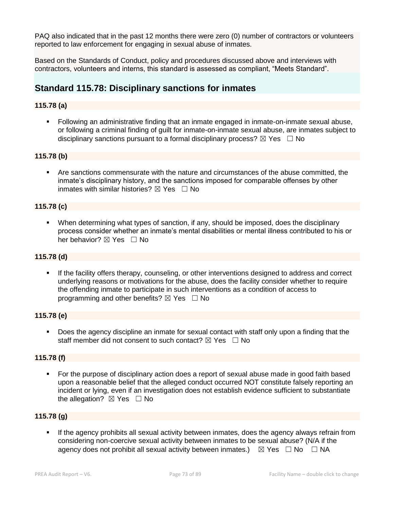PAQ also indicated that in the past 12 months there were zero (0) number of contractors or volunteers reported to law enforcement for engaging in sexual abuse of inmates.

Based on the Standards of Conduct, policy and procedures discussed above and interviews with contractors, volunteers and interns, this standard is assessed as compliant, "Meets Standard".

## **Standard 115.78: Disciplinary sanctions for inmates**

## **115.78 (a)**

▪ Following an administrative finding that an inmate engaged in inmate-on-inmate sexual abuse, or following a criminal finding of guilt for inmate-on-inmate sexual abuse, are inmates subject to disciplinary sanctions pursuant to a formal disciplinary process?  $\boxtimes$  Yes  $\Box$  No

## **115.78 (b)**

Are sanctions commensurate with the nature and circumstances of the abuse committed, the inmate's disciplinary history, and the sanctions imposed for comparable offenses by other inmates with similar histories?  $\boxtimes$  Yes  $\Box$  No

## **115.78 (c)**

When determining what types of sanction, if any, should be imposed, does the disciplinary process consider whether an inmate's mental disabilities or mental illness contributed to his or her behavior? ⊠ Yes □ No

#### **115.78 (d)**

**.** If the facility offers therapy, counseling, or other interventions designed to address and correct underlying reasons or motivations for the abuse, does the facility consider whether to require the offending inmate to participate in such interventions as a condition of access to programming and other benefits?  $\boxtimes$  Yes  $\Box$  No

#### **115.78 (e)**

Does the agency discipline an inmate for sexual contact with staff only upon a finding that the staff member did not consent to such contact?  $\boxtimes$  Yes  $\Box$  No

#### **115.78 (f)**

▪ For the purpose of disciplinary action does a report of sexual abuse made in good faith based upon a reasonable belief that the alleged conduct occurred NOT constitute falsely reporting an incident or lying, even if an investigation does not establish evidence sufficient to substantiate the allegation?  $\boxtimes$  Yes  $\Box$  No

#### **115.78 (g)**

If the agency prohibits all sexual activity between inmates, does the agency always refrain from considering non-coercive sexual activity between inmates to be sexual abuse? (N/A if the agency does not prohibit all sexual activity between inmates.)  $\boxtimes$  Yes  $\Box$  No  $\Box$  NA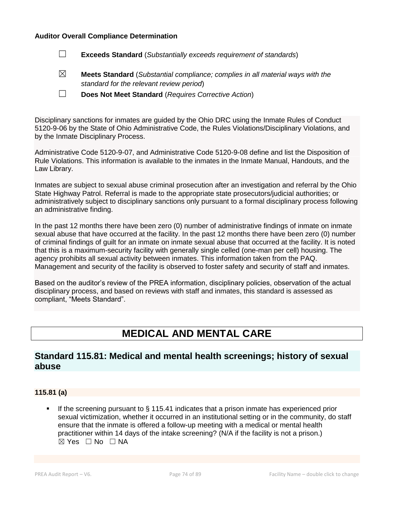#### **Auditor Overall Compliance Determination**

- ☐ **Exceeds Standard** (*Substantially exceeds requirement of standards*)
- ☒ **Meets Standard** (*Substantial compliance; complies in all material ways with the standard for the relevant review period*)
- ☐ **Does Not Meet Standard** (*Requires Corrective Action*)

Disciplinary sanctions for inmates are guided by the Ohio DRC using the Inmate Rules of Conduct 5120-9-06 by the State of Ohio Administrative Code, the Rules Violations/Disciplinary Violations, and by the Inmate Disciplinary Process.

Administrative Code 5120-9-07, and Administrative Code 5120-9-08 define and list the Disposition of Rule Violations. This information is available to the inmates in the Inmate Manual, Handouts, and the Law Library.

Inmates are subject to sexual abuse criminal prosecution after an investigation and referral by the Ohio State Highway Patrol. Referral is made to the appropriate state prosecutors/judicial authorities; or administratively subject to disciplinary sanctions only pursuant to a formal disciplinary process following an administrative finding.

In the past 12 months there have been zero (0) number of administrative findings of inmate on inmate sexual abuse that have occurred at the facility. In the past 12 months there have been zero (0) number of criminal findings of guilt for an inmate on inmate sexual abuse that occurred at the facility. It is noted that this is a maximum-security facility with generally single celled (one-man per cell) housing. The agency prohibits all sexual activity between inmates. This information taken from the PAQ. Management and security of the facility is observed to foster safety and security of staff and inmates.

Based on the auditor's review of the PREA information, disciplinary policies, observation of the actual disciplinary process, and based on reviews with staff and inmates, this standard is assessed as compliant, "Meets Standard".

# **MEDICAL AND MENTAL CARE**

## **Standard 115.81: Medical and mental health screenings; history of sexual abuse**

## **115.81 (a)**

**.** If the screening pursuant to  $\S$  115.41 indicates that a prison inmate has experienced prior sexual victimization, whether it occurred in an institutional setting or in the community, do staff ensure that the inmate is offered a follow-up meeting with a medical or mental health practitioner within 14 days of the intake screening? (N/A if the facility is not a prison.)  $\boxtimes$  Yes  $\Box$  No  $\Box$  NA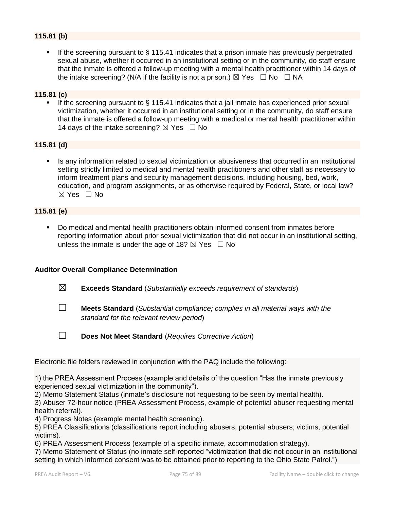## **115.81 (b)**

**.** If the screening pursuant to  $\S$  115.41 indicates that a prison inmate has previously perpetrated sexual abuse, whether it occurred in an institutional setting or in the community, do staff ensure that the inmate is offered a follow-up meeting with a mental health practitioner within 14 days of the intake screening? (N/A if the facility is not a prison.)  $\boxtimes$  Yes  $\Box$  No  $\Box$  NA

#### **115.81 (c)**

If the screening pursuant to  $\S$  115.41 indicates that a jail inmate has experienced prior sexual victimization, whether it occurred in an institutional setting or in the community, do staff ensure that the inmate is offered a follow-up meeting with a medical or mental health practitioner within 14 days of the intake screening?  $\boxtimes$  Yes  $\Box$  No

## **115.81 (d)**

**•** Is any information related to sexual victimization or abusiveness that occurred in an institutional setting strictly limited to medical and mental health practitioners and other staff as necessary to inform treatment plans and security management decisions, including housing, bed, work, education, and program assignments, or as otherwise required by Federal, State, or local law? ☒ Yes ☐ No

## **115.81 (e)**

▪ Do medical and mental health practitioners obtain informed consent from inmates before reporting information about prior sexual victimization that did not occur in an institutional setting, unless the inmate is under the age of 18?  $\boxtimes$  Yes  $\Box$  No

#### **Auditor Overall Compliance Determination**

- ☒ **Exceeds Standard** (*Substantially exceeds requirement of standards*)
- ☐ **Meets Standard** (*Substantial compliance; complies in all material ways with the standard for the relevant review period*)
- ☐ **Does Not Meet Standard** (*Requires Corrective Action*)

Electronic file folders reviewed in conjunction with the PAQ include the following:

1) the PREA Assessment Process (example and details of the question "Has the inmate previously experienced sexual victimization in the community").

2) Memo Statement Status (inmate's disclosure not requesting to be seen by mental health).

3) Abuser 72-hour notice (PREA Assessment Process, example of potential abuser requesting mental health referral).

4) Progress Notes (example mental health screening).

5) PREA Classifications (classifications report including abusers, potential abusers; victims, potential victims).

6) PREA Assessment Process (example of a specific inmate, accommodation strategy).

7) Memo Statement of Status (no inmate self-reported "victimization that did not occur in an institutional setting in which informed consent was to be obtained prior to reporting to the Ohio State Patrol.")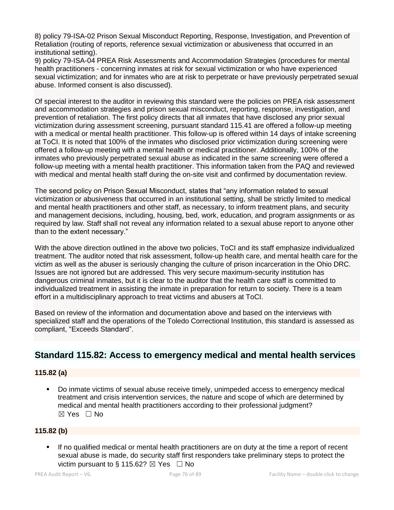8) policy 79-ISA-02 Prison Sexual Misconduct Reporting, Response, Investigation, and Prevention of Retaliation (routing of reports, reference sexual victimization or abusiveness that occurred in an institutional setting).

9) policy 79-ISA-04 PREA Risk Assessments and Accommodation Strategies (procedures for mental health practitioners - concerning inmates at risk for sexual victimization or who have experienced sexual victimization; and for inmates who are at risk to perpetrate or have previously perpetrated sexual abuse. Informed consent is also discussed).

Of special interest to the auditor in reviewing this standard were the policies on PREA risk assessment and accommodation strategies and prison sexual misconduct, reporting, response, investigation, and prevention of retaliation. The first policy directs that all inmates that have disclosed any prior sexual victimization during assessment screening, pursuant standard 115.41 are offered a follow-up meeting with a medical or mental health practitioner. This follow-up is offered within 14 days of intake screening at ToCI. It is noted that 100% of the inmates who disclosed prior victimization during screening were offered a follow-up meeting with a mental health or medical practitioner. Additionally, 100% of the inmates who previously perpetrated sexual abuse as indicated in the same screening were offered a follow-up meeting with a mental health practitioner. This information taken from the PAQ and reviewed with medical and mental health staff during the on-site visit and confirmed by documentation review.

The second policy on Prison Sexual Misconduct, states that "any information related to sexual victimization or abusiveness that occurred in an institutional setting, shall be strictly limited to medical and mental health practitioners and other staff, as necessary, to inform treatment plans, and security and management decisions, including, housing, bed, work, education, and program assignments or as required by law. Staff shall not reveal any information related to a sexual abuse report to anyone other than to the extent necessary."

With the above direction outlined in the above two policies, ToCI and its staff emphasize individualized treatment. The auditor noted that risk assessment, follow-up health care, and mental health care for the victim as well as the abuser is seriously changing the culture of prison incarceration in the Ohio DRC. Issues are not ignored but are addressed. This very secure maximum-security institution has dangerous criminal inmates, but it is clear to the auditor that the health care staff is committed to individualized treatment in assisting the inmate in preparation for return to society. There is a team effort in a multidisciplinary approach to treat victims and abusers at ToCI.

Based on review of the information and documentation above and based on the interviews with specialized staff and the operations of the Toledo Correctional Institution, this standard is assessed as compliant, "Exceeds Standard".

## **Standard 115.82: Access to emergency medical and mental health services**

## **115.82 (a)**

Do inmate victims of sexual abuse receive timely, unimpeded access to emergency medical treatment and crisis intervention services, the nature and scope of which are determined by medical and mental health practitioners according to their professional judgment? ☒ Yes ☐ No

## **115.82 (b)**

If no qualified medical or mental health practitioners are on duty at the time a report of recent sexual abuse is made, do security staff first responders take preliminary steps to protect the victim pursuant to § 115.62?  $\boxtimes$  Yes  $\Box$  No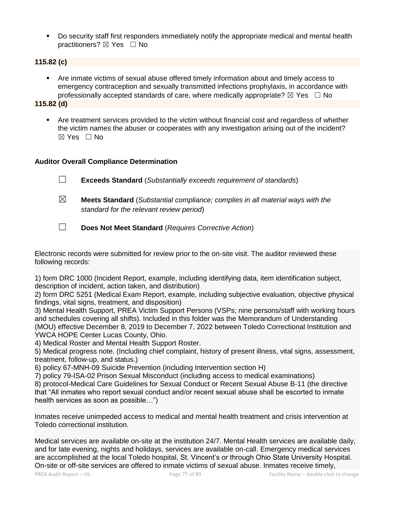▪ Do security staff first responders immediately notify the appropriate medical and mental health practitioners? ⊠ Yes □ No

## **115.82 (c)**

▪ Are inmate victims of sexual abuse offered timely information about and timely access to emergency contraception and sexually transmitted infections prophylaxis, in accordance with professionally accepted standards of care, where medically appropriate?  $\boxtimes$  Yes  $\Box$  No

**115.82 (d)**

**•** Are treatment services provided to the victim without financial cost and regardless of whether the victim names the abuser or cooperates with any investigation arising out of the incident?  $\boxtimes$  Yes  $\Box$  No

## **Auditor Overall Compliance Determination**

- ☐ **Exceeds Standard** (*Substantially exceeds requirement of standards*)
- ☒ **Meets Standard** (*Substantial compliance; complies in all material ways with the standard for the relevant review period*)
- ☐ **Does Not Meet Standard** (*Requires Corrective Action*)

Electronic records were submitted for review prior to the on-site visit. The auditor reviewed these following records:

1) form DRC 1000 (Incident Report, example, including identifying data, item identification subject, description of incident, action taken, and distribution)

2) form DRC 5251 (Medical Exam Report, example, including subjective evaluation, objective physical findings, vital signs, treatment, and disposition)

3) Mental Health Support, PREA Victim Support Persons (VSPs; nine persons/staff with working hours and schedules covering all shifts). Included in this folder was the Memorandum of Understanding (MOU) effective December 8, 2019 to December 7, 2022 between Toledo Correctional Institution and YWCA HOPE Center Lucas County, Ohio.

4) Medical Roster and Mental Health Support Roster.

5) Medical progress note. (Including chief complaint, history of present illness, vital signs, assessment, treatment, follow-up, and status.)

6) policy 67-MNH-09 Suicide Prevention (including Intervention section H)

7) policy 79-ISA-02 Prison Sexual Misconduct (including access to medical examinations)

8) protocol-Medical Care Guidelines for Sexual Conduct or Recent Sexual Abuse B-11 (the directive that "All inmates who report sexual conduct and/or recent sexual abuse shall be escorted to inmate health services as soon as possible…")

Inmates receive unimpeded access to medical and mental health treatment and crisis intervention at Toledo correctional institution.

Medical services are available on-site at the institution 24/7. Mental Health services are available daily, and for late evening, nights and holidays, services are available on-call. Emergency medical services are accomplished at the local Toledo hospital, St. Vincent's or through Ohio State University Hospital. On-site or off-site services are offered to inmate victims of sexual abuse. Inmates receive timely,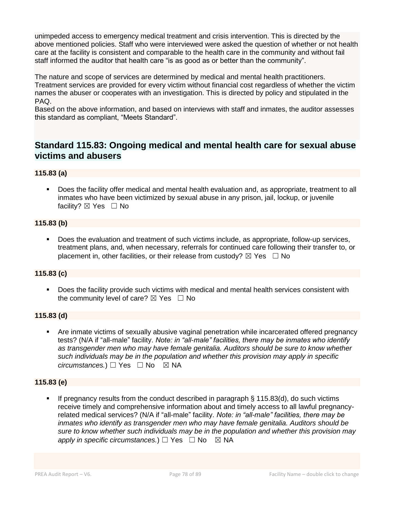unimpeded access to emergency medical treatment and crisis intervention. This is directed by the above mentioned policies. Staff who were interviewed were asked the question of whether or not health care at the facility is consistent and comparable to the health care in the community and without fail staff informed the auditor that health care "is as good as or better than the community".

The nature and scope of services are determined by medical and mental health practitioners. Treatment services are provided for every victim without financial cost regardless of whether the victim names the abuser or cooperates with an investigation. This is directed by policy and stipulated in the PAQ.

Based on the above information, and based on interviews with staff and inmates, the auditor assesses this standard as compliant, "Meets Standard".

## **Standard 115.83: Ongoing medical and mental health care for sexual abuse victims and abusers**

## **115.83 (a)**

▪ Does the facility offer medical and mental health evaluation and, as appropriate, treatment to all inmates who have been victimized by sexual abuse in any prison, jail, lockup, or juvenile facility? ⊠ Yes □ No

## **115.83 (b)**

Does the evaluation and treatment of such victims include, as appropriate, follow-up services, treatment plans, and, when necessary, referrals for continued care following their transfer to, or placement in, other facilities, or their release from custody?  $\boxtimes$  Yes  $\Box$  No

## **115.83 (c)**

■ Does the facility provide such victims with medical and mental health services consistent with the community level of care?  $\boxtimes$  Yes  $\Box$  No

## **115.83 (d)**

Are inmate victims of sexually abusive vaginal penetration while incarcerated offered pregnancy tests? (N/A if "all-male" facility. *Note: in "all-male" facilities, there may be inmates who identify as transgender men who may have female genitalia. Auditors should be sure to know whether such individuals may be in the population and whether this provision may apply in specific circumstances.*) □ Yes □ No ⊠ NA

## **115.83 (e)**

If pregnancy results from the conduct described in paragraph  $\S$  115.83(d), do such victims receive timely and comprehensive information about and timely access to all lawful pregnancyrelated medical services? (N/A if "all-male" facility. *Note: in "all-male" facilities, there may be inmates who identify as transgender men who may have female genitalia. Auditors should be sure to know whether such individuals may be in the population and whether this provision may apply in specific circumstances.*)  $□$  Yes  $□$  No  $□$  NA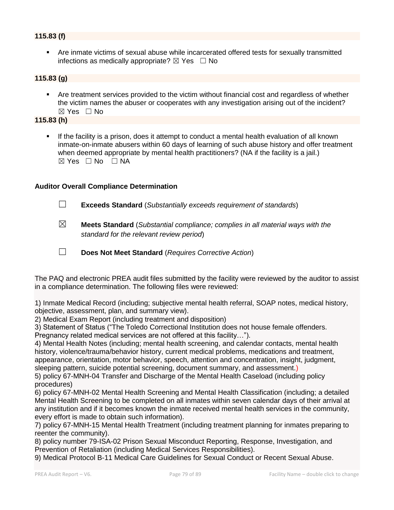## **115.83 (f)**

▪ Are inmate victims of sexual abuse while incarcerated offered tests for sexually transmitted infections as medically appropriate?  $\boxtimes$  Yes  $\Box$  No

## **115.83 (g)**

Are treatment services provided to the victim without financial cost and regardless of whether the victim names the abuser or cooperates with any investigation arising out of the incident?  $\boxtimes$  Yes  $\Box$  No

**115.83 (h)**

If the facility is a prison, does it attempt to conduct a mental health evaluation of all known inmate-on-inmate abusers within 60 days of learning of such abuse history and offer treatment when deemed appropriate by mental health practitioners? (NA if the facility is a jail.)  $\boxtimes$  Yes  $\Box$  No  $\Box$  NA

## **Auditor Overall Compliance Determination**

- ☐ **Exceeds Standard** (*Substantially exceeds requirement of standards*)
- ☒ **Meets Standard** (*Substantial compliance; complies in all material ways with the standard for the relevant review period*)
- ☐ **Does Not Meet Standard** (*Requires Corrective Action*)

The PAQ and electronic PREA audit files submitted by the facility were reviewed by the auditor to assist in a compliance determination. The following files were reviewed:

1) Inmate Medical Record (including; subjective mental health referral, SOAP notes, medical history, objective, assessment, plan, and summary view).

2) Medical Exam Report (including treatment and disposition)

3) Statement of Status ("The Toledo Correctional Institution does not house female offenders. Pregnancy related medical services are not offered at this facility…").

4) Mental Health Notes (including; mental health screening, and calendar contacts, mental health history, violence/trauma/behavior history, current medical problems, medications and treatment, appearance, orientation, motor behavior, speech, attention and concentration, insight, judgment, sleeping pattern, suicide potential screening, document summary, and assessment.)

5) policy 67-MNH-04 Transfer and Discharge of the Mental Health Caseload (including policy procedures)

6) policy 67-MNH-02 Mental Health Screening and Mental Health Classification (including; a detailed Mental Health Screening to be completed on all inmates within seven calendar days of their arrival at any institution and if it becomes known the inmate received mental health services in the community, every effort is made to obtain such information).

7) policy 67-MNH-15 Mental Health Treatment (including treatment planning for inmates preparing to reenter the community).

8) policy number 79-ISA-02 Prison Sexual Misconduct Reporting, Response, Investigation, and Prevention of Retaliation (including Medical Services Responsibilities).

9) Medical Protocol B-11 Medical Care Guidelines for Sexual Conduct or Recent Sexual Abuse.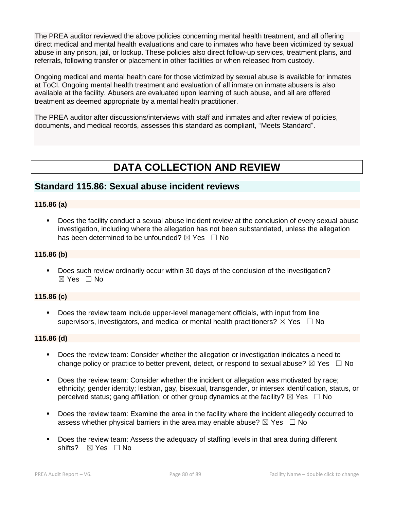The PREA auditor reviewed the above policies concerning mental health treatment, and all offering direct medical and mental health evaluations and care to inmates who have been victimized by sexual abuse in any prison, jail, or lockup. These policies also direct follow-up services, treatment plans, and referrals, following transfer or placement in other facilities or when released from custody.

Ongoing medical and mental health care for those victimized by sexual abuse is available for inmates at ToCI. Ongoing mental health treatment and evaluation of all inmate on inmate abusers is also available at the facility. Abusers are evaluated upon learning of such abuse, and all are offered treatment as deemed appropriate by a mental health practitioner.

The PREA auditor after discussions/interviews with staff and inmates and after review of policies, documents, and medical records, assesses this standard as compliant, "Meets Standard".

# **DATA COLLECTION AND REVIEW**

## **Standard 115.86: Sexual abuse incident reviews**

## **115.86 (a)**

▪ Does the facility conduct a sexual abuse incident review at the conclusion of every sexual abuse investigation, including where the allegation has not been substantiated, unless the allegation has been determined to be unfounded?  $\boxtimes$  Yes  $\Box$  No

#### **115.86 (b)**

▪ Does such review ordinarily occur within 30 days of the conclusion of the investigation?  $\boxtimes$  Yes  $\Box$  No

## **115.86 (c)**

▪ Does the review team include upper-level management officials, with input from line supervisors, investigators, and medical or mental health practitioners?  $\boxtimes$  Yes  $\Box$  No

#### **115.86 (d)**

- Does the review team: Consider whether the allegation or investigation indicates a need to change policy or practice to better prevent, detect, or respond to sexual abuse?  $\boxtimes$  Yes  $\Box$  No
- Does the review team: Consider whether the incident or allegation was motivated by race; ethnicity; gender identity; lesbian, gay, bisexual, transgender, or intersex identification, status, or perceived status; gang affiliation; or other group dynamics at the facility?  $\boxtimes$  Yes  $\Box$  No
- Does the review team: Examine the area in the facility where the incident allegedly occurred to assess whether physical barriers in the area may enable abuse?  $\boxtimes$  Yes  $\Box$  No
- Does the review team: Assess the adequacy of staffing levels in that area during different shifts? ⊠ Yes □ No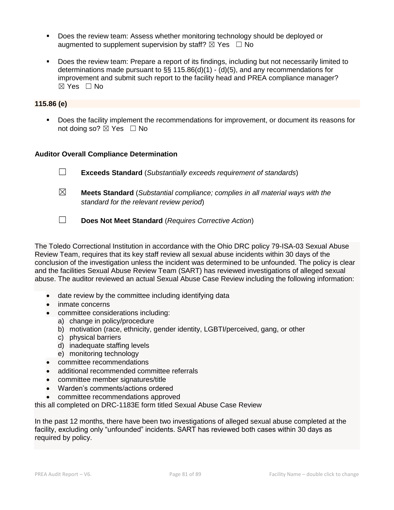- Does the review team: Assess whether monitoring technology should be deployed or augmented to supplement supervision by staff?  $\boxtimes$  Yes  $\Box$  No
- Does the review team: Prepare a report of its findings, including but not necessarily limited to determinations made pursuant to §§ 115.86(d)(1) - (d)(5), and any recommendations for improvement and submit such report to the facility head and PREA compliance manager?  $\boxtimes$  Yes  $\Box$  No

#### **115.86 (e)**

▪ Does the facility implement the recommendations for improvement, or document its reasons for not doing so?  $\boxtimes$  Yes  $\Box$  No

## **Auditor Overall Compliance Determination**

| $\Box$<br><b>Exceeds Standard</b> (Substantially exceeds requirement of standards) |  |
|------------------------------------------------------------------------------------|--|
|------------------------------------------------------------------------------------|--|

- ☒ **Meets Standard** (*Substantial compliance; complies in all material ways with the standard for the relevant review period*)
- ☐ **Does Not Meet Standard** (*Requires Corrective Action*)

The Toledo Correctional Institution in accordance with the Ohio DRC policy 79-ISA-03 Sexual Abuse Review Team, requires that its key staff review all sexual abuse incidents within 30 days of the conclusion of the investigation unless the incident was determined to be unfounded. The policy is clear and the facilities Sexual Abuse Review Team (SART) has reviewed investigations of alleged sexual abuse. The auditor reviewed an actual Sexual Abuse Case Review including the following information:

- date review by the committee including identifying data
- inmate concerns
- committee considerations including:
	- a) change in policy/procedure
	- b) motivation (race, ethnicity, gender identity, LGBTI/perceived, gang, or other
	- c) physical barriers
	- d) inadequate staffing levels
	- e) monitoring technology
- committee recommendations
- additional recommended committee referrals
- committee member signatures/title
- Warden's comments/actions ordered
- committee recommendations approved

this all completed on DRC-1183E form titled Sexual Abuse Case Review

In the past 12 months, there have been two investigations of alleged sexual abuse completed at the facility, excluding only "unfounded" incidents. SART has reviewed both cases within 30 days as required by policy.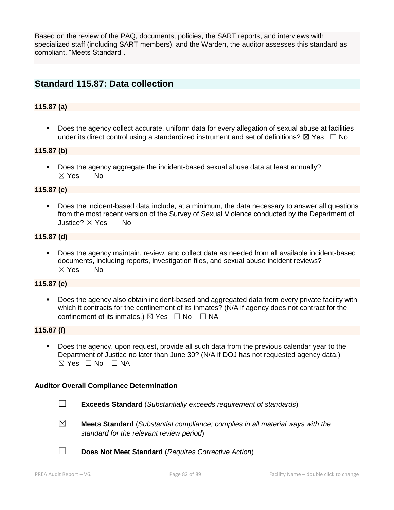Based on the review of the PAQ, documents, policies, the SART reports, and interviews with specialized staff (including SART members), and the Warden, the auditor assesses this standard as compliant, "Meets Standard".

## **Standard 115.87: Data collection**

## **115.87 (a)**

Does the agency collect accurate, uniform data for every allegation of sexual abuse at facilities under its direct control using a standardized instrument and set of definitions?  $\boxtimes$  Yes  $\Box$  No

#### **115.87 (b)**

▪ Does the agency aggregate the incident-based sexual abuse data at least annually?  $\boxtimes$  Yes  $\Box$  No

#### **115.87 (c)**

Does the incident-based data include, at a minimum, the data necessary to answer all questions from the most recent version of the Survey of Sexual Violence conducted by the Department of Justice? ☒ Yes ☐ No

#### **115.87 (d)**

Does the agency maintain, review, and collect data as needed from all available incident-based documents, including reports, investigation files, and sexual abuse incident reviews?  $\boxtimes$  Yes  $\Box$  No

## **115.87 (e)**

▪ Does the agency also obtain incident-based and aggregated data from every private facility with which it contracts for the confinement of its inmates? (N/A if agency does not contract for the confinement of its inmates.)  $\boxtimes$  Yes  $\Box$  No  $\Box$  NA

#### **115.87 (f)**

Does the agency, upon request, provide all such data from the previous calendar year to the Department of Justice no later than June 30? (N/A if DOJ has not requested agency data.)  $\boxtimes$  Yes  $\Box$  No  $\Box$  NA

#### **Auditor Overall Compliance Determination**

- 
- ☐ **Exceeds Standard** (*Substantially exceeds requirement of standards*)
- ☒ **Meets Standard** (*Substantial compliance; complies in all material ways with the standard for the relevant review period*)
- ☐ **Does Not Meet Standard** (*Requires Corrective Action*)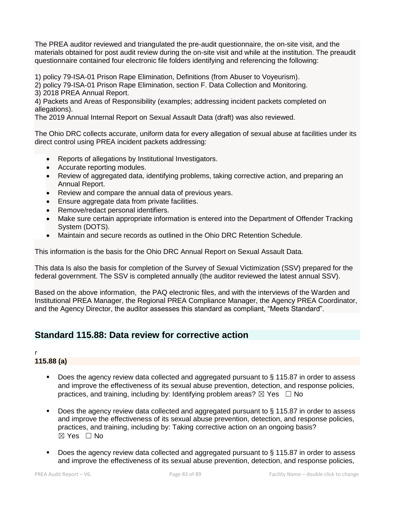The PREA auditor reviewed and triangulated the pre-audit questionnaire, the on-site visit, and the materials obtained for post audit review during the on-site visit and while at the institution. The preaudit questionnaire contained four electronic file folders identifying and referencing the following:

1) policy 79-ISA-01 Prison Rape Elimination, Definitions (from Abuser to Voyeurism).

2) policy 79-ISA-01 Prison Rape Elimination, section F. Data Collection and Monitoring.

3) 2018 PREA Annual Report.

4) Packets and Areas of Responsibility (examples; addressing incident packets completed on allegations).

The 2019 Annual Internal Report on Sexual Assault Data (draft) was also reviewed.

The Ohio DRC collects accurate, uniform data for every allegation of sexual abuse at facilities under its direct control using PREA incident packets addressing:

- Reports of allegations by Institutional Investigators.
- Accurate reporting modules.
- Review of aggregated data, identifying problems, taking corrective action, and preparing an Annual Report.
- Review and compare the annual data of previous years.
- Ensure aggregate data from private facilities.
- Remove/redact personal identifiers.
- Make sure certain appropriate information is entered into the Department of Offender Tracking System (DOTS).
- Maintain and secure records as outlined in the Ohio DRC Retention Schedule.

This information is the basis for the Ohio DRC Annual Report on Sexual Assault Data.

This data Is also the basis for completion of the Survey of Sexual Victimization (SSV) prepared for the federal government. The SSV is completed annually (the auditor reviewed the latest annual SSV).

Based on the above information, the PAQ electronic files, and with the interviews of the Warden and Institutional PREA Manager, the Regional PREA Compliance Manager, the Agency PREA Coordinator, and the Agency Director, the auditor assesses this standard as compliant, "Meets Standard".

## **Standard 115.88: Data review for corrective action**

## r

## **115.88 (a)**

- Does the agency review data collected and aggregated pursuant to § 115.87 in order to assess and improve the effectiveness of its sexual abuse prevention, detection, and response policies, practices, and training, including by: Identifying problem areas?  $\boxtimes$  Yes  $\Box$  No
- Does the agency review data collected and aggregated pursuant to § 115.87 in order to assess and improve the effectiveness of its sexual abuse prevention, detection, and response policies, practices, and training, including by: Taking corrective action on an ongoing basis? ☒ Yes ☐ No
- Does the agency review data collected and aggregated pursuant to § 115.87 in order to assess and improve the effectiveness of its sexual abuse prevention, detection, and response policies,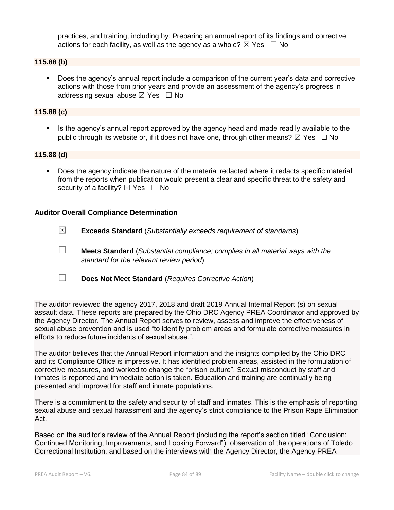practices, and training, including by: Preparing an annual report of its findings and corrective actions for each facility, as well as the agency as a whole?  $\boxtimes$  Yes  $\Box$  No

## **115.88 (b)**

▪ Does the agency's annual report include a comparison of the current year's data and corrective actions with those from prior years and provide an assessment of the agency's progress in addressing sexual abuse  $\boxtimes$  Yes  $\Box$  No

## **115.88 (c)**

Is the agency's annual report approved by the agency head and made readily available to the public through its website or, if it does not have one, through other means?  $\boxtimes$  Yes  $\Box$  No

#### **115.88 (d)**

Does the agency indicate the nature of the material redacted where it redacts specific material from the reports when publication would present a clear and specific threat to the safety and security of a facility?  $\boxtimes$  Yes  $\Box$  No

#### **Auditor Overall Compliance Determination**

- ☒ **Exceeds Standard** (*Substantially exceeds requirement of standards*)
- ☐ **Meets Standard** (*Substantial compliance; complies in all material ways with the standard for the relevant review period*)
- ☐ **Does Not Meet Standard** (*Requires Corrective Action*)

The auditor reviewed the agency 2017, 2018 and draft 2019 Annual Internal Report (s) on sexual assault data. These reports are prepared by the Ohio DRC Agency PREA Coordinator and approved by the Agency Director. The Annual Report serves to review, assess and improve the effectiveness of sexual abuse prevention and is used "to identify problem areas and formulate corrective measures in efforts to reduce future incidents of sexual abuse.".

The auditor believes that the Annual Report information and the insights compiled by the Ohio DRC and its Compliance Office is impressive. It has identified problem areas, assisted in the formulation of corrective measures, and worked to change the "prison culture". Sexual misconduct by staff and inmates is reported and immediate action is taken. Education and training are continually being presented and improved for staff and inmate populations.

There is a commitment to the safety and security of staff and inmates. This is the emphasis of reporting sexual abuse and sexual harassment and the agency's strict compliance to the Prison Rape Elimination Act.

Based on the auditor's review of the Annual Report (including the report's section titled "Conclusion: Continued Monitoring, Improvements, and Looking Forward"), observation of the operations of Toledo Correctional Institution, and based on the interviews with the Agency Director, the Agency PREA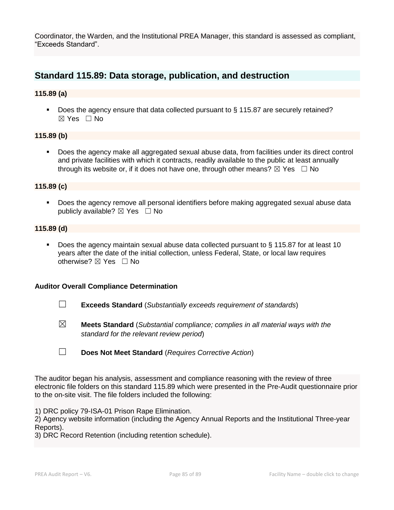Coordinator, the Warden, and the Institutional PREA Manager, this standard is assessed as compliant, "Exceeds Standard".

## **Standard 115.89: Data storage, publication, and destruction**

## **115.89 (a)**

■ Does the agency ensure that data collected pursuant to § 115.87 are securely retained? ☒ Yes ☐ No

## **115.89 (b)**

▪ Does the agency make all aggregated sexual abuse data, from facilities under its direct control and private facilities with which it contracts, readily available to the public at least annually through its website or, if it does not have one, through other means?  $\boxtimes$  Yes  $\Box$  No

## **115.89 (c)**

**•** Does the agency remove all personal identifiers before making aggregated sexual abuse data publicly available?  $\boxtimes$  Yes  $\Box$  No

#### **115.89 (d)**

■ Does the agency maintain sexual abuse data collected pursuant to § 115.87 for at least 10 years after the date of the initial collection, unless Federal, State, or local law requires otherwise? ☒ Yes ☐ No

#### **Auditor Overall Compliance Determination**

- ☐ **Exceeds Standard** (*Substantially exceeds requirement of standards*)
- ☒ **Meets Standard** (*Substantial compliance; complies in all material ways with the standard for the relevant review period*)
- ☐ **Does Not Meet Standard** (*Requires Corrective Action*)

The auditor began his analysis, assessment and compliance reasoning with the review of three electronic file folders on this standard 115.89 which were presented in the Pre-Audit questionnaire prior to the on-site visit. The file folders included the following:

1) DRC policy 79-ISA-01 Prison Rape Elimination.

2) Agency website information (including the Agency Annual Reports and the Institutional Three-year Reports).

3) DRC Record Retention (including retention schedule).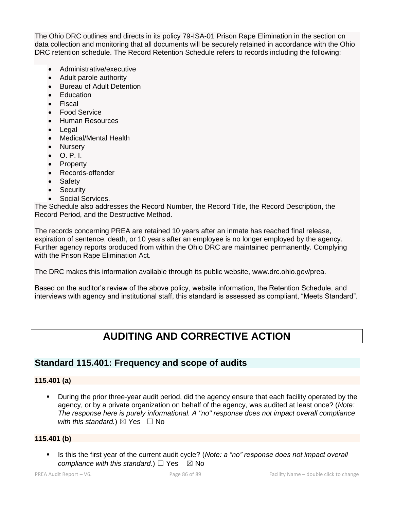The Ohio DRC outlines and directs in its policy 79-ISA-01 Prison Rape Elimination in the section on data collection and monitoring that all documents will be securely retained in accordance with the Ohio DRC retention schedule. The Record Retention Schedule refers to records including the following:

- Administrative/executive
- Adult parole authority
- Bureau of Adult Detention
- **Education**
- **Fiscal**
- Food Service
- Human Resources
- Legal
- Medical/Mental Health
- Nursery
- O. P. I.
- Property
- Records-offender
- Safety
- Security
- Social Services.

The Schedule also addresses the Record Number, the Record Title, the Record Description, the Record Period, and the Destructive Method.

The records concerning PREA are retained 10 years after an inmate has reached final release, expiration of sentence, death, or 10 years after an employee is no longer employed by the agency. Further agency reports produced from within the Ohio DRC are maintained permanently. Complying with the Prison Rape Elimination Act.

The DRC makes this information available through its public website, www.drc.ohio.gov/prea.

Based on the auditor's review of the above policy, website information, the Retention Schedule, and interviews with agency and institutional staff, this standard is assessed as compliant, "Meets Standard".

# **AUDITING AND CORRECTIVE ACTION**

## **Standard 115.401: Frequency and scope of audits**

## **115.401 (a)**

During the prior three-year audit period, did the agency ensure that each facility operated by the agency, or by a private organization on behalf of the agency, was audited at least once? (*Note: The response here is purely informational. A "no" response does not impact overall compliance with this standard.*)  $\boxtimes$  Yes  $\Box$  No

#### **115.401 (b)**

**EXECT:** Is this the first year of the current audit cycle? (*Note: a "no" response does not impact overall compliance with this standard.*)  $\Box$  Yes  $\boxtimes$  No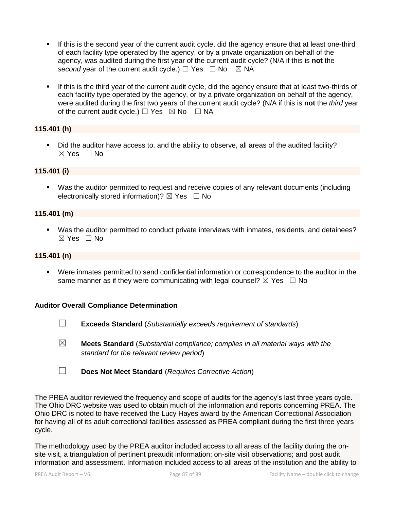- If this is the second year of the current audit cycle, did the agency ensure that at least one-third of each facility type operated by the agency, or by a private organization on behalf of the agency, was audited during the first year of the current audit cycle? (N/A if this is **not** the *second* year of the current audit cycle.)  $\Box$  Yes  $\Box$  No  $\Box$  NA
- If this is the third year of the current audit cycle, did the agency ensure that at least two-thirds of each facility type operated by the agency, or by a private organization on behalf of the agency, were audited during the first two years of the current audit cycle? (N/A if this is **not** the *third* year of the current audit cycle.)  $\Box$  Yes  $\boxtimes$  No  $\Box$  NA

## **115.401 (h)**

▪ Did the auditor have access to, and the ability to observe, all areas of the audited facility?  $\boxtimes$  Yes  $\Box$  No

#### **115.401 (i)**

■ Was the auditor permitted to request and receive copies of any relevant documents (including electronically stored information)?  $\boxtimes$  Yes  $\Box$  No

## **115.401 (m)**

▪ Was the auditor permitted to conduct private interviews with inmates, residents, and detainees?  $\boxtimes$  Yes  $\Box$  No

#### **115.401 (n)**

▪ Were inmates permitted to send confidential information or correspondence to the auditor in the same manner as if they were communicating with legal counsel?  $\boxtimes$  Yes  $\Box$  No

#### **Auditor Overall Compliance Determination**

- ☐ **Exceeds Standard** (*Substantially exceeds requirement of standards*)
- ☒ **Meets Standard** (*Substantial compliance; complies in all material ways with the standard for the relevant review period*)
- ☐ **Does Not Meet Standard** (*Requires Corrective Action*)

The PREA auditor reviewed the frequency and scope of audits for the agency's last three years cycle. The Ohio DRC website was used to obtain much of the information and reports concerning PREA. The Ohio DRC is noted to have received the Lucy Hayes award by the American Correctional Association for having all of its adult correctional facilities assessed as PREA compliant during the first three years cycle.

The methodology used by the PREA auditor included access to all areas of the facility during the onsite visit, a triangulation of pertinent preaudit information; on-site visit observations; and post audit information and assessment. Information included access to all areas of the institution and the ability to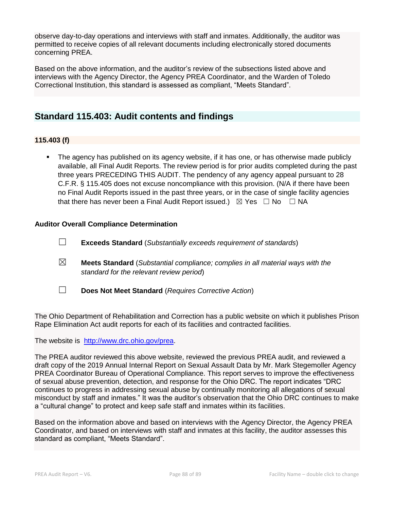observe day-to-day operations and interviews with staff and inmates. Additionally, the auditor was permitted to receive copies of all relevant documents including electronically stored documents concerning PREA.

Based on the above information, and the auditor's review of the subsections listed above and interviews with the Agency Director, the Agency PREA Coordinator, and the Warden of Toledo Correctional Institution, this standard is assessed as compliant, "Meets Standard".

## **Standard 115.403: Audit contents and findings**

## **115.403 (f)**

The agency has published on its agency website, if it has one, or has otherwise made publicly available, all Final Audit Reports. The review period is for prior audits completed during the past three years PRECEDING THIS AUDIT. The pendency of any agency appeal pursuant to 28 C.F.R. § 115.405 does not excuse noncompliance with this provision. (N/A if there have been no Final Audit Reports issued in the past three years, or in the case of single facility agencies that there has never been a Final Audit Report issued.)  $\boxtimes$  Yes  $\Box$  No  $\Box$  NA

## **Auditor Overall Compliance Determination**

- ☐ **Exceeds Standard** (*Substantially exceeds requirement of standards*)
- ☒ **Meets Standard** (*Substantial compliance; complies in all material ways with the standard for the relevant review period*)
- ☐ **Does Not Meet Standard** (*Requires Corrective Action*)

The Ohio Department of Rehabilitation and Correction has a public website on which it publishes Prison Rape Elimination Act audit reports for each of its facilities and contracted facilities.

The website is [http://www.drc.ohio.gov/prea.](http://www.drc.ohio.gov/prea)

The PREA auditor reviewed this above website, reviewed the previous PREA audit, and reviewed a draft copy of the 2019 Annual Internal Report on Sexual Assault Data by Mr. Mark Stegemoller Agency PREA Coordinator Bureau of Operational Compliance. This report serves to improve the effectiveness of sexual abuse prevention, detection, and response for the Ohio DRC. The report indicates "DRC continues to progress in addressing sexual abuse by continually monitoring all allegations of sexual misconduct by staff and inmates." It was the auditor's observation that the Ohio DRC continues to make a "cultural change" to protect and keep safe staff and inmates within its facilities.

Based on the information above and based on interviews with the Agency Director, the Agency PREA Coordinator, and based on interviews with staff and inmates at this facility, the auditor assesses this standard as compliant, "Meets Standard".